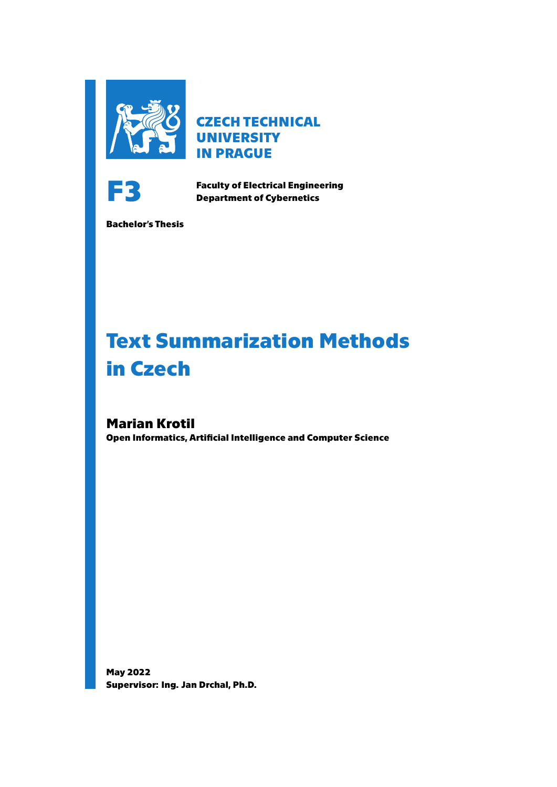

**CZECH TECHNICAL UNIVERSITY IN PRAGUE**



**Faculty of Electrical Engineering**<br> **Faculty of Electrical Engineering Department of Cybernetics**

**Bachelor's Thesis**

# **Text Summarization Methods in Czech**

**Marian Krotil Open Informatics, Artificial Intelligence and Computer Science**

**May 2022 Supervisor: Ing. Jan Drchal, Ph.D.**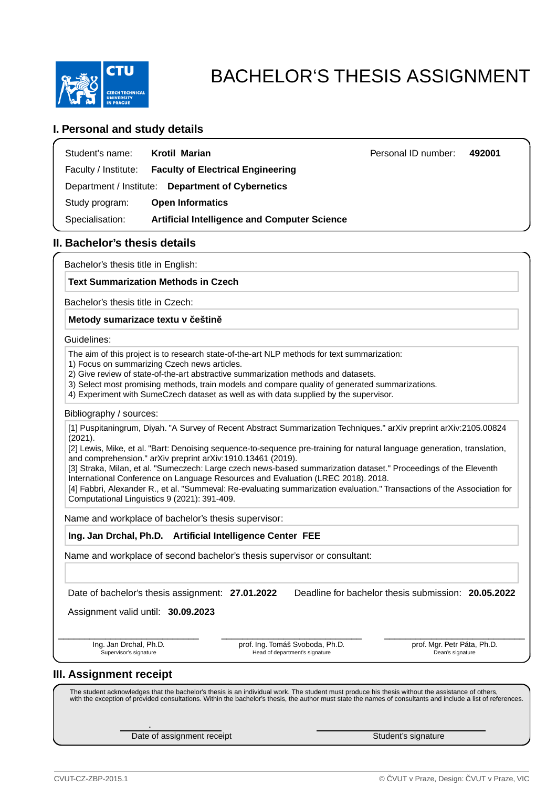

# BACHELOR'S THESIS ASSIGNMENT

### **I. Personal and study details**

| Student's name:      | Krotil Marian                                       | Personal ID number: | 492001 |
|----------------------|-----------------------------------------------------|---------------------|--------|
| Faculty / Institute: | <b>Faculty of Electrical Engineering</b>            |                     |        |
|                      | Department / Institute: Department of Cybernetics   |                     |        |
| Study program:       | <b>Open Informatics</b>                             |                     |        |
| Specialisation:      | <b>Artificial Intelligence and Computer Science</b> |                     |        |

### **II. Bachelor's thesis details**

Bachelor's thesis title in English:

### **Text Summarization Methods in Czech**

Bachelor's thesis title in Czech:

### **Metody sumarizace textu v eštin**

Guidelines:

The aim of this project is to research state-of-the-art NLP methods for text summarization:

- 1) Focus on summarizing Czech news articles.
- 2) Give review of state-of-the-art abstractive summarization methods and datasets.
- 3) Select most promising methods, train models and compare quality of generated summarizations.
- 4) Experiment with SumeCzech dataset as well as with data supplied by the supervisor.

### Bibliography / sources:

[1] Puspitaningrum, Diyah. "A Survey of Recent Abstract Summarization Techniques." arXiv preprint arXiv:2105.00824 (2021).

[2] Lewis, Mike, et al. "Bart: Denoising sequence-to-sequence pre-training for natural language generation, translation, and comprehension." arXiv preprint arXiv:1910.13461 (2019).

[3] Straka, Milan, et al. "Sumeczech: Large czech news-based summarization dataset." Proceedings of the Eleventh International Conference on Language Resources and Evaluation (LREC 2018). 2018.

[4] Fabbri, Alexander R., et al. "Summeval: Re-evaluating summarization evaluation." Transactions of the Association for Computational Linguistics 9 (2021): 391-409.

Name and workplace of bachelor's thesis supervisor:

**Ing. Jan Drchal, Ph.D. Artificial Intelligence Center FEE**

Name and workplace of second bachelor's thesis supervisor or consultant:

Date of bachelor's thesis assignment: **27.01.2022** Deadline for bachelor thesis submission: **20.05.2022**

Assignment valid until: **30.09.2023**

.

Ing. Jan Drchal, Ph.D. Supervisor's signature

prof. Ing. Tomáš Svoboda, Ph.D. Head of department's signature

\_\_\_\_\_\_\_\_\_\_\_\_\_\_\_\_\_\_\_\_\_\_\_\_\_\_\_ \_\_\_\_\_\_\_\_\_\_\_\_\_\_\_\_\_\_\_\_\_\_\_\_\_\_\_ \_\_\_\_\_\_\_\_\_\_\_\_\_\_\_\_\_\_\_\_\_\_\_\_\_\_\_ prof. Mgr. Petr Páta, Ph.D. Dean's signature

### **III. Assignment receipt**

The student acknowledges that the bachelor's thesis is an individual work. The student must produce his thesis without the assistance of others,<br>with the exception of provided consultations. Within the bachelor's thesis, t

Date of assignment receipt Student's signature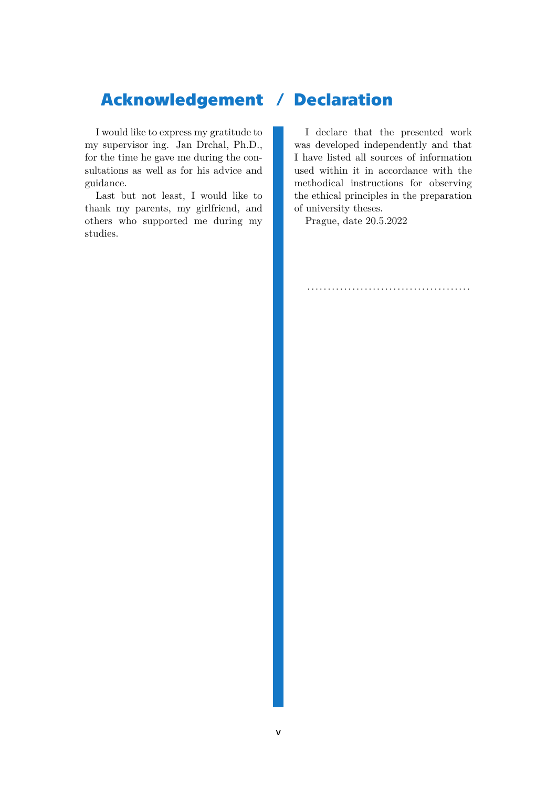## **Acknowledgement / Declaration**

I would like to express my gratitude to my supervisor ing. Jan Drchal, Ph.D., for the time he gave me during the consultations as well as for his advice and guidance.

Last but not least, I would like to thank my parents, my girlfriend, and others who supported me during my studies.

I declare that the presented work was developed independently and that I have listed all sources of information used within it in accordance with the methodical instructions for observing the ethical principles in the preparation of university theses.

........................................

Prague, date 20.5.2022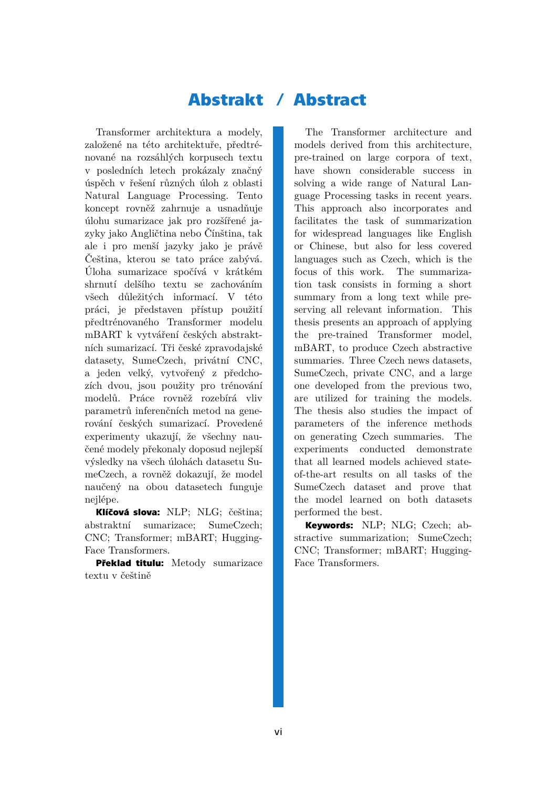## **Abstrakt / Abstract**

Transformer architektura a modely, založené na této architektuře, předtrénované na rozsáhlých korpusech textu v posledních letech prokázaly značný úspěch v řešení různých úloh z oblasti Natural Language Processing. Tento koncept rovněž zahrnuje a usnadňuje úlohu sumarizace jak pro rozšířené jazyky jako Angličtina nebo Čínština, tak ale i pro menší jazyky jako je právě Čeština, kterou se tato práce zabývá. Úloha sumarizace spočívá v krátkém shrnutí delšího textu se zachováním všech důležitých informací. V této práci, je představen přístup použití předtrénovaného Transformer modelu mBART k vytváření českých abstraktních sumarizací. Tři české zpravodajské datasety, SumeCzech, privátní CNC, a jeden velký, vytvořený z předchozích dvou, jsou použity pro trénování modelů. Práce rovněž rozebírá vliv parametrů inferenčních metod na generování českých sumarizací. Provedené experimenty ukazují, že všechny naučené modely překonaly doposud nejlepší výsledky na všech úlohách datasetu SumeCzech, a rovněž dokazují, že model naučený na obou datasetech funguje nejlépe.

**Klíčová slova:** NLP; NLG; čeština; abstraktní sumarizace; SumeCzech; CNC; Transformer; mBART; Hugging-Face Transformers.

**Překlad titulu:** Metody sumarizace textu v češtině

The Transformer architecture and models derived from this architecture, pre-trained on large corpora of text, have shown considerable success in solving a wide range of Natural Language Processing tasks in recent years. This approach also incorporates and facilitates the task of summarization for widespread languages like English or Chinese, but also for less covered languages such as Czech, which is the focus of this work. The summarization task consists in forming a short summary from a long text while preserving all relevant information. This thesis presents an approach of applying the pre-trained Transformer model, mBART, to produce Czech abstractive summaries. Three Czech news datasets, SumeCzech, private CNC, and a large one developed from the previous two, are utilized for training the models. The thesis also studies the impact of parameters of the inference methods on generating Czech summaries. The experiments conducted demonstrate that all learned models achieved stateof-the-art results on all tasks of the SumeCzech dataset and prove that the model learned on both datasets performed the best.

**Keywords:** NLP; NLG; Czech; abstractive summarization; SumeCzech; CNC; Transformer; mBART; Hugging-Face Transformers.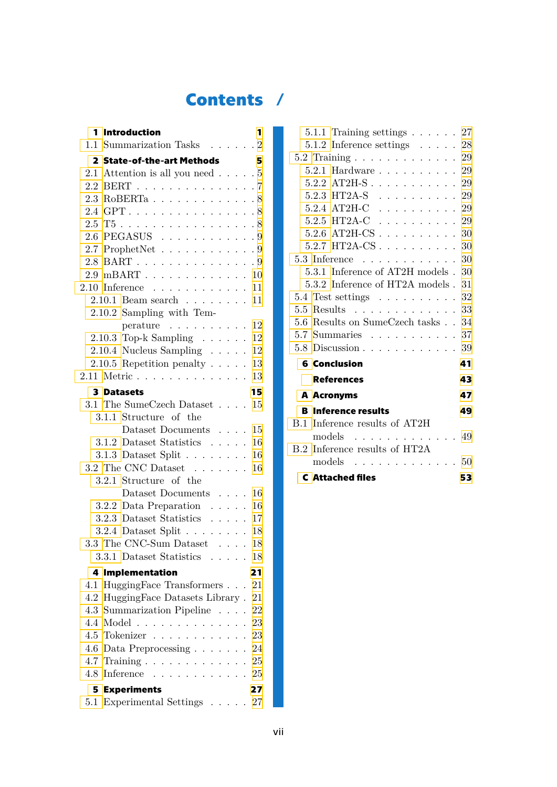## **Contents /**

|     | 1 Introduction                                                            | 1  |
|-----|---------------------------------------------------------------------------|----|
|     | 1.1 Summarization Tasks $\ldots$ 2                                        |    |
|     | 2 State-of-the-art Methods                                                | 5  |
|     | 2.1 Attention is all you need $\ldots$ .                                  |    |
|     | 2.2 BERT 7                                                                |    |
|     | $2.3$ RoBERTa 8                                                           |    |
|     | 2.4 GPT. 8                                                                |    |
|     | $2.5$ T5 8                                                                |    |
|     | $2.6$ PEGASUS $\ldots \ldots \ldots \ldots 9$                             |    |
|     | 2.7 ProphetNet $\ldots \ldots \ldots \ldots$                              |    |
|     | 2.8 BART 9                                                                |    |
|     | $2.9$ mBART 10                                                            |    |
|     | $2.10$ Inference 11                                                       |    |
|     | $2.10.1$ Beam search 11                                                   |    |
|     | 2.10.2 Sampling with Tem-                                                 |    |
|     | $\text{perature} \quad . \quad . \quad . \quad . \quad . \quad . \quad .$ | 12 |
|     | $2.10.3$ Top-k Sampling $\ldots \ldots$                                   | 12 |
|     | $2.10.4$ Nucleus Sampling $\ldots$ .                                      | 12 |
|     | 2.10.5 Repetition penalty $\ldots$ .                                      | 13 |
|     | 2.11 Metric                                                               | 13 |
|     | <b>3 Datasets</b>                                                         | 15 |
|     | 3.1 The SumeCzech Dataset                                                 | 15 |
|     | 3.1.1 Structure of the                                                    |    |
|     | Dataset Documents $\ldots$ .                                              | 15 |
|     | 3.1.2 Dataset Statistics $\ldots$ .                                       | 16 |
|     | $3.1.3$ Dataset Split                                                     | 16 |
|     | 3.2 The CNC Dataset $\dots \dots$                                         | 16 |
|     | 3.2.1 Structure of the                                                    |    |
|     | Dataset Documents $\dots$ .                                               | 16 |
|     | 3.2.2 Data Preparation $\ldots$ .                                         | 16 |
|     | 3.2.3 Dataset Statistics $\ldots$ .                                       | 17 |
|     | $3.2.4$ Dataset Split 18                                                  |    |
|     | 3.3 The CNC-Sum Dataset $\ldots$ 18                                       |    |
|     | 3.3.1 Dataset Statistics                                                  | 18 |
| 4   | <b>Implementation</b>                                                     | 21 |
| 4.1 | HuggingFace Transformers                                                  | 21 |
| 4.2 | HuggingFace Datasets Library.                                             | 21 |
|     | 4.3 Summarization Pipeline                                                | 22 |
|     | 4.4 Model                                                                 | 23 |
|     | 4.5 Tokenizer                                                             | 23 |
|     | 4.6 Data Preprocessing $\ldots \ldots$                                    | 24 |
|     | $4.7$ Training $\ldots \ldots \ldots$                                     | 25 |
|     | $4.8$ Inference                                                           | 25 |
|     | <b>5 Experiments</b>                                                      | 27 |
|     | 5.1 Experimental Settings 27                                              |    |

| 5.1.1 Training settings $\ldots$ $\ldots$ 27            |    |
|---------------------------------------------------------|----|
| 5.1.2 Inference settings $\ldots$ 28                    |    |
| $5.2$ Training $\ldots \ldots \ldots \ldots 29$         |    |
| 5.2.1 Hardware 29                                       |    |
| $5.2.2$ AT2H-S 29                                       |    |
| $5.2.3 \text{ HT2A-S} \dots \dots \dots \dots \dots 29$ |    |
| 5.2.4 AT2H-C $\ldots \ldots \ldots \ldots$ 29           |    |
| $5.2.5 \text{ HT2A-C}$ 29                               |    |
| $5.2.6$ AT2H-CS 30                                      |    |
| $5.2.7 \text{ HT2A-CS} \ldots \ldots \ldots \ldots 30$  |    |
| $5.3$ Inference 30                                      |    |
| $5.3.1$ Inference of AT2H models . $30$                 |    |
| 5.3.2 Inference of HT2A models . 31                     |    |
| $5.4$ Test settings 32                                  |    |
| $5.5$ Results 33                                        |    |
| 5.6 Results on SumeCzech tasks 34                       |    |
| $5.7$ Summaries 37                                      |    |
| $5.8$ Discussion $\ldots \ldots \ldots \ldots 39$       |    |
| <b>6 Conclusion</b>                                     | 41 |
| <b>References</b>                                       | 43 |
| A Acronyms                                              | 47 |
| <b>B</b> Inference results                              | 49 |
| B.1 Inference results of AT2H                           |    |
| models $\ldots \ldots \ldots \ldots 49$                 |    |
| B.2 Inference results of HT2A                           |    |
| models $\ldots \ldots \ldots \ldots 50$                 |    |
| <b>C</b> Attached files                                 | 53 |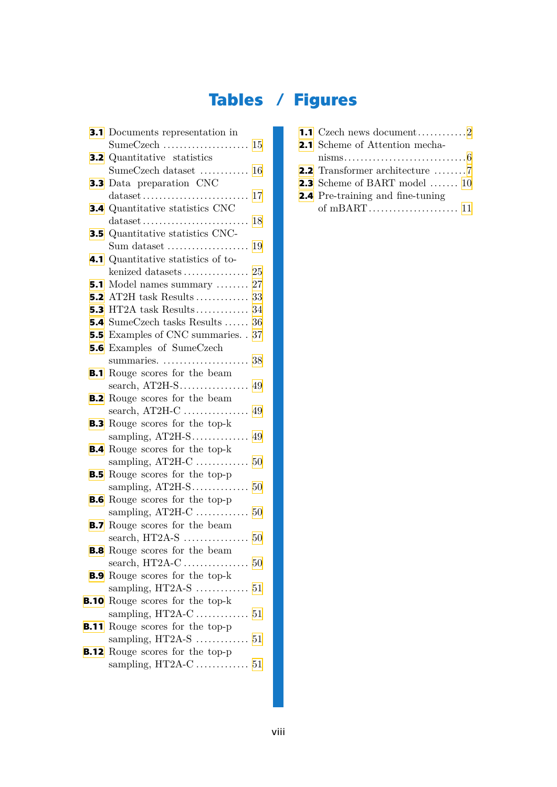# **Tables / Figures**

| <b>3.1</b> Documents representation in          |
|-------------------------------------------------|
|                                                 |
| <b>3.2</b> Quantitative statistics              |
| SumeCzech dataset  16                           |
| <b>3.3</b> Data preparation CNC                 |
| $\ldots$ 17                                     |
| <b>3.4</b> Quantitative statistics CNC          |
| 18                                              |
| <b>3.5</b> Quantitative statistics CNC-         |
| Sum dataset $\dots\dots\dots\dots\dots\dots$ 19 |
| 4.1 Quantitative statistics of to-              |
|                                                 |
| <b>5.1</b> Model names summary  27              |
| <b>5.2</b> AT2H task Results  33                |
| <b>5.3</b> HT2A task Results 34                 |
| <b>5.4</b> SumeCzech tasks Results  36          |
| <b>5.5</b> Examples of CNC summaries. . 37      |
| <b>5.6</b> Examples of SumeCzech                |
|                                                 |
| <b>B.1</b> Rouge scores for the beam            |
|                                                 |
| <b>B.2</b> Rouge scores for the beam            |
|                                                 |
| <b>B.3</b> Rouge scores for the top-k           |
|                                                 |
| <b>B.4</b> Rouge scores for the top-k           |
| sampling, $AT2H-C$<br>50                        |
| <b>B.5</b> Rouge scores for the top-p           |
|                                                 |
| <b>B.6</b> Rouge scores for the top-p           |
| sampling, $AT2H-C$<br>50                        |
| <b>B.7</b> Rouge scores for the beam            |
|                                                 |
| <b>B.8</b> Rouge scores for the beam            |
|                                                 |
| <b>B.9</b> Rouge scores for the top-k           |
|                                                 |
| <b>B.10</b> Rouge scores for the top-k          |
|                                                 |
| <b>B.11</b> Rouge scores for the top-p          |
|                                                 |
| <b>B.12</b> Rouge scores for the top-p          |
|                                                 |

| <b>1.1</b> Czech news document2                     |
|-----------------------------------------------------|
| <b>2.1</b> Scheme of Attention mecha-               |
|                                                     |
| <b>2.2</b> Transformer architecture $\dots \dots 7$ |
| <b>2.3</b> Scheme of BART model  10                 |
| <b>2.4</b> Pre-training and fine-tuning             |
|                                                     |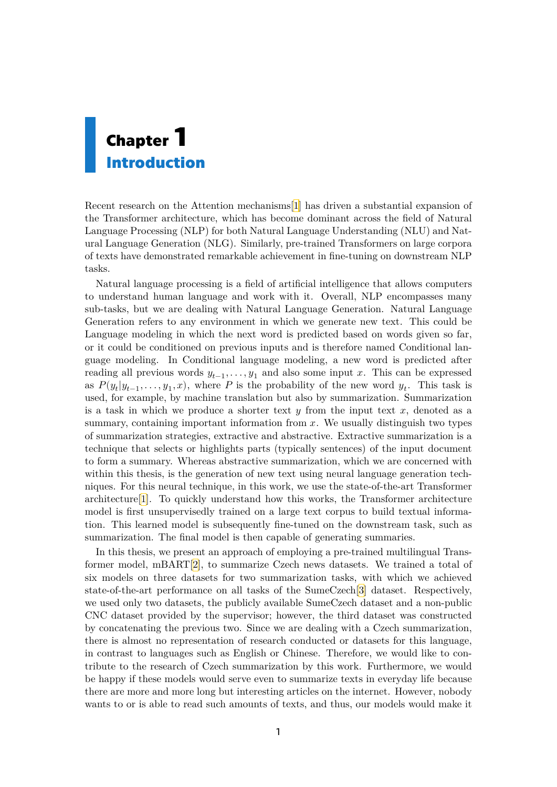# <span id="page-8-1"></span><span id="page-8-0"></span>**Chapter1 Introduction**

Recent research on the Attention mechanisms[[1](#page-50-1)] has driven a substantial expansion of the Transformer architecture, which has become dominant across the field of Natural Language Processing (NLP) for both Natural Language Understanding (NLU) and Natural Language Generation (NLG). Similarly, pre-trained Transformers on large corpora of texts have demonstrated remarkable achievement in fine-tuning on downstream NLP tasks.

Natural language processing is a field of artificial intelligence that allows computers to understand human language and work with it. Overall, NLP encompasses many sub-tasks, but we are dealing with Natural Language Generation. Natural Language Generation refers to any environment in which we generate new text. This could be Language modeling in which the next word is predicted based on words given so far, or it could be conditioned on previous inputs and is therefore named Conditional language modeling. In Conditional language modeling, a new word is predicted after reading all previous words  $y_{t-1}, \ldots, y_1$  and also some input x. This can be expressed as  $P(y_t|y_{t-1},...,y_1,x)$ , where P is the probability of the new word  $y_t$ . This task is used, for example, by machine translation but also by summarization. Summarization is a task in which we produce a shorter text  $y$  from the input text  $x$ , denoted as a summary, containing important information from  $x$ . We usually distinguish two types of summarization strategies, extractive and abstractive. Extractive summarization is a technique that selects or highlights parts (typically sentences) of the input document to form a summary. Whereas abstractive summarization, which we are concerned with within this thesis, is the generation of new text using neural language generation techniques. For this neural technique, in this work, we use the state-of-the-art Transformer architecture[[1](#page-50-1)]. To quickly understand how this works, the Transformer architecture model is first unsupervisedly trained on a large text corpus to build textual information. This learned model is subsequently fine-tuned on the downstream task, such as summarization. The final model is then capable of generating summaries.

In this thesis, we present an approach of employing a pre-trained multilingual Transformer model, mBART[\[2\]](#page-50-2), to summarize Czech news datasets. We trained a total of six models on three datasets for two summarization tasks, with which we achieved state-of-the-art performance on all tasks of the SumeCzech[[3](#page-50-3)] dataset. Respectively, we used only two datasets, the publicly available SumeCzech dataset and a non-public CNC dataset provided by the supervisor; however, the third dataset was constructed by concatenating the previous two. Since we are dealing with a Czech summarization, there is almost no representation of research conducted or datasets for this language, in contrast to languages such as English or Chinese. Therefore, we would like to contribute to the research of Czech summarization by this work. Furthermore, we would be happy if these models would serve even to summarize texts in everyday life because there are more and more long but interesting articles on the internet. However, nobody wants to or is able to read such amounts of texts, and thus, our models would make it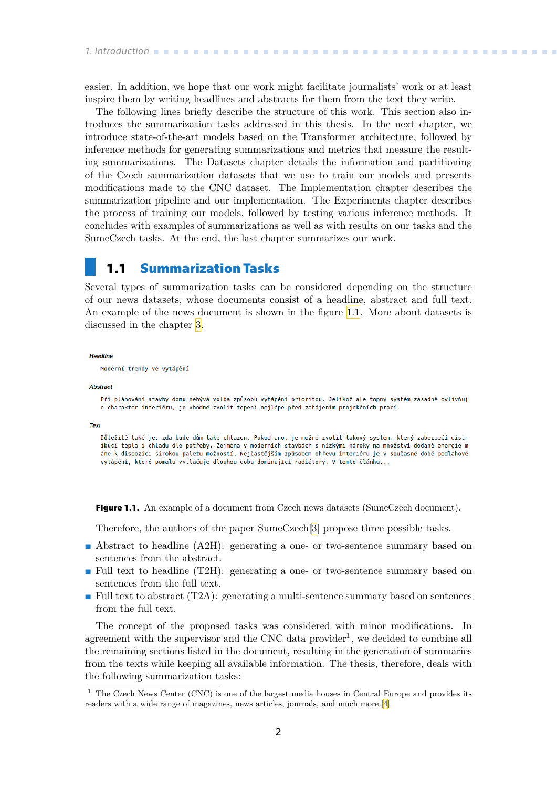<span id="page-9-1"></span>easier. In addition, we hope that our work might facilitate journalists' work or at least inspire them by writing headlines and abstracts for them from the text they write.

The following lines briefly describe the structure of this work. This section also introduces the summarization tasks addressed in this thesis. In the next chapter, we introduce state-of-the-art models based on the Transformer architecture, followed by inference methods for generating summarizations and metrics that measure the resulting summarizations. The Datasets chapter details the information and partitioning of the Czech summarization datasets that we use to train our models and presents modifications made to the CNC dataset. The Implementation chapter describes the summarization pipeline and our implementation. The Experiments chapter describes the process of training our models, followed by testing various inference methods. It concludes with examples of summarizations as well as with results on our tasks and the SumeCzech tasks. At the end, the last chapter summarizes our work.

### <span id="page-9-0"></span>**1.1 Summarization Tasks**

Several types of summarization tasks can be considered depending on the structure of our news datasets, whose documents consist of a headline, abstract and full text. An example of the news document is shown in the figure [1.1.](#page-9-2) More about datasets is discussed in the chapter [3.](#page-22-0)

**Headline** 

Moderní trendy ve vytápění

#### **Abstract**

Při plánování stavby domu nebývá volba způsobu vytápění prioritou. Jelikož ale topný systém zásadně ovlivňuj e charakter interiéru, je vhodné zvolit topení nejlépe před zahájením projekčních prací.

Tex

Důležité také je, zda bude dům také chlazen. Pokud ano, je možné zvolit takový systém, který zabezpečí distr ibuci tepla i chladu dle potřeby. Zejména v moderních stavbách s nízkými nároky na množství dodané energie m áme k dispozici širokou paletu možností. Nejčastějším způsobem ohřevu interiéru je v současné době podlahové vytápění, které pomalu vytlačuje dlouhou dobu dominující radiátory. V tomto článku...

<span id="page-9-2"></span>**Figure 1.1.** An example of a document from Czech news datasets (SumeCzech document).

Therefore, the authors of the paper SumeCzech[\[3\]](#page-50-3) propose three possible tasks.

- **.** Abstract to headline (A2H): generating a one- or two-sentence summary based on sentences from the abstract.
- **.** Full text to headline (T2H): generating a one- or two-sentence summary based on sentences from the full text.
- **.** Full text to abstract (T2A): generating a multi-sentence summary based on sentences from the full text.

The concept of the proposed tasks was considered with minor modifications. In agreement with the supervisor and the CNC data provider<sup>1</sup>, we decided to combine all the remaining sections listed in the document, resulting in the generation of summaries from the texts while keeping all available information. The thesis, therefore, deals with the following summarization tasks:

<sup>&</sup>lt;sup>1</sup> The Czech News Center (CNC) is one of the largest media houses in Central Europe and provides its readers with a wide range of magazines, news articles, journals, and much more.[\[4\]](#page-50-4)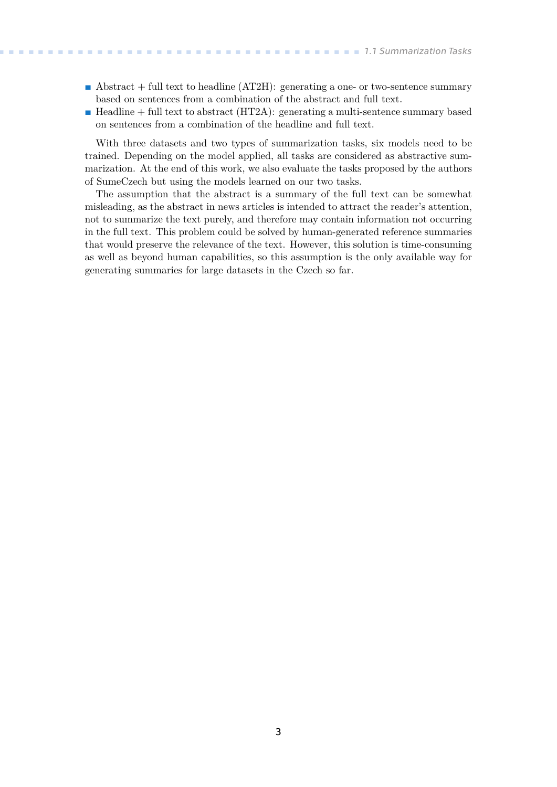- **Abstract** + full text to headline (AT2H): generating a one- or two-sentence summary based on sentences from a combination of the abstract and full text.
- **.** Headline + full text to abstract (HT2A): generating a multi-sentence summary based on sentences from a combination of the headline and full text.

With three datasets and two types of summarization tasks, six models need to be trained. Depending on the model applied, all tasks are considered as abstractive summarization. At the end of this work, we also evaluate the tasks proposed by the authors of SumeCzech but using the models learned on our two tasks.

The assumption that the abstract is a summary of the full text can be somewhat misleading, as the abstract in news articles is intended to attract the reader's attention, not to summarize the text purely, and therefore may contain information not occurring in the full text. This problem could be solved by human-generated reference summaries that would preserve the relevance of the text. However, this solution is time-consuming as well as beyond human capabilities, so this assumption is the only available way for generating summaries for large datasets in the Czech so far.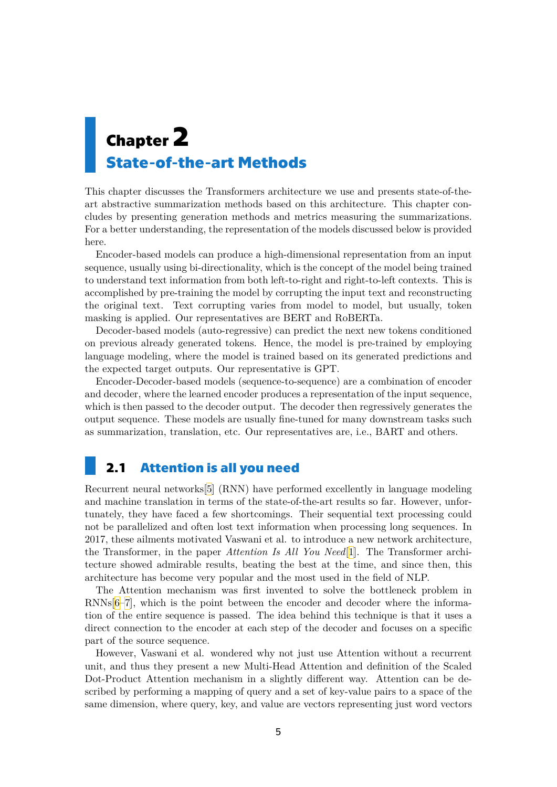# <span id="page-12-1"></span><span id="page-12-0"></span>**Chapter2 State-of-the-art Methods**

This chapter discusses the Transformers architecture we use and presents state-of-theart abstractive summarization methods based on this architecture. This chapter concludes by presenting generation methods and metrics measuring the summarizations. For a better understanding, the representation of the models discussed below is provided here.

Encoder-based models can produce a high-dimensional representation from an input sequence, usually using bi-directionality, which is the concept of the model being trained to understand text information from both left-to-right and right-to-left contexts. This is accomplished by pre-training the model by corrupting the input text and reconstructing the original text. Text corrupting varies from model to model, but usually, token masking is applied. Our representatives are BERT and RoBERTa.

Decoder-based models (auto-regressive) can predict the next new tokens conditioned on previous already generated tokens. Hence, the model is pre-trained by employing language modeling, where the model is trained based on its generated predictions and the expected target outputs. Our representative is GPT.

Encoder-Decoder-based models (sequence-to-sequence) are a combination of encoder and decoder, where the learned encoder produces a representation of the input sequence, which is then passed to the decoder output. The decoder then regressively generates the output sequence. These models are usually fine-tuned for many downstream tasks such as summarization, translation, etc. Our representatives are, i.e., BART and others.

## <span id="page-12-2"></span>**2.1 Attention is all you need**

Recurrent neural networks[\[5\]](#page-50-5) (RNN) have performed excellently in language modeling and machine translation in terms of the state-of-the-art results so far. However, unfortunately, they have faced a few shortcomings. Their sequential text processing could not be parallelized and often lost text information when processing long sequences. In 2017, these ailments motivated Vaswani et al. to introduce a new network architecture, the Transformer, in the paper *Attention Is All You Need*[[1](#page-50-1)]. The Transformer architecture showed admirable results, beating the best at the time, and since then, this architecture has become very popular and the most used in the field of NLP.

The Attention mechanism was first invented to solve the bottleneck problem in RNNs[[6](#page-50-6)–[7](#page-50-7)], which is the point between the encoder and decoder where the information of the entire sequence is passed. The idea behind this technique is that it uses a direct connection to the encoder at each step of the decoder and focuses on a specific part of the source sequence.

However, Vaswani et al. wondered why not just use Attention without a recurrent unit, and thus they present a new Multi-Head Attention and definition of the Scaled Dot-Product Attention mechanism in a slightly different way. Attention can be described by performing a mapping of query and a set of key-value pairs to a space of the same dimension, where query, key, and value are vectors representing just word vectors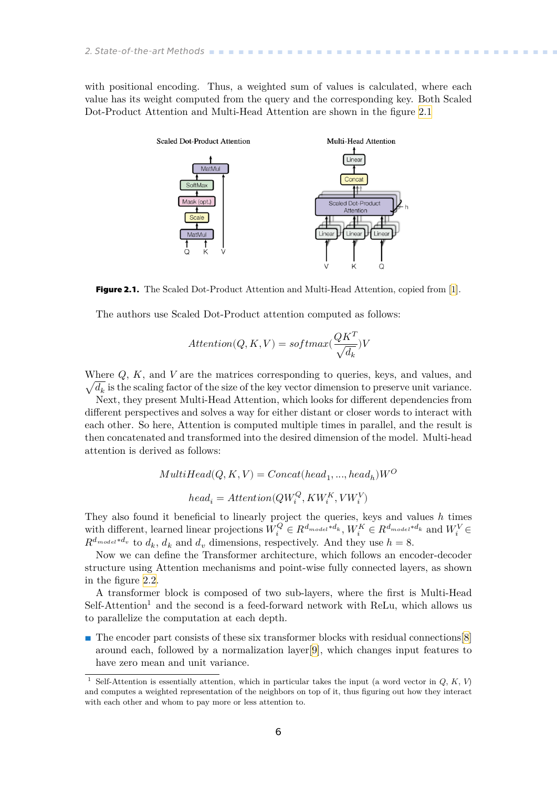<span id="page-13-1"></span>with positional encoding. Thus, a weighted sum of values is calculated, where each value has its weight computed from the query and the corresponding key. Both Scaled Dot-Product Attention and Multi-Head Attention are shown in the figure [2.1](#page-13-0)



<span id="page-13-0"></span>**Figure 2.1.** The Scaled Dot-Product Attention and Multi-Head Attention, copied from [\[1](#page-50-1)].

The authors use Scaled Dot-Product attention computed as follows:

$$
Attention(Q,K,V) = softmax(\frac{QK^T}{\sqrt{d_k}})V
$$

Where  $Q$ ,  $K$ , and  $V$  are the matrices corresponding to queries, keys, and values, and  $\sqrt{d_k}$  is the scaling factor of the size of the key vector dimension to preserve unit variance.

Next, they present Multi-Head Attention, which looks for different dependencies from different perspectives and solves a way for either distant or closer words to interact with each other. So here, Attention is computed multiple times in parallel, and the result is then concatenated and transformed into the desired dimension of the model. Multi-head attention is derived as follows:

$$
MultiHead(Q, K, V) = Concat(head_1, ..., head_h)W^{O}
$$
  

$$
head_i =Attention(QW_i^{Q}, KW_i^{K}, VW_i^{V})
$$

They also found it beneficial to linearly project the queries, keys and values  $h$  times with different, learned linear projections  $W_i^Q \in R^{d_{model}*d_k}$ ,  $W_i^K \in R^{d_{model}*d_k}$  and  $W_i^V \in$  $R^{d_{model}*d_v}$  to  $d_k$ ,  $d_k$  and  $d_v$  dimensions, respectively. And they use  $h = 8$ .

Now we can define the Transformer architecture, which follows an encoder-decoder structure using Attention mechanisms and point-wise fully connected layers, as shown in the figure [2.2.](#page-14-2)

A transformer block is composed of two sub-layers, where the first is Multi-Head  $Self-Attention<sup>1</sup>$  and the second is a feed-forward network with ReLu, which allows us to parallelize the computation at each depth.

**.** The encoder part consists of these six transformer blocks with residual connections [\[8\]](#page-50-8) around each, followed by a normalization layer[[9](#page-50-9)], which changes input features to have zero mean and unit variance.

Self-Attention is essentially attention, which in particular takes the input (a word vector in  $Q, K, V$ ) and computes a weighted representation of the neighbors on top of it, thus figuring out how they interact with each other and whom to pay more or less attention to.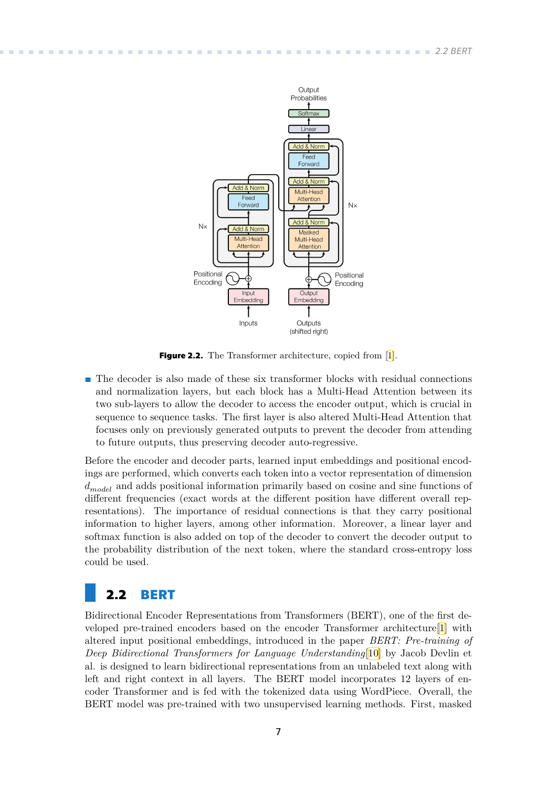<span id="page-14-1"></span>

<span id="page-14-2"></span>**Figure 2.2.** The Transformer architecture, copied from [\[1](#page-50-1)].

**.** The decoder is also made of these six transformer blocks with residual connections and normalization layers, but each block has a Multi-Head Attention between its two sub-layers to allow the decoder to access the encoder output, which is crucial in sequence to sequence tasks. The first layer is also altered Multi-Head Attention that focuses only on previously generated outputs to prevent the decoder from attending to future outputs, thus preserving decoder auto-regressive.

Before the encoder and decoder parts, learned input embeddings and positional encodings are performed, which converts each token into a vector representation of dimension  $d_{model}$  and adds positional information primarily based on cosine and sine functions of different frequencies (exact words at the different position have different overall representations). The importance of residual connections is that they carry positional information to higher layers, among other information. Moreover, a linear layer and softmax function is also added on top of the decoder to convert the decoder output to the probability distribution of the next token, where the standard cross-entropy loss could be used.

## <span id="page-14-0"></span>**2.2 BERT**

Bidirectional Encoder Representations from Transformers (BERT), one of the first developed pre-trained encoders based on the encoder Transformer architecture[[1](#page-50-1)] with altered input positional embeddings, introduced in the paper *BERT: Pre-training of Deep Bidirectional Transformers for Language Understanding*[[10\]](#page-50-10) by Jacob Devlin et al. is designed to learn bidirectional representations from an unlabeled text along with left and right context in all layers. The BERT model incorporates 12 layers of encoder Transformer and is fed with the tokenized data using WordPiece. Overall, the BERT model was pre-trained with two unsupervised learning methods. First, masked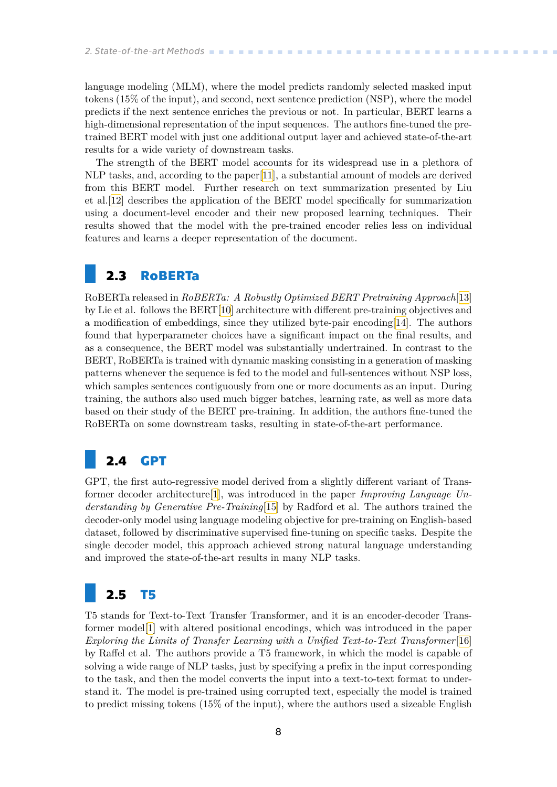<span id="page-15-1"></span>language modeling (MLM), where the model predicts randomly selected masked input tokens (15% of the input), and second, next sentence prediction (NSP), where the model predicts if the next sentence enriches the previous or not. In particular, BERT learns a high-dimensional representation of the input sequences. The authors fine-tuned the pretrained BERT model with just one additional output layer and achieved state-of-the-art results for a wide variety of downstream tasks.

The strength of the BERT model accounts for its widespread use in a plethora of NLP tasks, and, according to the paper[[11\]](#page-50-11), a substantial amount of models are derived from this BERT model. Further research on text summarization presented by Liu et al.[[12\]](#page-51-0) describes the application of the BERT model specifically for summarization using a document-level encoder and their new proposed learning techniques. Their results showed that the model with the pre-trained encoder relies less on individual features and learns a deeper representation of the document.

## <span id="page-15-0"></span>**2.3 RoBERTa**

RoBERTa released in *RoBERTa: A Robustly Optimized BERT Pretraining Approach*[[13\]](#page-51-1) by Lie et al. follows the BERT[[10\]](#page-50-10) architecture with different pre-training objectives and a modification of embeddings, since they utilized byte-pair encoding[\[14](#page-51-2)]. The authors found that hyperparameter choices have a significant impact on the final results, and as a consequence, the BERT model was substantially undertrained. In contrast to the BERT, RoBERTa is trained with dynamic masking consisting in a generation of masking patterns whenever the sequence is fed to the model and full-sentences without NSP loss, which samples sentences contiguously from one or more documents as an input. During training, the authors also used much bigger batches, learning rate, as well as more data based on their study of the BERT pre-training. In addition, the authors fine-tuned the RoBERTa on some downstream tasks, resulting in state-of-the-art performance.

## <span id="page-15-2"></span>**2.4 GPT**

GPT, the first auto-regressive model derived from a slightly different variant of Transformer decoder architecture[\[1\]](#page-50-1), was introduced in the paper *Improving Language Understanding by Generative Pre-Training*[\[15](#page-51-3)] by Radford et al. The authors trained the decoder-only model using language modeling objective for pre-training on English-based dataset, followed by discriminative supervised fine-tuning on specific tasks. Despite the single decoder model, this approach achieved strong natural language understanding and improved the state-of-the-art results in many NLP tasks.

## <span id="page-15-3"></span>**2.5 T5**

T5 stands for Text-to-Text Transfer Transformer, and it is an encoder-decoder Transformer model[\[1\]](#page-50-1) with altered positional encodings, which was introduced in the paper *Exploring the Limits of Transfer Learning with a Unified Text-to-Text Transformer*[[16\]](#page-51-4) by Raffel et al. The authors provide a T5 framework, in which the model is capable of solving a wide range of NLP tasks, just by specifying a prefix in the input corresponding to the task, and then the model converts the input into a text-to-text format to understand it. The model is pre-trained using corrupted text, especially the model is trained to predict missing tokens (15% of the input), where the authors used a sizeable English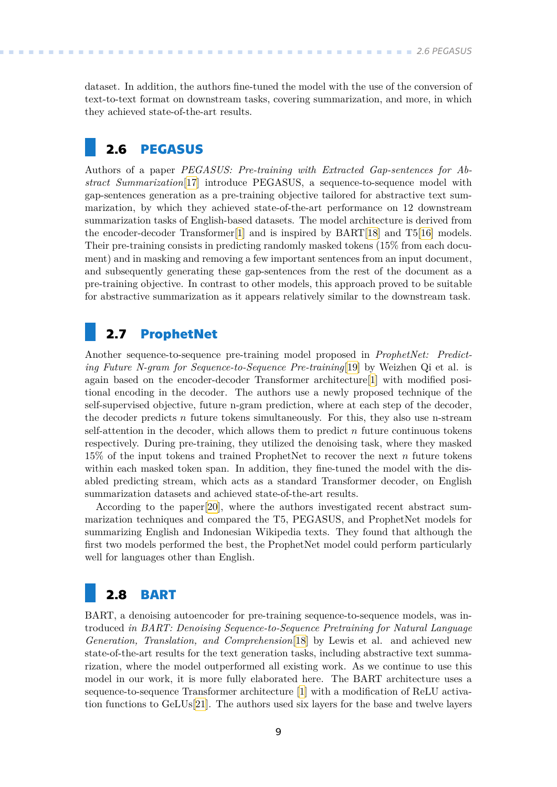<span id="page-16-1"></span>dataset. In addition, the authors fine-tuned the model with the use of the conversion of text-to-text format on downstream tasks, covering summarization, and more, in which they achieved state-of-the-art results.

## <span id="page-16-0"></span>**2.6 PEGASUS**

Authors of a paper *PEGASUS: Pre-training with Extracted Gap-sentences for Abstract Summarization*[\[17](#page-51-5)] introduce PEGASUS, a sequence-to-sequence model with gap-sentences generation as a pre-training objective tailored for abstractive text summarization, by which they achieved state-of-the-art performance on 12 downstream summarization tasks of English-based datasets. The model architecture is derived from the encoder-decoder Transformer[[1](#page-50-1)] and is inspired by BART[[18\]](#page-51-6) and T5[[16\]](#page-51-4) models. Their pre-training consists in predicting randomly masked tokens (15% from each document) and in masking and removing a few important sentences from an input document, and subsequently generating these gap-sentences from the rest of the document as a pre-training objective. In contrast to other models, this approach proved to be suitable for abstractive summarization as it appears relatively similar to the downstream task.

### <span id="page-16-2"></span>**2.7 ProphetNet**

Another sequence-to-sequence pre-training model proposed in *ProphetNet: Predicting Future N-gram for Sequence-to-Sequence Pre-training*[\[19](#page-51-7)] by Weizhen Qi et al. is again based on the encoder-decoder Transformer architecture[[1](#page-50-1)] with modified positional encoding in the decoder. The authors use a newly proposed technique of the self-supervised objective, future n-gram prediction, where at each step of the decoder, the decoder predicts  $n$  future tokens simultaneously. For this, they also use n-stream self-attention in the decoder, which allows them to predict  $n$  future continuous tokens respectively. During pre-training, they utilized the denoising task, where they masked  $15\%$  of the input tokens and trained ProphetNet to recover the next  $n$  future tokens within each masked token span. In addition, they fine-tuned the model with the disabled predicting stream, which acts as a standard Transformer decoder, on English summarization datasets and achieved state-of-the-art results.

According to the paper[[20\]](#page-51-8), where the authors investigated recent abstract summarization techniques and compared the T5, PEGASUS, and ProphetNet models for summarizing English and Indonesian Wikipedia texts. They found that although the first two models performed the best, the ProphetNet model could perform particularly well for languages other than English.

## <span id="page-16-3"></span>**2.8 BART**

BART, a denoising autoencoder for pre-training sequence-to-sequence models, was introduced *in BART: Denoising Sequence-to-Sequence Pretraining for Natural Language Generation, Translation, and Comprehension*[\[18](#page-51-6)] by Lewis et al. and achieved new state-of-the-art results for the text generation tasks, including abstractive text summarization, where the model outperformed all existing work. As we continue to use this model in our work, it is more fully elaborated here. The BART architecture uses a sequence-to-sequence Transformer architecture [\[1\]](#page-50-1) with a modification of ReLU activation functions to GeLUs[[21\]](#page-51-9). The authors used six layers for the base and twelve layers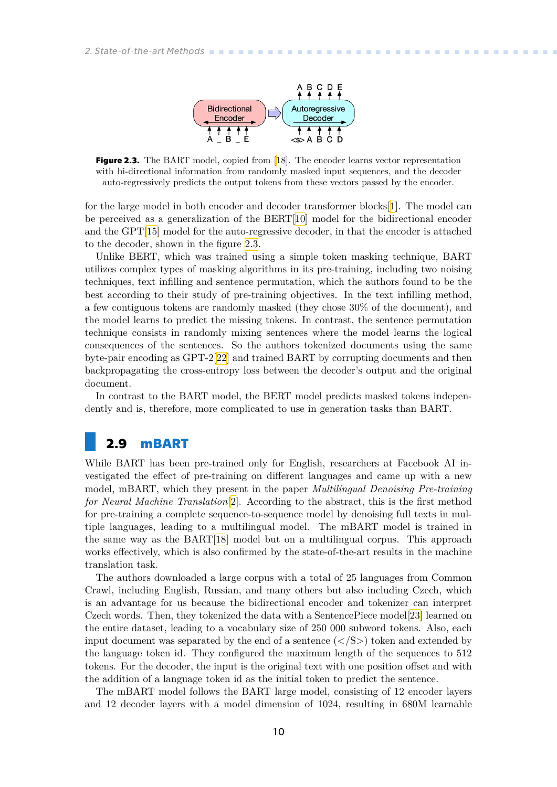

<span id="page-17-2"></span><span id="page-17-1"></span>**Figure 2.3.** The BART model, copied from [\[18](#page-51-6)]. The encoder learns vector representation with bi-directional information from randomly masked input sequences, and the decoder auto-regressively predicts the output tokens from these vectors passed by the encoder.

for the large model in both encoder and decoder transformer blocks[\[1\]](#page-50-1). The model can be perceived as a generalization of the BERT[[10](#page-50-10)] model for the bidirectional encoder and the GPT[\[15](#page-51-3)] model for the auto-regressive decoder, in that the encoder is attached to the decoder, shown in the figure [2.3.](#page-17-2)

Unlike BERT, which was trained using a simple token masking technique, BART utilizes complex types of masking algorithms in its pre-training, including two noising techniques, text infilling and sentence permutation, which the authors found to be the best according to their study of pre-training objectives. In the text infilling method, a few contiguous tokens are randomly masked (they chose 30% of the document), and the model learns to predict the missing tokens. In contrast, the sentence permutation technique consists in randomly mixing sentences where the model learns the logical consequences of the sentences. So the authors tokenized documents using the same byte-pair encoding as GPT-2[\[22](#page-51-10)] and trained BART by corrupting documents and then backpropagating the cross-entropy loss between the decoder's output and the original document.

In contrast to the BART model, the BERT model predicts masked tokens independently and is, therefore, more complicated to use in generation tasks than BART.

## <span id="page-17-0"></span>**2.9 mBART**

While BART has been pre-trained only for English, researchers at Facebook AI investigated the effect of pre-training on different languages and came up with a new model, mBART, which they present in the paper *Multilingual Denoising Pre-training for Neural Machine Translation*[[2](#page-50-2)]. According to the abstract, this is the first method for pre-training a complete sequence-to-sequence model by denoising full texts in multiple languages, leading to a multilingual model. The mBART model is trained in the same way as the BART[[18\]](#page-51-6) model but on a multilingual corpus. This approach works effectively, which is also confirmed by the state-of-the-art results in the machine translation task.

The authors downloaded a large corpus with a total of 25 languages from Common Crawl, including English, Russian, and many others but also including Czech, which is an advantage for us because the bidirectional encoder and tokenizer can interpret Czech words. Then, they tokenized the data with a SentencePiece model[\[23](#page-51-11)] learned on the entire dataset, leading to a vocabulary size of 250 000 subword tokens. Also, each input document was separated by the end of a sentence  $\langle \langle S \rangle \rangle$  token and extended by the language token id. They configured the maximum length of the sequences to 512 tokens. For the decoder, the input is the original text with one position offset and with the addition of a language token id as the initial token to predict the sentence.

The mBART model follows the BART large model, consisting of 12 encoder layers and 12 decoder layers with a model dimension of 1024, resulting in 680M learnable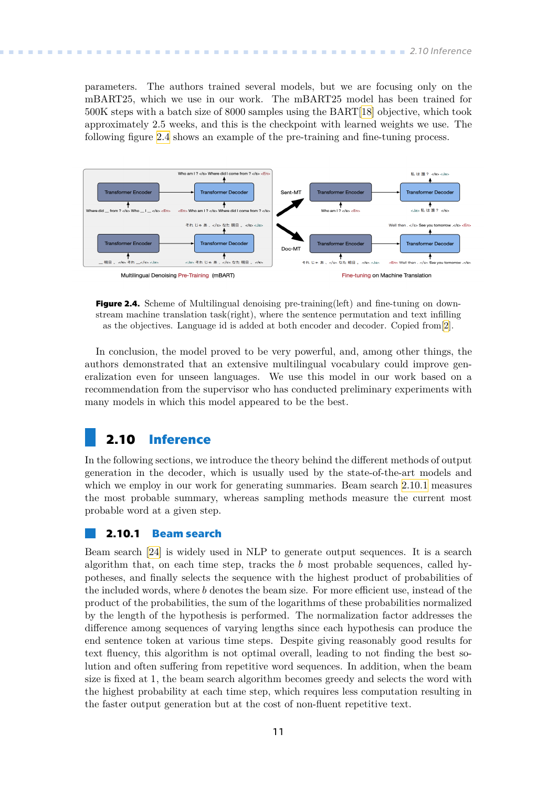<span id="page-18-1"></span>parameters. The authors trained several models, but we are focusing only on the mBART25, which we use in our work. The mBART25 model has been trained for 500K steps with a batch size of 8000 samples using the BART[\[18](#page-51-6)] objective, which took approximately 2.5 weeks, and this is the checkpoint with learned weights we use. The following figure [2.4](#page-18-3) shows an example of the pre-training and fine-tuning process.



<span id="page-18-3"></span>**Figure 2.4.** Scheme of Multilingual denoising pre-training(left) and fine-tuning on downstream machine translation task(right), where the sentence permutation and text infilling as the objectives. Language id is added at both encoder and decoder. Copied from[[2\]](#page-50-2).

In conclusion, the model proved to be very powerful, and, among other things, the authors demonstrated that an extensive multilingual vocabulary could improve generalization even for unseen languages. We use this model in our work based on a recommendation from the supervisor who has conducted preliminary experiments with many models in which this model appeared to be the best.

### <span id="page-18-0"></span>**2.10 Inference**

In the following sections, we introduce the theory behind the different methods of output generation in the decoder, which is usually used by the state-of-the-art models and which we employ in our work for generating summaries. Beam search [2.10.1](#page-18-2) measures the most probable summary, whereas sampling methods measure the current most probable word at a given step.

### <span id="page-18-2"></span>**2.10.1 Beam search**

Beam search [\[24](#page-52-0)] is widely used in NLP to generate output sequences. It is a search algorithm that, on each time step, tracks the  $b$  most probable sequences, called hypotheses, and finally selects the sequence with the highest product of probabilities of the included words, where  $b$  denotes the beam size. For more efficient use, instead of the product of the probabilities, the sum of the logarithms of these probabilities normalized by the length of the hypothesis is performed. The normalization factor addresses the difference among sequences of varying lengths since each hypothesis can produce the end sentence token at various time steps. Despite giving reasonably good results for text fluency, this algorithm is not optimal overall, leading to not finding the best solution and often suffering from repetitive word sequences. In addition, when the beam size is fixed at 1, the beam search algorithm becomes greedy and selects the word with the highest probability at each time step, which requires less computation resulting in the faster output generation but at the cost of non-fluent repetitive text.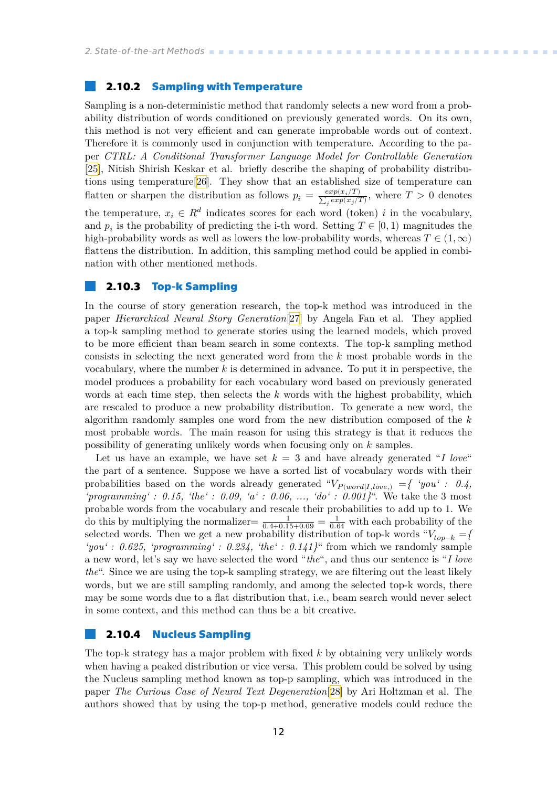### <span id="page-19-1"></span><span id="page-19-0"></span>**2.10.2 Sampling with Temperature**

Sampling is a non-deterministic method that randomly selects a new word from a probability distribution of words conditioned on previously generated words. On its own, this method is not very efficient and can generate improbable words out of context. Therefore it is commonly used in conjunction with temperature. According to the paper *CTRL: A Conditional Transformer Language Model for Controllable Generation* [[25\]](#page-52-1), Nitish Shirish Keskar et al. briefly describe the shaping of probability distributions using temperature[[26\]](#page-52-2). They show that an established size of temperature can flatten or sharpen the distribution as follows  $p_i = \frac{exp(x_i/T)}{\sum_{i} exp(x_i/T)}$  $\frac{exp(x_i/T)}{\sum_j exp(x_j/T)}$ , where  $T > 0$  denotes the temperature,  $x_i \in R^d$  indicates scores for each word (token) *i* in the vocabulary, and  $p_i$  is the probability of predicting the i-th word. Setting  $T \in [0, 1)$  magnitudes the high-probability words as well as lowers the low-probability words, whereas  $T \in (1,\infty)$ flattens the distribution. In addition, this sampling method could be applied in combination with other mentioned methods.

### <span id="page-19-2"></span>**2.10.3 Top-k Sampling**

In the course of story generation research, the top-k method was introduced in the paper *Hierarchical Neural Story Generation*[\[27](#page-52-3)] by Angela Fan et al. They applied a top-k sampling method to generate stories using the learned models, which proved to be more efficient than beam search in some contexts. The top-k sampling method consists in selecting the next generated word from the  $k$  most probable words in the vocabulary, where the number  $k$  is determined in advance. To put it in perspective, the model produces a probability for each vocabulary word based on previously generated words at each time step, then selects the  $k$  words with the highest probability, which are rescaled to produce a new probability distribution. To generate a new word, the algorithm randomly samples one word from the new distribution composed of the  $k$ most probable words. The main reason for using this strategy is that it reduces the possibility of generating unlikely words when focusing only on  $k$  samples.

Let us have an example, we have set  $k = 3$  and have already generated "*I love*" the part of a sentence. Suppose we have a sorted list of vocabulary words with their probabilities based on the words already generated " $V_{P(word|I,love.)} = \{$  'you': 0.4, *'programming' : 0.15, 'the' : 0.09, 'a' : 0.06, ..., 'do' : 0.001*}<sup>"</sup>. We take the 3 most probable words from the vocabulary and rescale their probabilities to add up to 1. We do this by multiplying the normalizer  $\frac{1}{0.4+0.15+0.09} = \frac{1}{0.64}$  with each probability of the selected words. Then we get a new probability distribution of top-k words " $V_{top-k} =$ *'you' : 0.625, 'programming' : 0.234, 'the' : 0.141}*" from which we randomly sample a new word, let's say we have selected the word "*the*", and thus our sentence is "*I love the*". Since we are using the top-k sampling strategy, we are filtering out the least likely words, but we are still sampling randomly, and among the selected top-k words, there may be some words due to a flat distribution that, i.e., beam search would never select in some context, and this method can thus be a bit creative.

### <span id="page-19-3"></span>**2.10.4 Nucleus Sampling**

The top-k strategy has a major problem with fixed  $k$  by obtaining very unlikely words when having a peaked distribution or vice versa. This problem could be solved by using the Nucleus sampling method known as top-p sampling, which was introduced in the paper *The Curious Case of Neural Text Degeneration*[[28\]](#page-52-4) by Ari Holtzman et al. The authors showed that by using the top-p method, generative models could reduce the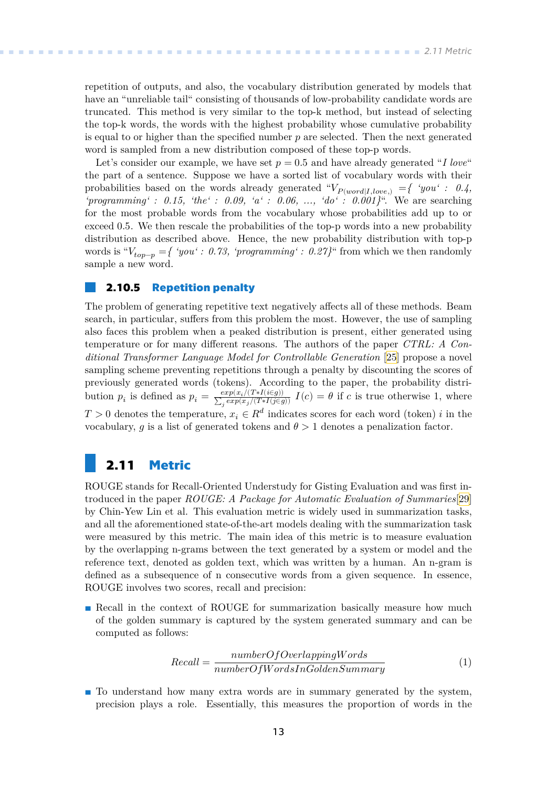<span id="page-20-1"></span>repetition of outputs, and also, the vocabulary distribution generated by models that have an "unreliable tail" consisting of thousands of low-probability candidate words are truncated. This method is very similar to the top-k method, but instead of selecting the top-k words, the words with the highest probability whose cumulative probability is equal to or higher than the specified number  $p$  are selected. Then the next generated word is sampled from a new distribution composed of these top-p words.

Let's consider our example, we have set  $p = 0.5$  and have already generated "*I love*" the part of a sentence. Suppose we have a sorted list of vocabulary words with their probabilities based on the words already generated " $V_{P(word|I,love)} = \{$  'you': 0.4, *'programming' : 0.15, 'the' : 0.09, 'a' : 0.06, ..., 'do' : 0.001}*". We are searching for the most probable words from the vocabulary whose probabilities add up to or exceed 0.5. We then rescale the probabilities of the top-p words into a new probability distribution as described above. Hence, the new probability distribution with top-p words is " $V_{top-p} = \{$  'you': 0.73, 'programming': 0.27}" from which we then randomly sample a new word.

### <span id="page-20-0"></span>**2.10.5 Repetition penalty**

The problem of generating repetitive text negatively affects all of these methods. Beam search, in particular, suffers from this problem the most. However, the use of sampling also faces this problem when a peaked distribution is present, either generated using temperature or for many different reasons. The authors of the paper *CTRL: A Conditional Transformer Language Model for Controllable Generation* [\[25](#page-52-1)] propose a novel sampling scheme preventing repetitions through a penalty by discounting the scores of previously generated words (tokens). According to the paper, the probability distribution  $p_i$  is defined as  $p_i = \frac{exp(x_i/(T * I(i \in g)))}{\sum_{i} exp(x_i/(T * I(i \in g)))}$  $\frac{exp(x_i/(1+1)e(g))}{\sum_j exp(x_j/(T+I(j\in g))} I(c) = \theta$  if c is true otherwise 1, where  $T > 0$  denotes the temperature,  $x_i \in R^d$  indicates scores for each word (token) i in the vocabulary, q is a list of generated tokens and  $\theta > 1$  denotes a penalization factor.

## <span id="page-20-2"></span>**2.11 Metric**

ROUGE stands for Recall-Oriented Understudy for Gisting Evaluation and was first introduced in the paper *ROUGE: A Package for Automatic Evaluation of Summaries*[[29\]](#page-52-5) by Chin-Yew Lin et al. This evaluation metric is widely used in summarization tasks, and all the aforementioned state-of-the-art models dealing with the summarization task were measured by this metric. The main idea of this metric is to measure evaluation by the overlapping n-grams between the text generated by a system or model and the reference text, denoted as golden text, which was written by a human. An n-gram is defined as a subsequence of n consecutive words from a given sequence. In essence, ROUGE involves two scores, recall and precision:

**Recall in the context of ROUGE for summarization basically measure how much** of the golden summary is captured by the system generated summary and can be computed as follows:

<span id="page-20-3"></span>
$$
Recall = \frac{numberOfOverlappingWords}{numberOfWordsInGoldenSummary}
$$
\n(1)

**.** To understand how many extra words are in summary generated by the system, precision plays a role. Essentially, this measures the proportion of words in the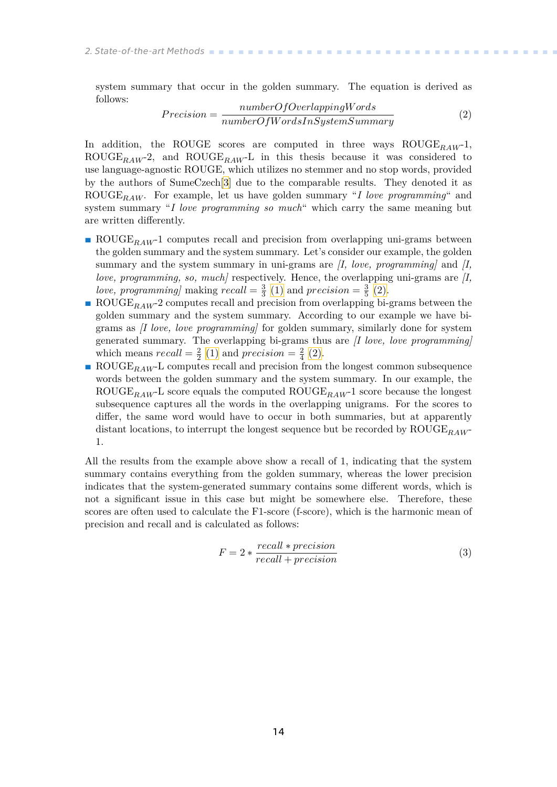system summary that occur in the golden summary. The equation is derived as follows:

<span id="page-21-0"></span>
$$
Precision = \frac{numberOfOverlappingWords}{numberOfWordsInsystemsummary}
$$
 (2)

In addition, the ROUGE scores are computed in three ways  $ROUGE_{RAW}$ -1,  $ROUGE_{RAW}$ -2, and  $ROUGE_{RAW}$ -L in this thesis because it was considered to use language-agnostic ROUGE, which utilizes no stemmer and no stop words, provided by the authors of SumeCzech[[3](#page-50-3)] due to the comparable results. They denoted it as ROUGE<sub>RAW</sub>. For example, let us have golden summary "*I love programming*" and system summary "*I love programming so much*" which carry the same meaning but are written differently.

- **ROUGE**<sub>RAW</sub>-1 computes recall and precision from overlapping uni-grams between the golden summary and the system summary. Let's consider our example, the golden summary and the system summary in uni-grams are *[I, love, programming]* and *[I, love, programming, so, much]* respectively. Hence, the overlapping uni-grams are *[I,* love, programming] making  $recall = \frac{3}{3} (1)$  $recall = \frac{3}{3} (1)$  and  $precision = \frac{3}{5} (2)$  $precision = \frac{3}{5} (2)$ .
- **ROUGE**<sub>RAW</sub>-2 computes recall and precision from overlapping bi-grams between the golden summary and the system summary. According to our example we have bigrams as *[I love, love programming]* for golden summary, similarly done for system generated summary. The overlapping bi-grams thus are *[I love, love programming]* which means  $recall = \frac{2}{2} (1)$  $recall = \frac{2}{2} (1)$  and  $precision = \frac{2}{4} (2)$ .
- $\blacksquare$  ROUGE<sub>RAW</sub>-L computes recall and precision from the longest common subsequence words between the golden summary and the system summary. In our example, the ROUGE<sub>RAW</sub>-L score equals the computed  $\text{ROUGE}_{RAW}$ -1 score because the longest subsequence captures all the words in the overlapping unigrams. For the scores to differ, the same word would have to occur in both summaries, but at apparently distant locations, to interrupt the longest sequence but be recorded by  $\text{ROUGE}_{BAW}$ 1.

All the results from the example above show a recall of 1, indicating that the system summary contains everything from the golden summary, whereas the lower precision indicates that the system-generated summary contains some different words, which is not a significant issue in this case but might be somewhere else. Therefore, these scores are often used to calculate the F1-score (f-score), which is the harmonic mean of precision and recall and is calculated as follows:

$$
F = 2 * \frac{recall * precision}{recall + precision}
$$
 (3)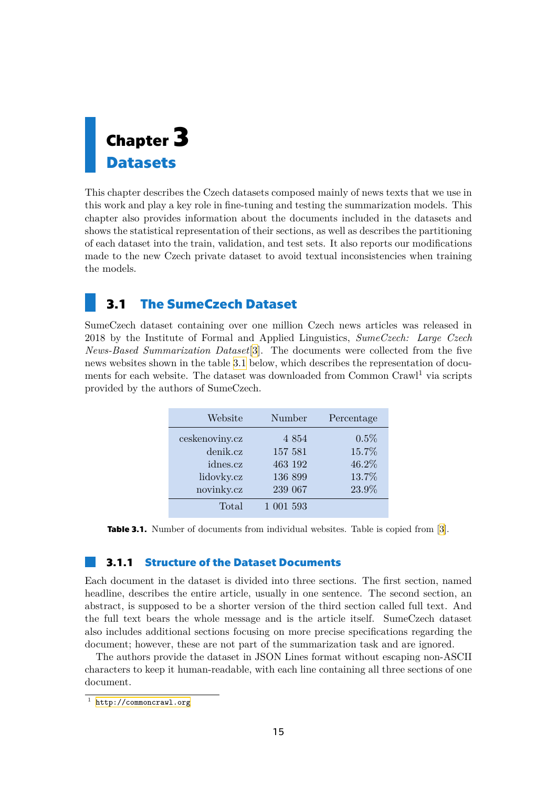<span id="page-22-1"></span><span id="page-22-0"></span>

This chapter describes the Czech datasets composed mainly of news texts that we use in this work and play a key role in fine-tuning and testing the summarization models. This chapter also provides information about the documents included in the datasets and shows the statistical representation of their sections, as well as describes the partitioning of each dataset into the train, validation, and test sets. It also reports our modifications made to the new Czech private dataset to avoid textual inconsistencies when training the models.

## <span id="page-22-2"></span>**3.1 The SumeCzech Dataset**

SumeCzech dataset containing over one million Czech news articles was released in 2018 by the Institute of Formal and Applied Linguistics, *SumeCzech: Large Czech News-Based Summarization Dataset*[[3](#page-50-3)]. The documents were collected from the five news websites shown in the table [3.1](#page-22-4) below, which describes the representation of documents for each website. The dataset was downloaded from Common  $C_{\text{raw}}l^1$  via scripts provided by the authors of SumeCzech.

| Website        | Number    | Percentage |
|----------------|-----------|------------|
| ceskenoviny.cz | 4 8 5 4   | 0.5%       |
| denik.cz       | 157 581   | 15.7%      |
| idnes.cz       | 463 192   | 46.2%      |
| lidovky.cz     | 136 899   | 13.7%      |
| novinky.cz     | 239 067   | 23.9%      |
| Total          | 1 001 593 |            |

<span id="page-22-4"></span><span id="page-22-3"></span>**Table3.1.** Number of documents from individual websites. Table is copied from [[3\]](#page-50-3).

### **3.1.1 Structure of the Dataset Documents**

Each document in the dataset is divided into three sections. The first section, named headline, describes the entire article, usually in one sentence. The second section, an abstract, is supposed to be a shorter version of the third section called full text. And the full text bears the whole message and is the article itself. SumeCzech dataset also includes additional sections focusing on more precise specifications regarding the document; however, these are not part of the summarization task and are ignored.

The authors provide the dataset in JSON Lines format without escaping non-ASCII characters to keep it human-readable, with each line containing all three sections of one document.

 $1$  <http://commoncrawl.org>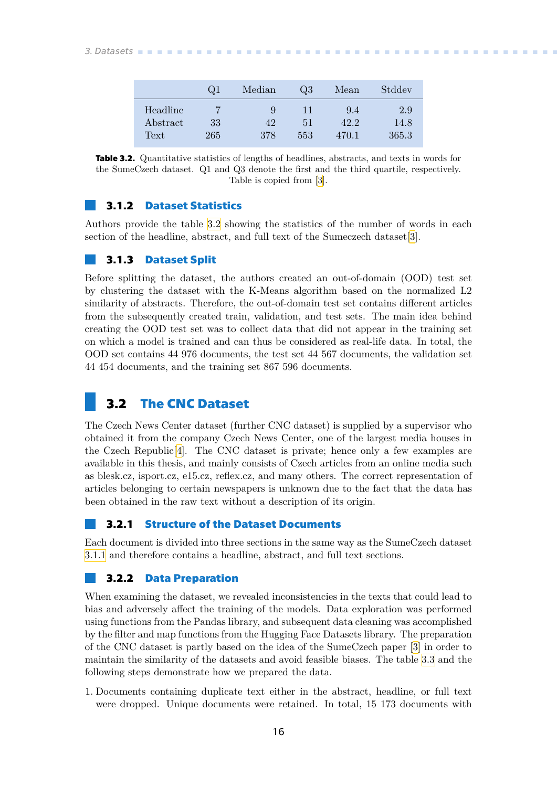# <span id="page-23-1"></span>*3. Datasets* **............................................**

|          | $\omega$ 1 | Median | $\omega$ | Mean  | Stddev |
|----------|------------|--------|----------|-------|--------|
| Headline |            | 9      | 11       | 9.4   | 2.9    |
| Abstract | 33         | 42     | 51       | 42.2  | 14.8   |
| Text     | 265        | 378    | 553      | 470.1 | 365.3  |

<span id="page-23-6"></span>**Table 3.2.** Quantitative statistics of lengths of headlines, abstracts, and texts in words for the SumeCzech dataset. Q1 and Q3 denote the first and the third quartile, respectively. Table is copied from[[3\]](#page-50-3).

### <span id="page-23-0"></span>**3.1.2 Dataset Statistics**

Authors provide the table [3.2](#page-23-6) showing the statistics of the number of words in each section of the headline, abstract, and full text of the Sumeczech dataset[\[3\]](#page-50-3).

### <span id="page-23-2"></span>**3.1.3 Dataset Split**

Before splitting the dataset, the authors created an out-of-domain (OOD) test set by clustering the dataset with the K-Means algorithm based on the normalized L2 similarity of abstracts. Therefore, the out-of-domain test set contains different articles from the subsequently created train, validation, and test sets. The main idea behind creating the OOD test set was to collect data that did not appear in the training set on which a model is trained and can thus be considered as real-life data. In total, the OOD set contains 44 976 documents, the test set 44 567 documents, the validation set 44 454 documents, and the training set 867 596 documents.

### <span id="page-23-3"></span>**3.2 The CNC Dataset**

The Czech News Center dataset (further CNC dataset) is supplied by a supervisor who obtained it from the company Czech News Center, one of the largest media houses in the Czech Republic<sup>[[4](#page-50-4)]</sup>. The CNC dataset is private; hence only a few examples are available in this thesis, and mainly consists of Czech articles from an online media such as blesk.cz, isport.cz, e15.cz, reflex.cz, and many others. The correct representation of articles belonging to certain newspapers is unknown due to the fact that the data has been obtained in the raw text without a description of its origin.

### <span id="page-23-4"></span>**3.2.1 Structure of the Dataset Documents**

Each document is divided into three sections in the same way as the SumeCzech dataset [3.1.1](#page-22-3) and therefore contains a headline, abstract, and full text sections.

### <span id="page-23-5"></span>**3.2.2 Data Preparation**

When examining the dataset, we revealed inconsistencies in the texts that could lead to bias and adversely affect the training of the models. Data exploration was performed using functions from the Pandas library, and subsequent data cleaning was accomplished by the filter and map functions from the Hugging Face Datasets library. The preparation of the CNC dataset is partly based on the idea of the SumeCzech paper [\[3\]](#page-50-3) in order to maintain the similarity of the datasets and avoid feasible biases. The table [3.3](#page-24-2) and the following steps demonstrate how we prepared the data.

1. Documents containing duplicate text either in the abstract, headline, or full text were dropped. Unique documents were retained. In total, 15 173 documents with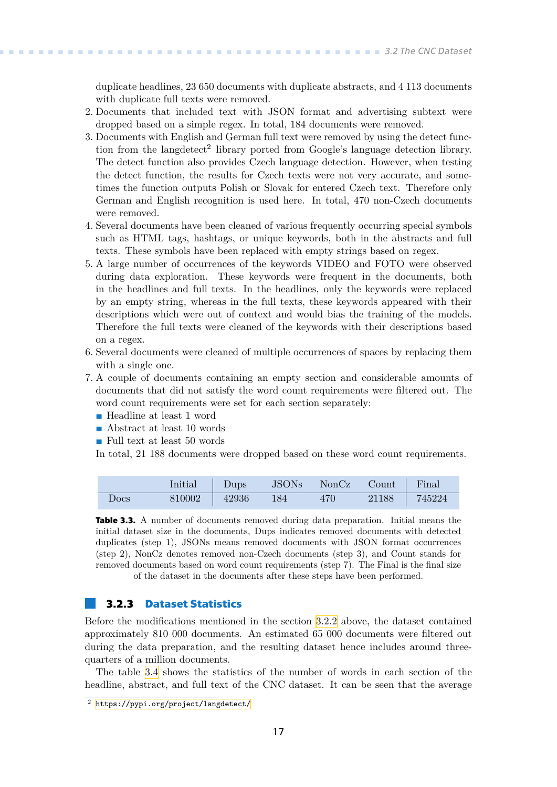<span id="page-24-1"></span>duplicate headlines, 23 650 documents with duplicate abstracts, and 4 113 documents with duplicate full texts were removed.

- 2. Documents that included text with JSON format and advertising subtext were dropped based on a simple regex. In total, 184 documents were removed.
- 3. Documents with English and German full text were removed by using the detect function from the langdetect<sup>2</sup> library ported from Google's language detection library. The detect function also provides Czech language detection. However, when testing the detect function, the results for Czech texts were not very accurate, and sometimes the function outputs Polish or Slovak for entered Czech text. Therefore only German and English recognition is used here. In total, 470 non-Czech documents were removed.
- 4. Several documents have been cleaned of various frequently occurring special symbols such as HTML tags, hashtags, or unique keywords, both in the abstracts and full texts. These symbols have been replaced with empty strings based on regex.
- 5. A large number of occurrences of the keywords VIDEO and FOTO were observed during data exploration. These keywords were frequent in the documents, both in the headlines and full texts. In the headlines, only the keywords were replaced by an empty string, whereas in the full texts, these keywords appeared with their descriptions which were out of context and would bias the training of the models. Therefore the full texts were cleaned of the keywords with their descriptions based on a regex.
- 6. Several documents were cleaned of multiple occurrences of spaces by replacing them with a single one.
- 7. A couple of documents containing an empty section and considerable amounts of documents that did not satisfy the word count requirements were filtered out. The word count requirements were set for each section separately: **.** Headline at least 1 word
	- Headline at least 1 word<br>■ Abstract at least 10 words
	-
	- **.** Full text at least 50 words
	- In total, 21 188 documents were dropped based on these word count requirements.

|      | Initial | $\Box$ Dups | <b>JSONs</b> | NonCz Count Final |       |        |
|------|---------|-------------|--------------|-------------------|-------|--------|
| Docs | 810002  | 42936       | - 184        | 470               | 21188 | 745224 |

<span id="page-24-2"></span>**Table 3.3.** A number of documents removed during data preparation. Initial means the initial dataset size in the documents, Dups indicates removed documents with detected duplicates (step 1), JSONs means removed documents with JSON format occurrences (step 2), NonCz denotes removed non-Czech documents (step 3), and Count stands for removed documents based on word count requirements (step 7). The Final is the final size of the dataset in the documents after these steps have been performed.

### <span id="page-24-0"></span>**3.2.3 Dataset Statistics**

Before the modifications mentioned in the section [3.2.2](#page-23-5) above, the dataset contained approximately 810 000 documents. An estimated 65 000 documents were filtered out during the data preparation, and the resulting dataset hence includes around threequarters of a million documents.

The table [3.4](#page-25-4) shows the statistics of the number of words in each section of the headline, abstract, and full text of the CNC dataset. It can be seen that the average

<sup>2</sup> <https://pypi.org/project/langdetect/>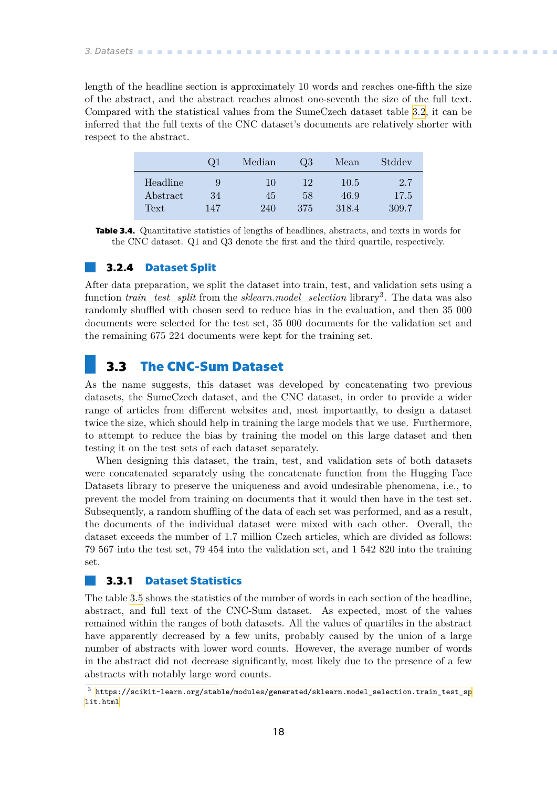<span id="page-25-1"></span>*3. Datasets* **............................................**

length of the headline section is approximately 10 words and reaches one-fifth the size of the abstract, and the abstract reaches almost one-seventh the size of the full text. Compared with the statistical values from the SumeCzech dataset table [3.2,](#page-23-6) it can be inferred that the full texts of the CNC dataset's documents are relatively shorter with respect to the abstract.

|          | $Q_1$ | Median | Q3  | Mean  | Stddev |
|----------|-------|--------|-----|-------|--------|
| Headline | 9     | 10     | 12  | 10.5  | 2.7    |
| Abstract | 34    | 45     | 58  | 46.9  | 17.5   |
| Text     | 147   | 240    | 375 | 318.4 | 309.7  |

<span id="page-25-4"></span>**Table 3.4.** Quantitative statistics of lengths of headlines, abstracts, and texts in words for the CNC dataset. Q1 and Q3 denote the first and the third quartile, respectively.

### <span id="page-25-0"></span>**3.2.4 Dataset Split**

After data preparation, we split the dataset into train, test, and validation sets using a function *train\_test\_split* from the *sklearn.model\_selection* library<sup>3</sup>. The data was also randomly shuffled with chosen seed to reduce bias in the evaluation, and then 35 000 documents were selected for the test set, 35 000 documents for the validation set and the remaining 675 224 documents were kept for the training set.

## <span id="page-25-2"></span>**3.3 The CNC-Sum Dataset**

As the name suggests, this dataset was developed by concatenating two previous datasets, the SumeCzech dataset, and the CNC dataset, in order to provide a wider range of articles from different websites and, most importantly, to design a dataset twice the size, which should help in training the large models that we use. Furthermore, to attempt to reduce the bias by training the model on this large dataset and then testing it on the test sets of each dataset separately.

When designing this dataset, the train, test, and validation sets of both datasets were concatenated separately using the concatenate function from the Hugging Face Datasets library to preserve the uniqueness and avoid undesirable phenomena, i.e., to prevent the model from training on documents that it would then have in the test set. Subsequently, a random shuffling of the data of each set was performed, and as a result, the documents of the individual dataset were mixed with each other. Overall, the dataset exceeds the number of 1.7 million Czech articles, which are divided as follows: 79 567 into the test set, 79 454 into the validation set, and 1 542 820 into the training set.

### <span id="page-25-3"></span>**3.3.1 Dataset Statistics**

The table [3.5](#page-26-0) shows the statistics of the number of words in each section of the headline, abstract, and full text of the CNC-Sum dataset. As expected, most of the values remained within the ranges of both datasets. All the values of quartiles in the abstract have apparently decreased by a few units, probably caused by the union of a large number of abstracts with lower word counts. However, the average number of words in the abstract did not decrease significantly, most likely due to the presence of a few abstracts with notably large word counts.

 $^3\,$  [https://scikit-learn.org/stable/modules/generated/sklearn.model\\_selection.train\\_test\\_sp](https://scikit-learn.org/stable/modules/generated/sklearn.model_selection.train_test_split.html) [lit.html](https://scikit-learn.org/stable/modules/generated/sklearn.model_selection.train_test_split.html)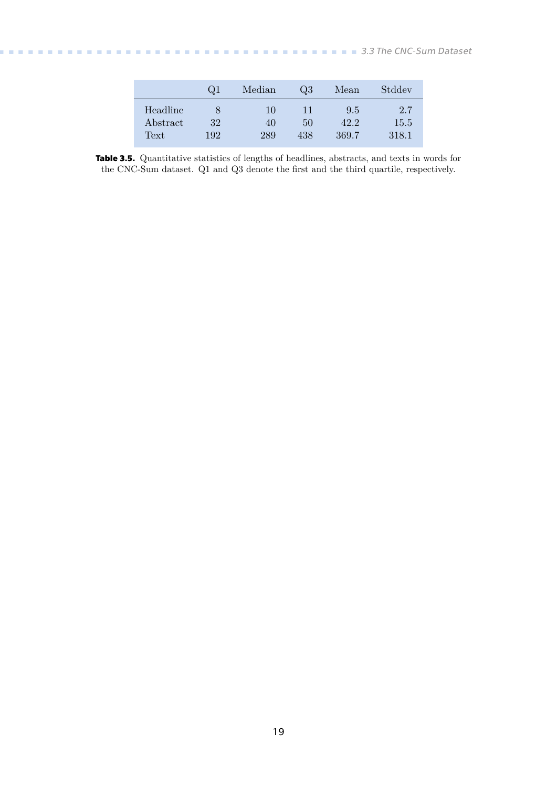<span id="page-26-1"></span>

|          | $\omega$ 1 | Median | $Q_3$ | Mean  | Stddev |
|----------|------------|--------|-------|-------|--------|
| Headline |            | 10     | 11    | 9.5   | 2.7    |
| Abstract | 32         | 40     | 50    | 42.2  | 15.5   |
| Text     | 192        | 289    | 438   | 369.7 | 318.1  |

<span id="page-26-0"></span>**Table 3.5.** Quantitative statistics of lengths of headlines, abstracts, and texts in words for the CNC-Sum dataset. Q1 and Q3 denote the first and the third quartile, respectively.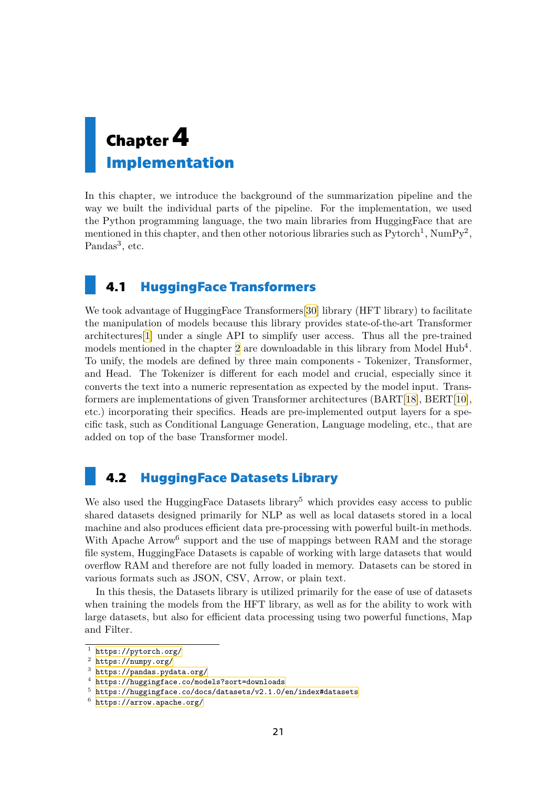# <span id="page-28-1"></span><span id="page-28-0"></span>**Chapter4 Implementation**

In this chapter, we introduce the background of the summarization pipeline and the way we built the individual parts of the pipeline. For the implementation, we used the Python programming language, the two main libraries from HuggingFace that are mentioned in this chapter, and then other notorious libraries such as  $Python\{Pytorch<sup>1</sup>, NumPy<sup>2</sup>,$ Pandas<sup>3</sup>, etc.

## <span id="page-28-2"></span>**4.1 HuggingFace Transformers**

We took advantage of HuggingFace Transformers[\[30](#page-52-6)] library (HFT library) to facilitate the manipulation of models because this library provides state-of-the-art Transformer architectures[\[1\]](#page-50-1) under a single API to simplify user access. Thus all the pre-trained models mentioned in the chapter [2](#page-12-0) are downloadable in this library from Model Hub<sup>4</sup>. To unify, the models are defined by three main components - Tokenizer, Transformer, and Head. The Tokenizer is different for each model and crucial, especially since it converts the text into a numeric representation as expected by the model input. Transformers are implementations of given Transformer architectures (BART[[18\]](#page-51-6), BERT[[10](#page-50-10)], etc.) incorporating their specifics. Heads are pre-implemented output layers for a specific task, such as Conditional Language Generation, Language modeling, etc., that are added on top of the base Transformer model.

## <span id="page-28-3"></span>**4.2 HuggingFace Datasets Library**

We also used the HuggingFace Datasets library<sup>5</sup> which provides easy access to public shared datasets designed primarily for NLP as well as local datasets stored in a local machine and also produces efficient data pre-processing with powerful built-in methods. With Apache Arrow<sup>6</sup> support and the use of mappings between RAM and the storage file system, HuggingFace Datasets is capable of working with large datasets that would overflow RAM and therefore are not fully loaded in memory. Datasets can be stored in various formats such as JSON, CSV, Arrow, or plain text.

In this thesis, the Datasets library is utilized primarily for the ease of use of datasets when training the models from the HFT library, as well as for the ability to work with large datasets, but also for efficient data processing using two powerful functions, Map and Filter.

<sup>1</sup> <https://pytorch.org/>

<sup>2</sup> <https://numpy.org/>

<sup>3</sup> <https://pandas.pydata.org/>

<sup>4</sup> <https://huggingface.co/models?sort=downloads>

<sup>5</sup> <https://huggingface.co/docs/datasets/v2.1.0/en/index#datasets>

<sup>6</sup> <https://arrow.apache.org/>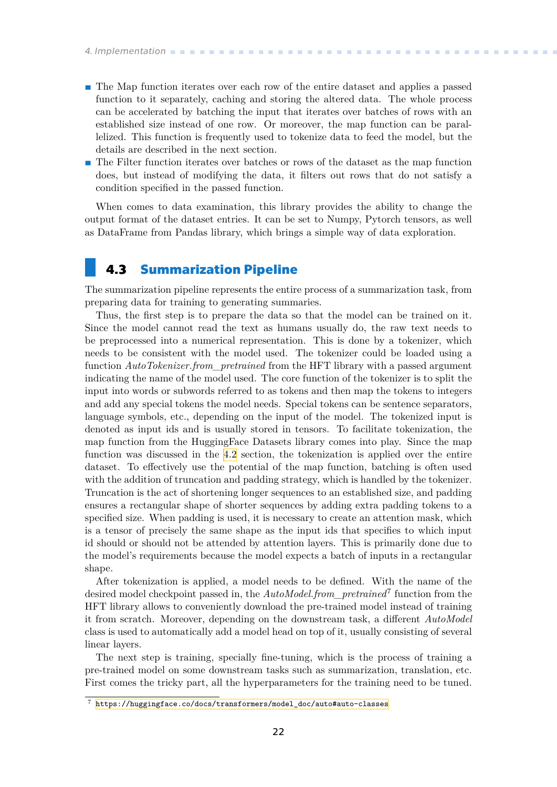- <span id="page-29-1"></span>**.** The Map function iterates over each row of the entire dataset and applies a passed function to it separately, caching and storing the altered data. The whole process can be accelerated by batching the input that iterates over batches of rows with an established size instead of one row. Or moreover, the map function can be parallelized. This function is frequently used to tokenize data to feed the model, but the details are described in the next section.
- **.** The Filter function iterates over batches or rows of the dataset as the map function does, but instead of modifying the data, it filters out rows that do not satisfy a condition specified in the passed function.

When comes to data examination, this library provides the ability to change the output format of the dataset entries. It can be set to Numpy, Pytorch tensors, as well as DataFrame from Pandas library, which brings a simple way of data exploration.

## <span id="page-29-0"></span>**4.3 Summarization Pipeline**

The summarization pipeline represents the entire process of a summarization task, from preparing data for training to generating summaries.

Thus, the first step is to prepare the data so that the model can be trained on it. Since the model cannot read the text as humans usually do, the raw text needs to be preprocessed into a numerical representation. This is done by a tokenizer, which needs to be consistent with the model used. The tokenizer could be loaded using a function *AutoTokenizer.from\_pretrained* from the HFT library with a passed argument indicating the name of the model used. The core function of the tokenizer is to split the input into words or subwords referred to as tokens and then map the tokens to integers and add any special tokens the model needs. Special tokens can be sentence separators, language symbols, etc., depending on the input of the model. The tokenized input is denoted as input ids and is usually stored in tensors. To facilitate tokenization, the map function from the HuggingFace Datasets library comes into play. Since the map function was discussed in the [4.2](#page-28-3) section, the tokenization is applied over the entire dataset. To effectively use the potential of the map function, batching is often used with the addition of truncation and padding strategy, which is handled by the tokenizer. Truncation is the act of shortening longer sequences to an established size, and padding ensures a rectangular shape of shorter sequences by adding extra padding tokens to a specified size. When padding is used, it is necessary to create an attention mask, which is a tensor of precisely the same shape as the input ids that specifies to which input id should or should not be attended by attention layers. This is primarily done due to the model's requirements because the model expects a batch of inputs in a rectangular shape.

After tokenization is applied, a model needs to be defined. With the name of the desired model checkpoint passed in, the *AutoModel.from\_pretrained*<sup>7</sup> function from the HFT library allows to conveniently download the pre-trained model instead of training it from scratch. Moreover, depending on the downstream task, a different *AutoModel* class is used to automatically add a model head on top of it, usually consisting of several linear layers.

The next step is training, specially fine-tuning, which is the process of training a pre-trained model on some downstream tasks such as summarization, translation, etc. First comes the tricky part, all the hyperparameters for the training need to be tuned.

<sup>7</sup> [https://huggingface.co/docs/transformers/model\\_doc/auto#auto-classes](https://huggingface.co/docs/transformers/model_doc/auto#auto-classes)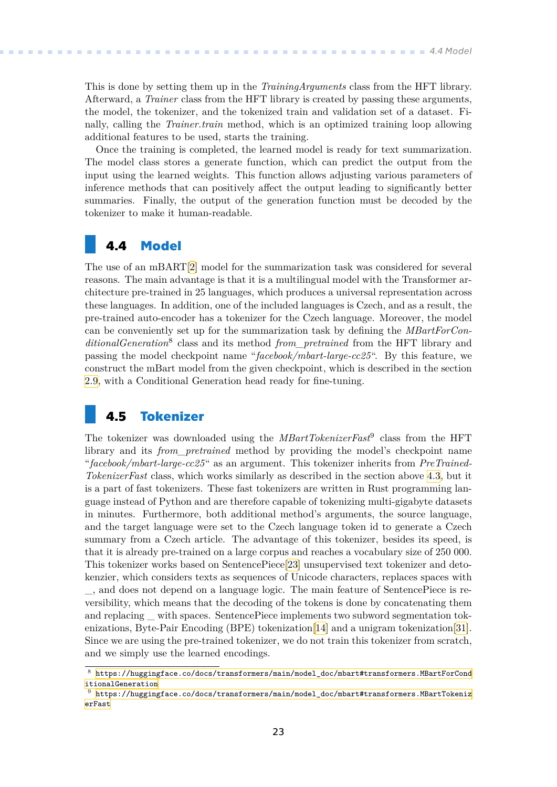<span id="page-30-1"></span>This is done by setting them up in the *TrainingArguments* class from the HFT library. Afterward, a *Trainer* class from the HFT library is created by passing these arguments, the model, the tokenizer, and the tokenized train and validation set of a dataset. Finally, calling the *Trainer.train* method, which is an optimized training loop allowing additional features to be used, starts the training.

Once the training is completed, the learned model is ready for text summarization. The model class stores a generate function, which can predict the output from the input using the learned weights. This function allows adjusting various parameters of inference methods that can positively affect the output leading to significantly better summaries. Finally, the output of the generation function must be decoded by the tokenizer to make it human-readable.

## <span id="page-30-0"></span>**4.4 Model**

The use of an mBART[[2](#page-50-2)] model for the summarization task was considered for several reasons. The main advantage is that it is a multilingual model with the Transformer architecture pre-trained in 25 languages, which produces a universal representation across these languages. In addition, one of the included languages is Czech, and as a result, the pre-trained auto-encoder has a tokenizer for the Czech language. Moreover, the model can be conveniently set up for the summarization task by defining the *MBartForCon*ditionalGeneration<sup>8</sup> class and its method *from\_pretrained* from the HFT library and passing the model checkpoint name "*facebook/mbart-large-cc25*". By this feature, we construct the mBart model from the given checkpoint, which is described in the section [2.9,](#page-17-0) with a Conditional Generation head ready for fine-tuning.

### <span id="page-30-2"></span>**4.5 Tokenizer**

The tokenizer was downloaded using the *MBartTokenizerFast*<sup>9</sup> class from the HFT library and its *from pretrained* method by providing the model's checkpoint name "*facebook/mbart-large-cc25*" as an argument. This tokenizer inherits from *PreTrained-TokenizerFast* class, which works similarly as described in the section above [4.3,](#page-29-0) but it is a part of fast tokenizers. These fast tokenizers are written in Rust programming language instead of Python and are therefore capable of tokenizing multi-gigabyte datasets in minutes. Furthermore, both additional method's arguments, the source language, and the target language were set to the Czech language token id to generate a Czech summary from a Czech article. The advantage of this tokenizer, besides its speed, is that it is already pre-trained on a large corpus and reaches a vocabulary size of 250 000. This tokenizer works based on SentencePiece[\[23](#page-51-11)] unsupervised text tokenizer and detokenzier, which considers texts as sequences of Unicode characters, replaces spaces with \_, and does not depend on a language logic. The main feature of SentencePiece is reversibility, which means that the decoding of the tokens is done by concatenating them and replacing with spaces. SentencePiece implements two subword segmentation tokenizations, Byte-Pair Encoding (BPE) tokenization[\[14](#page-51-2)] and a unigram tokenization[[31](#page-52-7)]. Since we are using the pre-trained tokenizer, we do not train this tokenizer from scratch, and we simply use the learned encodings.

 $^8\,$ [https://huggingface.co/docs/transformers/main/model\\_doc/mbart#transformers.MBartForCond](https://huggingface.co/docs/transformers/main/model_doc/mbart#transformers.MBartForConditionalGeneration) [itionalGeneration](https://huggingface.co/docs/transformers/main/model_doc/mbart#transformers.MBartForConditionalGeneration)

 $9$  [https://huggingface.co/docs/transformers/main/model\\_doc/mbart#transformers.MBartTokeniz](https://huggingface.co/docs/transformers/main/model_doc/mbart#transformers.MBartTokenizerFast) [erFast](https://huggingface.co/docs/transformers/main/model_doc/mbart#transformers.MBartTokenizerFast)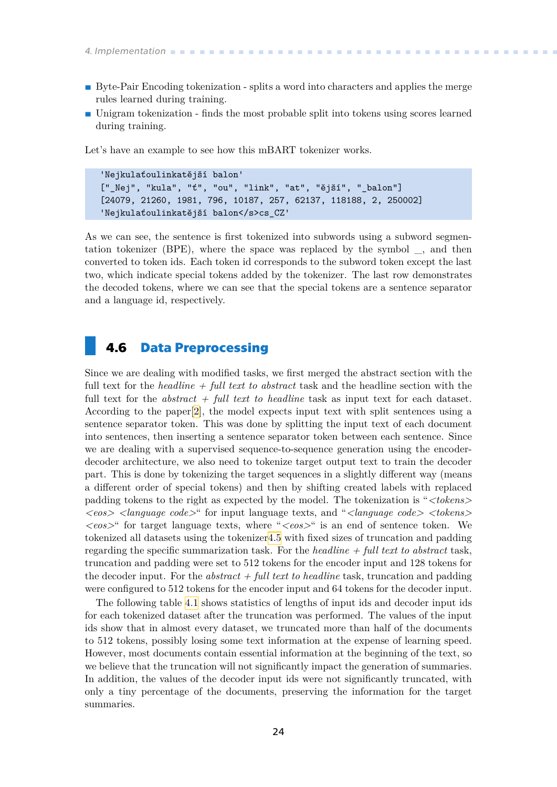- <span id="page-31-1"></span>**.** Byte-Pair Encoding tokenization - splits a word into characters and applies the merge rules learned during training.
- **.** Unigram tokenization finds the most probable split into tokens using scores learned during training.

Let's have an example to see how this mBART tokenizer works.

```
'Nejkulaťoulinkatější balon'
["_Nej", "kula", "ť", "ou", "link", "at", "ější", "_balon"]
[24079, 21260, 1981, 796, 10187, 257, 62137, 118188, 2, 250002]
'Nejkulaťoulinkatější balon</s>cs_CZ'
```
As we can see, the sentence is first tokenized into subwords using a subword segmentation tokenizer (BPE), where the space was replaced by the symbol \_, and then converted to token ids. Each token id corresponds to the subword token except the last two, which indicate special tokens added by the tokenizer. The last row demonstrates the decoded tokens, where we can see that the special tokens are a sentence separator and a language id, respectively.

### <span id="page-31-0"></span>**4.6 Data Preprocessing**

Since we are dealing with modified tasks, we first merged the abstract section with the full text for the *headline + full text to abstract* task and the headline section with the full text for the *abstract + full text to headline* task as input text for each dataset. According to the paper[\[2\]](#page-50-2), the model expects input text with split sentences using a sentence separator token. This was done by splitting the input text of each document into sentences, then inserting a sentence separator token between each sentence. Since we are dealing with a supervised sequence-to-sequence generation using the encoderdecoder architecture, we also need to tokenize target output text to train the decoder part. This is done by tokenizing the target sequences in a slightly different way (means a different order of special tokens) and then by shifting created labels with replaced padding tokens to the right as expected by the model. The tokenization is "*<tokens> <eos> <language code>*" for input language texts, and "*<language code> <tokens> <eos>*" for target language texts, where "*<eos>*" is an end of sentence token. We tokenized all datasets using the tokenizer[4.5](#page-30-2) with fixed sizes of truncation and padding regarding the specific summarization task. For the *headline + full text to abstract* task, truncation and padding were set to 512 tokens for the encoder input and 128 tokens for the decoder input. For the *abstract + full text to headline* task, truncation and padding were configured to 512 tokens for the encoder input and 64 tokens for the decoder input.

The following table [4.1](#page-32-3) shows statistics of lengths of input ids and decoder input ids for each tokenized dataset after the truncation was performed. The values of the input ids show that in almost every dataset, we truncated more than half of the documents to 512 tokens, possibly losing some text information at the expense of learning speed. However, most documents contain essential information at the beginning of the text, so we believe that the truncation will not significantly impact the generation of summaries. In addition, the values of the decoder input ids were not significantly truncated, with only a tiny percentage of the documents, preserving the information for the target summaries.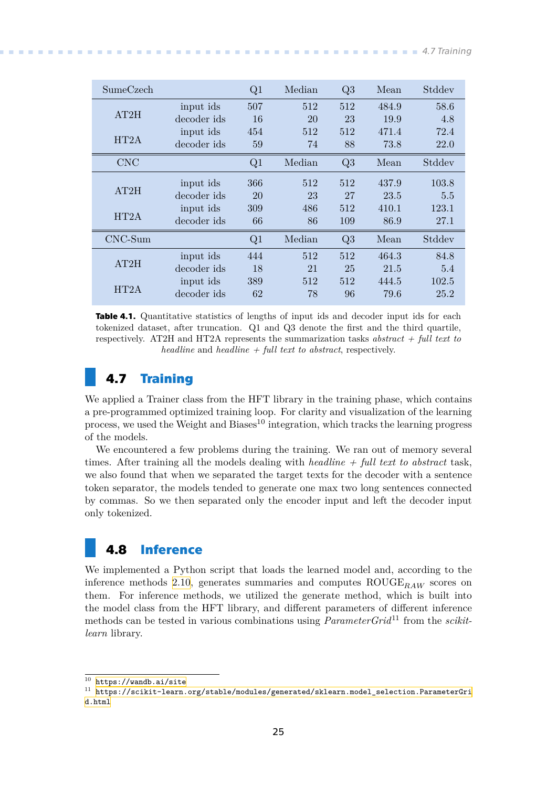<span id="page-32-1"></span>

| SumeCzech  |             | Q1  | Median | Q3  | Mean  | Stddev |
|------------|-------------|-----|--------|-----|-------|--------|
|            | input ids   | 507 | 512    | 512 | 484.9 | 58.6   |
| AT2H       | decoder ids | 16  | 20     | 23  | 19.9  | 4.8    |
|            | input ids   | 454 | 512    | 512 | 471.4 | 72.4   |
| HT2A       | decoder ids | 59  | 74     | 88  | 73.8  | 22.0   |
| <b>CNC</b> |             | Q1  | Median | Q3  | Mean  | Stddev |
|            | input ids   | 366 | 512    | 512 | 437.9 | 103.8  |
| AT2H       | decoder ids | 20  | 23     | 27  | 23.5  | 5.5    |
| HT2A       | input ids   | 309 | 486    | 512 | 410.1 | 123.1  |
|            | decoder ids | 66  | 86     | 109 | 86.9  | 27.1   |
| $CNC-Sum$  |             | Q1  | Median | Q3  | Mean  | Stddev |
| AT2H       | input ids   | 444 | 512    | 512 | 464.3 | 84.8   |
|            | decoder ids | 18  | 21     | 25  | 21.5  | 5.4    |
| HT2A       | input ids   | 389 | 512    | 512 | 444.5 | 102.5  |
|            | decoder ids | 62  | 78     | 96  | 79.6  | 25.2   |

<span id="page-32-3"></span>**Table 4.1.** Quantitative statistics of lengths of input ids and decoder input ids for each tokenized dataset, after truncation. Q1 and Q3 denote the first and the third quartile, respectively. AT2H and HT2A represents the summarization tasks *abstract + full text to headline* and *headline + full text to abstract*, respectively.

## <span id="page-32-0"></span>**4.7 Training**

We applied a Trainer class from the HFT library in the training phase, which contains a pre-programmed optimized training loop. For clarity and visualization of the learning process, we used the Weight and Biases<sup>10</sup> integration, which tracks the learning progress of the models.

We encountered a few problems during the training. We ran out of memory several times. After training all the models dealing with *headline + full text to abstract* task, we also found that when we separated the target texts for the decoder with a sentence token separator, the models tended to generate one max two long sentences connected by commas. So we then separated only the encoder input and left the decoder input only tokenized.

## <span id="page-32-2"></span>**4.8 Inference**

We implemented a Python script that loads the learned model and, according to the inference methods [2.10,](#page-18-0) generates summaries and computes  $ROUGE_{RAW}$  scores on them. For inference methods, we utilized the generate method, which is built into the model class from the HFT library, and different parameters of different inference methods can be tested in various combinations using *ParameterGrid*<sup>11</sup> from the *scikitlearn* library.

 $\overline{10}$  <https://wandb.ai/site>

 $^\mathrm{11}$ [https://scikit-learn.org/stable/modules/generated/sklearn.model\\_selection.ParameterGri](https://scikit-learn.org/stable/modules/generated/sklearn.model_selection.ParameterGrid.html) [d.html](https://scikit-learn.org/stable/modules/generated/sklearn.model_selection.ParameterGrid.html)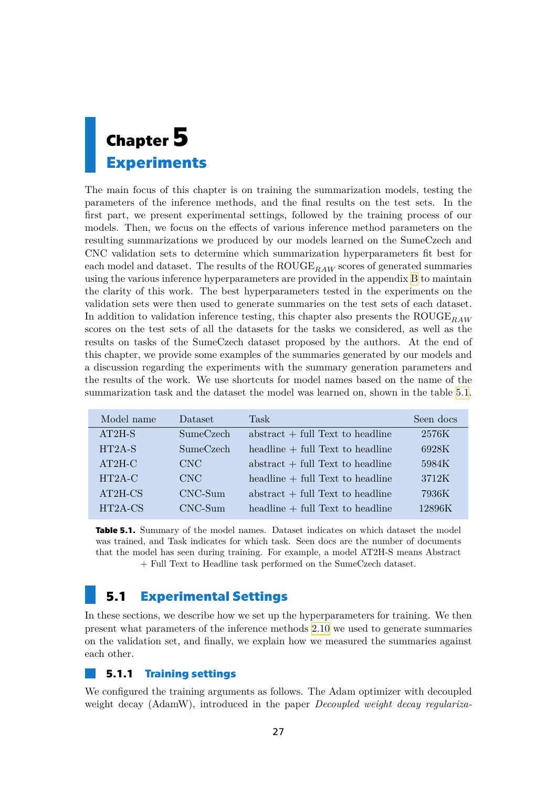# <span id="page-34-1"></span><span id="page-34-0"></span>**Chapter5 Experiments**

The main focus of this chapter is on training the summarization models, testing the parameters of the inference methods, and the final results on the test sets. In the first part, we present experimental settings, followed by the training process of our models. Then, we focus on the effects of various inference method parameters on the resulting summarizations we produced by our models learned on the SumeCzech and CNC validation sets to determine which summarization hyperparameters fit best for each model and dataset. The results of the  $ROUGE_{RAW}$  scores of generated summaries using the various inference hyperparameters are provided in the appendix [B](#page-56-0) to maintain the clarity of this work. The best hyperparameters tested in the experiments on the validation sets were then used to generate summaries on the test sets of each dataset. In addition to validation inference testing, this chapter also presents the ROUGE<sub>RAW</sub> scores on the test sets of all the datasets for the tasks we considered, as well as the results on tasks of the SumeCzech dataset proposed by the authors. At the end of this chapter, we provide some examples of the summaries generated by our models and a discussion regarding the experiments with the summary generation parameters and the results of the work. We use shortcuts for model names based on the name of the summarization task and the dataset the model was learned on, shown in the table [5.1.](#page-34-4)

| Model name | Dataset          | <b>Task</b>                        | Seen docs |
|------------|------------------|------------------------------------|-----------|
| $AT2H-S$   | <b>SumeCzech</b> | $abstract + full Text to headline$ | 2576K     |
| $HT2A-S$   | <b>SumeCzech</b> | $headline + full Text to headline$ | 6928K     |
| $AT2H-C$   | <b>CNC</b>       | $abstract + full Text to headline$ | 5984K     |
| $HT2A-C$   | CNC              | $headline + full Text to headline$ | 3712K     |
| $AT2H-CS$  | $CNC-Sum$        | $abstract + full Text to headline$ | 7936K     |
| HT2A-CS    | $CNC-Sum$        | $headline + full Text to headline$ | 12896K    |

<span id="page-34-4"></span>**Table 5.1.** Summary of the model names. Dataset indicates on which dataset the model was trained, and Task indicates for which task. Seen docs are the number of documents that the model has seen during training. For example, a model AT2H-S means Abstract + Full Text to Headline task performed on the SumeCzech dataset.

## <span id="page-34-2"></span>**5.1 Experimental Settings**

In these sections, we describe how we set up the hyperparameters for training. We then present what parameters of the inference methods [2.10](#page-18-0) we used to generate summaries on the validation set, and finally, we explain how we measured the summaries against each other.

### <span id="page-34-3"></span>**5.1.1 Training settings**

We configured the training arguments as follows. The Adam optimizer with decoupled weight decay (AdamW), introduced in the paper *Decoupled weight decay regulariza-*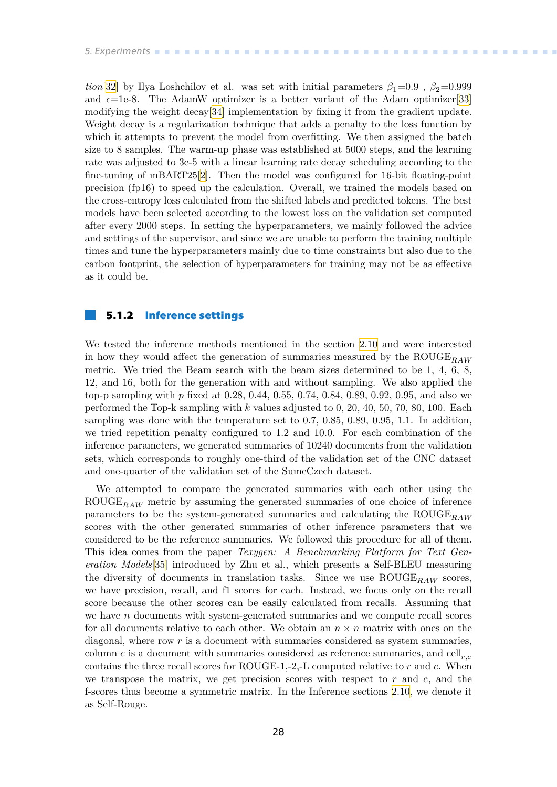<span id="page-35-1"></span>*tion*[[32\]](#page-52-8) by Ilya Loshchilov et al. was set with initial parameters  $\beta_1=0.9$ ,  $\beta_2=0.999$ and  $\epsilon$ =1e-8. The AdamW optimizer is a better variant of the Adam optimizer[[33\]](#page-52-9) modifying the weight decay[\[34](#page-52-10)] implementation by fixing it from the gradient update. Weight decay is a regularization technique that adds a penalty to the loss function by which it attempts to prevent the model from overfitting. We then assigned the batch size to 8 samples. The warm-up phase was established at 5000 steps, and the learning rate was adjusted to 3e-5 with a linear learning rate decay scheduling according to the fine-tuning of mBART25[\[2\]](#page-50-2). Then the model was configured for 16-bit floating-point precision (fp16) to speed up the calculation. Overall, we trained the models based on the cross-entropy loss calculated from the shifted labels and predicted tokens. The best models have been selected according to the lowest loss on the validation set computed after every 2000 steps. In setting the hyperparameters, we mainly followed the advice and settings of the supervisor, and since we are unable to perform the training multiple times and tune the hyperparameters mainly due to time constraints but also due to the carbon footprint, the selection of hyperparameters for training may not be as effective as it could be.

#### <span id="page-35-0"></span>**5.1.2 Inference settings**

We tested the inference methods mentioned in the section [2.10](#page-18-0) and were interested in how they would affect the generation of summaries measured by the  $\text{ROUGE}_{BAW}$ metric. We tried the Beam search with the beam sizes determined to be 1, 4, 6, 8, 12, and 16, both for the generation with and without sampling. We also applied the top-p sampling with  $p$  fixed at 0.28, 0.44, 0.55, 0.74, 0.84, 0.89, 0.92, 0.95, and also we performed the Top-k sampling with  $k$  values adjusted to 0, 20, 40, 50, 70, 80, 100. Each sampling was done with the temperature set to 0.7, 0.85, 0.89, 0.95, 1.1. In addition, we tried repetition penalty configured to 1.2 and 10.0. For each combination of the inference parameters, we generated summaries of 10240 documents from the validation sets, which corresponds to roughly one-third of the validation set of the CNC dataset and one-quarter of the validation set of the SumeCzech dataset.

We attempted to compare the generated summaries with each other using the ROUGE<sub>RAW</sub> metric by assuming the generated summaries of one choice of inference parameters to be the system-generated summaries and calculating the  $ROUGE_{RAW}$ scores with the other generated summaries of other inference parameters that we considered to be the reference summaries. We followed this procedure for all of them. This idea comes from the paper *Texygen: A Benchmarking Platform for Text Generation Models*[\[35](#page-52-11)] introduced by Zhu et al., which presents a Self-BLEU measuring the diversity of documents in translation tasks. Since we use  $\text{ROUGE}_{BAW}$  scores, we have precision, recall, and f1 scores for each. Instead, we focus only on the recall score because the other scores can be easily calculated from recalls. Assuming that we have  $n$  documents with system-generated summaries and we compute recall scores for all documents relative to each other. We obtain an  $n \times n$  matrix with ones on the diagonal, where row  $r$  is a document with summaries considered as system summaries, column c is a document with summaries considered as reference summaries, and cell,  $_c$ contains the three recall scores for ROUGE-1,-2,-L computed relative to  $r$  and  $c$ . When we transpose the matrix, we get precision scores with respect to  $r$  and  $c$ , and the f-scores thus become a symmetric matrix. In the Inference sections [2.10](#page-18-0), we denote it as Self-Rouge.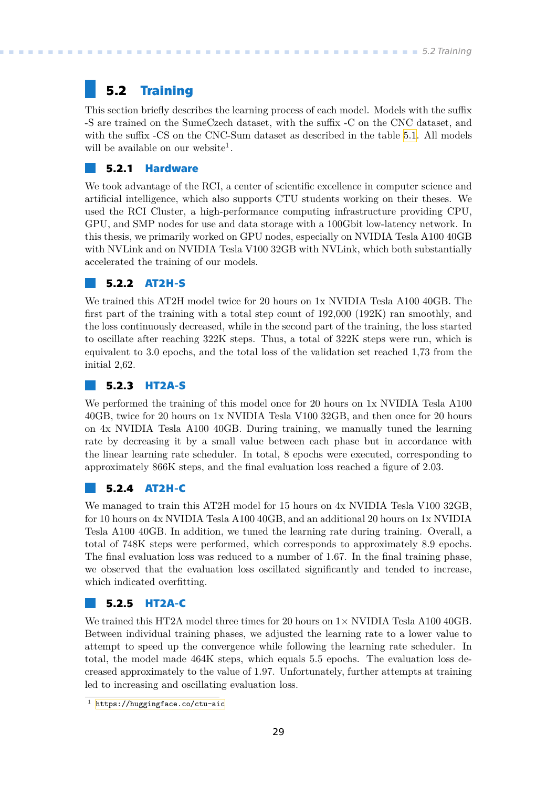## <span id="page-36-1"></span><span id="page-36-0"></span>**5.2 Training**

This section briefly describes the learning process of each model. Models with the suffix -S are trained on the SumeCzech dataset, with the suffix -C on the CNC dataset, and with the suffix -CS on the CNC-Sum dataset as described in the table [5.1](#page-34-4). All models will be available on our website<sup>1</sup>.

### <span id="page-36-2"></span>**5.2.1 Hardware**

We took advantage of the RCI, a center of scientific excellence in computer science and artificial intelligence, which also supports CTU students working on their theses. We used the RCI Cluster, a high-performance computing infrastructure providing CPU, GPU, and SMP nodes for use and data storage with a 100Gbit low-latency network. In this thesis, we primarily worked on GPU nodes, especially on NVIDIA Tesla A100 40GB with NVLink and on NVIDIA Tesla V100 32GB with NVLink, which both substantially accelerated the training of our models.

### <span id="page-36-3"></span>**5.2.2 AT2H-S**

We trained this AT2H model twice for 20 hours on 1x NVIDIA Tesla A100 40GB. The first part of the training with a total step count of 192,000 (192K) ran smoothly, and the loss continuously decreased, while in the second part of the training, the loss started to oscillate after reaching 322K steps. Thus, a total of 322K steps were run, which is equivalent to 3.0 epochs, and the total loss of the validation set reached 1,73 from the initial 2,62.

### <span id="page-36-4"></span>**5.2.3 HT2A-S**

We performed the training of this model once for 20 hours on 1x NVIDIA Tesla A100 40GB, twice for 20 hours on 1x NVIDIA Tesla V100 32GB, and then once for 20 hours on 4x NVIDIA Tesla A100 40GB. During training, we manually tuned the learning rate by decreasing it by a small value between each phase but in accordance with the linear learning rate scheduler. In total, 8 epochs were executed, corresponding to approximately 866K steps, and the final evaluation loss reached a figure of 2.03.

### <span id="page-36-5"></span>**5.2.4 AT2H-C**

We managed to train this AT2H model for 15 hours on 4x NVIDIA Tesla V100 32GB, for 10 hours on 4x NVIDIA Tesla A100 40GB, and an additional 20 hours on 1x NVIDIA Tesla A100 40GB. In addition, we tuned the learning rate during training. Overall, a total of 748K steps were performed, which corresponds to approximately 8.9 epochs. The final evaluation loss was reduced to a number of 1.67. In the final training phase, we observed that the evaluation loss oscillated significantly and tended to increase, which indicated overfitting.

### <span id="page-36-6"></span>**5.2.5 HT2A-C**

We trained this HT2A model three times for 20 hours on  $1 \times$  NVIDIA Tesla A100 40GB. Between individual training phases, we adjusted the learning rate to a lower value to attempt to speed up the convergence while following the learning rate scheduler. In total, the model made 464K steps, which equals 5.5 epochs. The evaluation loss decreased approximately to the value of 1.97. Unfortunately, further attempts at training led to increasing and oscillating evaluation loss.

 $\frac{1}{1}$  <https://huggingface.co/ctu-aic>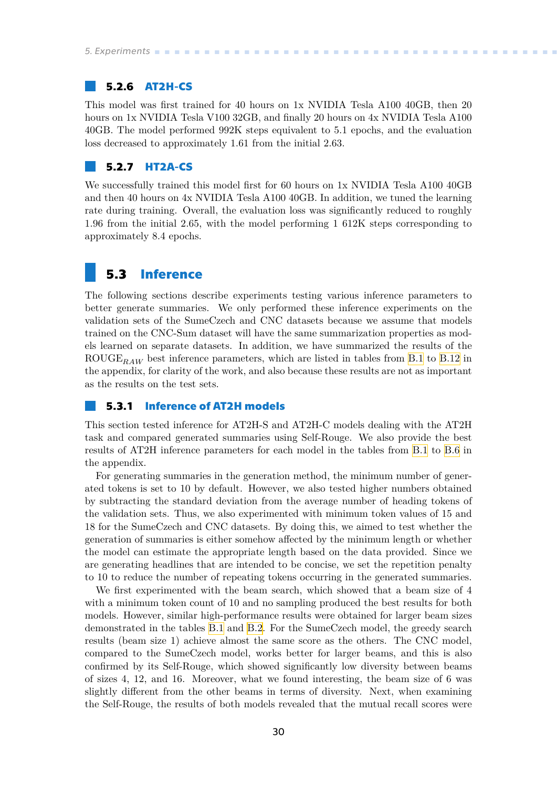### <span id="page-37-1"></span><span id="page-37-0"></span>**5.2.6 AT2H-CS**

This model was first trained for 40 hours on 1x NVIDIA Tesla A100 40GB, then 20 hours on 1x NVIDIA Tesla V100 32GB, and finally 20 hours on 4x NVIDIA Tesla A100 40GB. The model performed 992K steps equivalent to 5.1 epochs, and the evaluation loss decreased to approximately 1.61 from the initial 2.63.

### <span id="page-37-2"></span>**5.2.7 HT2A-CS**

We successfully trained this model first for 60 hours on 1x NVIDIA Tesla A100 40GB and then 40 hours on 4x NVIDIA Tesla A100 40GB. In addition, we tuned the learning rate during training. Overall, the evaluation loss was significantly reduced to roughly 1.96 from the initial 2.65, with the model performing 1 612K steps corresponding to approximately 8.4 epochs.

### <span id="page-37-3"></span>**5.3 Inference**

The following sections describe experiments testing various inference parameters to better generate summaries. We only performed these inference experiments on the validation sets of the SumeCzech and CNC datasets because we assume that models trained on the CNC-Sum dataset will have the same summarization properties as models learned on separate datasets. In addition, we have summarized the results of the ROUGE<sub>RAW</sub> best inference parameters, which are listed in tables from [B.1](#page-56-3) to [B.12](#page-58-4) in the appendix, for clarity of the work, and also because these results are not as important as the results on the test sets.

### <span id="page-37-4"></span>**5.3.1 Inference of AT2H models**

This section tested inference for AT2H-S and AT2H-C models dealing with the AT2H task and compared generated summaries using Self-Rouge. We also provide the best results of AT2H inference parameters for each model in the tables from [B.1](#page-56-3) to [B.6](#page-57-4) in the appendix.

For generating summaries in the generation method, the minimum number of generated tokens is set to 10 by default. However, we also tested higher numbers obtained by subtracting the standard deviation from the average number of heading tokens of the validation sets. Thus, we also experimented with minimum token values of 15 and 18 for the SumeCzech and CNC datasets. By doing this, we aimed to test whether the generation of summaries is either somehow affected by the minimum length or whether the model can estimate the appropriate length based on the data provided. Since we are generating headlines that are intended to be concise, we set the repetition penalty to 10 to reduce the number of repeating tokens occurring in the generated summaries.

We first experimented with the beam search, which showed that a beam size of 4 with a minimum token count of 10 and no sampling produced the best results for both models. However, similar high-performance results were obtained for larger beam sizes demonstrated in the tables [B.1](#page-56-3) and [B.2.](#page-56-4) For the SumeCzech model, the greedy search results (beam size 1) achieve almost the same score as the others. The CNC model, compared to the SumeCzech model, works better for larger beams, and this is also confirmed by its Self-Rouge, which showed significantly low diversity between beams of sizes 4, 12, and 16. Moreover, what we found interesting, the beam size of 6 was slightly different from the other beams in terms of diversity. Next, when examining the Self-Rouge, the results of both models revealed that the mutual recall scores were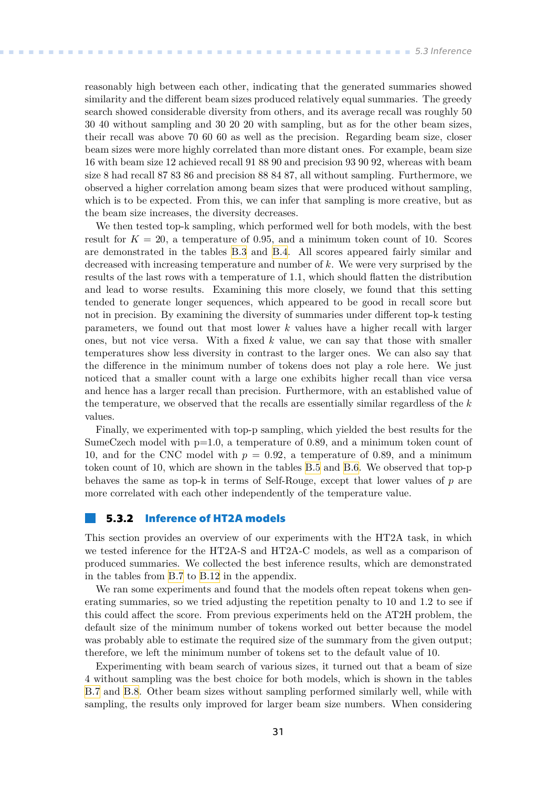<span id="page-38-1"></span>reasonably high between each other, indicating that the generated summaries showed similarity and the different beam sizes produced relatively equal summaries. The greedy search showed considerable diversity from others, and its average recall was roughly 50 30 40 without sampling and 30 20 20 with sampling, but as for the other beam sizes, their recall was above 70 60 60 as well as the precision. Regarding beam size, closer beam sizes were more highly correlated than more distant ones. For example, beam size 16 with beam size 12 achieved recall 91 88 90 and precision 93 90 92, whereas with beam size 8 had recall 87 83 86 and precision 88 84 87, all without sampling. Furthermore, we observed a higher correlation among beam sizes that were produced without sampling, which is to be expected. From this, we can infer that sampling is more creative, but as the beam size increases, the diversity decreases.

We then tested top-k sampling, which performed well for both models, with the best result for  $K = 20$ , a temperature of 0.95, and a minimum token count of 10. Scores are demonstrated in the tables [B.3](#page-56-5) and [B.4](#page-57-2). All scores appeared fairly similar and decreased with increasing temperature and number of  $k$ . We were very surprised by the results of the last rows with a temperature of 1.1, which should flatten the distribution and lead to worse results. Examining this more closely, we found that this setting tended to generate longer sequences, which appeared to be good in recall score but not in precision. By examining the diversity of summaries under different top-k testing parameters, we found out that most lower  $k$  values have a higher recall with larger ones, but not vice versa. With a fixed  $k$  value, we can say that those with smaller temperatures show less diversity in contrast to the larger ones. We can also say that the difference in the minimum number of tokens does not play a role here. We just noticed that a smaller count with a large one exhibits higher recall than vice versa and hence has a larger recall than precision. Furthermore, with an established value of the temperature, we observed that the recalls are essentially similar regardless of the  $k$ values.

Finally, we experimented with top-p sampling, which yielded the best results for the SumeCzech model with p=1.0, a temperature of 0.89, and a minimum token count of 10, and for the CNC model with  $p = 0.92$ , a temperature of 0.89, and a minimum token count of 10, which are shown in the tables [B.5](#page-57-3) and [B.6.](#page-57-4) We observed that top-p behaves the same as top-k in terms of Self-Rouge, except that lower values of  $p$  are more correlated with each other independently of the temperature value.

### <span id="page-38-0"></span>**5.3.2 Inference of HT2A models**

This section provides an overview of our experiments with the HT2A task, in which we tested inference for the HT2A-S and HT2A-C models, as well as a comparison of produced summaries. We collected the best inference results, which are demonstrated in the tables from [B.7](#page-57-5) to [B.12](#page-58-4) in the appendix.

We ran some experiments and found that the models often repeat tokens when generating summaries, so we tried adjusting the repetition penalty to 10 and 1.2 to see if this could affect the score. From previous experiments held on the AT2H problem, the default size of the minimum number of tokens worked out better because the model was probably able to estimate the required size of the summary from the given output; therefore, we left the minimum number of tokens set to the default value of 10.

Experimenting with beam search of various sizes, it turned out that a beam of size 4 without sampling was the best choice for both models, which is shown in the tables [B.7](#page-57-5) and [B.8.](#page-57-6) Other beam sizes without sampling performed similarly well, while with sampling, the results only improved for larger beam size numbers. When considering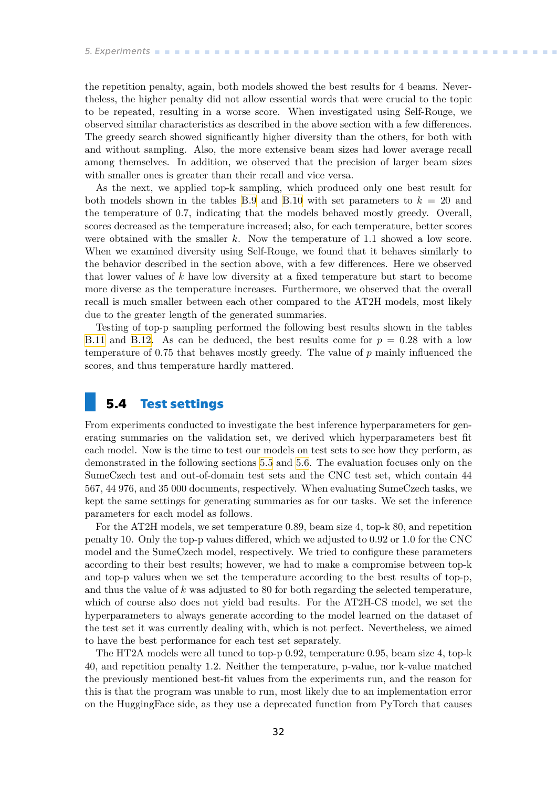<span id="page-39-1"></span>the repetition penalty, again, both models showed the best results for 4 beams. Nevertheless, the higher penalty did not allow essential words that were crucial to the topic to be repeated, resulting in a worse score. When investigated using Self-Rouge, we observed similar characteristics as described in the above section with a few differences. The greedy search showed significantly higher diversity than the others, for both with and without sampling. Also, the more extensive beam sizes had lower average recall among themselves. In addition, we observed that the precision of larger beam sizes with smaller ones is greater than their recall and vice versa.

As the next, we applied top-k sampling, which produced only one best result for both models shown in the tables [B.9](#page-58-0) and [B.10](#page-58-2) with set parameters to  $k = 20$  and the temperature of 0.7, indicating that the models behaved mostly greedy. Overall, scores decreased as the temperature increased; also, for each temperature, better scores were obtained with the smaller  $k$ . Now the temperature of 1.1 showed a low score. When we examined diversity using Self-Rouge, we found that it behaves similarly to the behavior described in the section above, with a few differences. Here we observed that lower values of  $k$  have low diversity at a fixed temperature but start to become more diverse as the temperature increases. Furthermore, we observed that the overall recall is much smaller between each other compared to the AT2H models, most likely due to the greater length of the generated summaries.

Testing of top-p sampling performed the following best results shown in the tables [B.11](#page-58-3) and [B.12.](#page-58-4) As can be deduced, the best results come for  $p = 0.28$  with a low temperature of 0.75 that behaves mostly greedy. The value of  $p$  mainly influenced the scores, and thus temperature hardly mattered.

## <span id="page-39-0"></span>**5.4 Test settings**

From experiments conducted to investigate the best inference hyperparameters for generating summaries on the validation set, we derived which hyperparameters best fit each model. Now is the time to test our models on test sets to see how they perform, as demonstrated in the following sections [5.5](#page-40-0) and [5.6](#page-41-0). The evaluation focuses only on the SumeCzech test and out-of-domain test sets and the CNC test set, which contain 44 567, 44 976, and 35 000 documents, respectively. When evaluating SumeCzech tasks, we kept the same settings for generating summaries as for our tasks. We set the inference parameters for each model as follows.

For the AT2H models, we set temperature 0.89, beam size 4, top-k 80, and repetition penalty 10. Only the top-p values differed, which we adjusted to 0.92 or 1.0 for the CNC model and the SumeCzech model, respectively. We tried to configure these parameters according to their best results; however, we had to make a compromise between top-k and top-p values when we set the temperature according to the best results of top-p, and thus the value of  $k$  was adjusted to 80 for both regarding the selected temperature, which of course also does not yield bad results. For the AT2H-CS model, we set the hyperparameters to always generate according to the model learned on the dataset of the test set it was currently dealing with, which is not perfect. Nevertheless, we aimed to have the best performance for each test set separately.

The HT2A models were all tuned to top-p 0.92, temperature 0.95, beam size 4, top-k 40, and repetition penalty 1.2. Neither the temperature, p-value, nor k-value matched the previously mentioned best-fit values from the experiments run, and the reason for this is that the program was unable to run, most likely due to an implementation error on the HuggingFace side, as they use a deprecated function from PyTorch that causes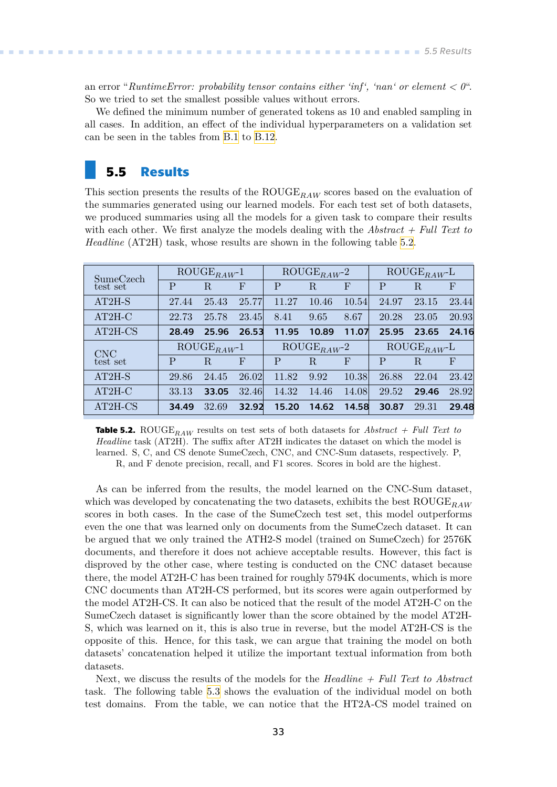<span id="page-40-1"></span>an error "*RuntimeError: probability tensor contains either 'inf', 'nan' or element < 0*". So we tried to set the smallest possible values without errors.

We defined the minimum number of generated tokens as 10 and enabled sampling in all cases. In addition, an effect of the individual hyperparameters on a validation set can be seen in the tables from [B.1](#page-56-3) to [B.12.](#page-58-4)

### <span id="page-40-0"></span>**5.5 Results**

This section presents the results of the  $ROUGE_{RAW}$  scores based on the evaluation of the summaries generated using our learned models. For each test set of both datasets, we produced summaries using all the models for a given task to compare their results with each other. We first analyze the models dealing with the *Abstract + Full Text to Headline* (AT2H) task, whose results are shown in the following table [5.2](#page-40-2).

| SumeCzech              |                                        | $\overline{\mathrm{ROUGE}}_{RAW}^{-1}$ |              |       | $\overline{\mathrm{ROUGE}}_{RAW}^{-2}$ |             | $\overline{\mathrm{ROUGE}}_{RAW}$ L |                          |              |
|------------------------|----------------------------------------|----------------------------------------|--------------|-------|----------------------------------------|-------------|-------------------------------------|--------------------------|--------------|
| test set               | $\mathbf{P}$                           | R                                      | $\mathbf F$  | P     | $_{\rm R}$                             | $\mathbf F$ | P                                   | R                        | $\mathbf{F}$ |
| $AT2H-S$               | 27.44                                  | 25.43                                  | 25.77        | 11.27 | 10.46                                  | 10.54       | 24.97                               | 23.15                    | 23.44        |
| $AT2H-C$               | 22.73                                  | 25.78                                  | 23.45        | 8.41  | 9.65                                   | 8.67        | 20.28                               | 23.05                    | 20.93        |
| AT2H-CS                | 28.49                                  | 25.96                                  | 26.53        | 11.95 | 10.89                                  | 11.07       | 25.95                               | 23.65                    | 24.16        |
|                        | $\overline{\mathrm{ROUGE}}_{RAW^{-1}}$ |                                        |              |       |                                        |             |                                     |                          |              |
|                        |                                        |                                        |              |       | $\text{ROUGE}_{RAW}$ <sup>2</sup>      |             |                                     | $\mathrm{ROUGE}_{RAW}$ L |              |
| <b>CNC</b><br>test set | P                                      | $\rm R$                                | $\mathbf{F}$ | P     | $_{\rm R}$                             | $\mathbf F$ | P                                   | R                        | $\mathbf{F}$ |
| $AT2H-S$               | 29.86                                  | 24.45                                  | 26.02        | 11.82 | 9.92                                   | 10.38       | 26.88                               | 22.04                    | 23.42        |
| $AT2H-C$               | 33.13                                  | 33.05                                  | 32.46        | 14.32 | 14.46                                  | 14.08       | 29.52                               | 29.46                    | 28.92        |

<span id="page-40-2"></span>**Table 5.2.** ROUGE<sub>RAW</sub> results on test sets of both datasets for  $Abstract + Full Text to$ *Headline* task (AT2H). The suffix after AT2H indicates the dataset on which the model is learned. S, C, and CS denote SumeCzech, CNC, and CNC-Sum datasets, respectively. P, R, and F denote precision, recall, and F1 scores. Scores in bold are the highest.

As can be inferred from the results, the model learned on the CNC-Sum dataset, which was developed by concatenating the two datasets, exhibits the best  $\text{ROUGE}_{RAM}$ scores in both cases. In the case of the SumeCzech test set, this model outperforms even the one that was learned only on documents from the SumeCzech dataset. It can be argued that we only trained the ATH2-S model (trained on SumeCzech) for 2576K documents, and therefore it does not achieve acceptable results. However, this fact is disproved by the other case, where testing is conducted on the CNC dataset because there, the model AT2H-C has been trained for roughly 5794K documents, which is more CNC documents than AT2H-CS performed, but its scores were again outperformed by the model AT2H-CS. It can also be noticed that the result of the model AT2H-C on the SumeCzech dataset is significantly lower than the score obtained by the model AT2H-S, which was learned on it, this is also true in reverse, but the model AT2H-CS is the opposite of this. Hence, for this task, we can argue that training the model on both datasets' concatenation helped it utilize the important textual information from both datasets.

Next, we discuss the results of the models for the *Headline + Full Text to Abstract* task. The following table [5.3](#page-41-2) shows the evaluation of the individual model on both test domains. From the table, we can notice that the HT2A-CS model trained on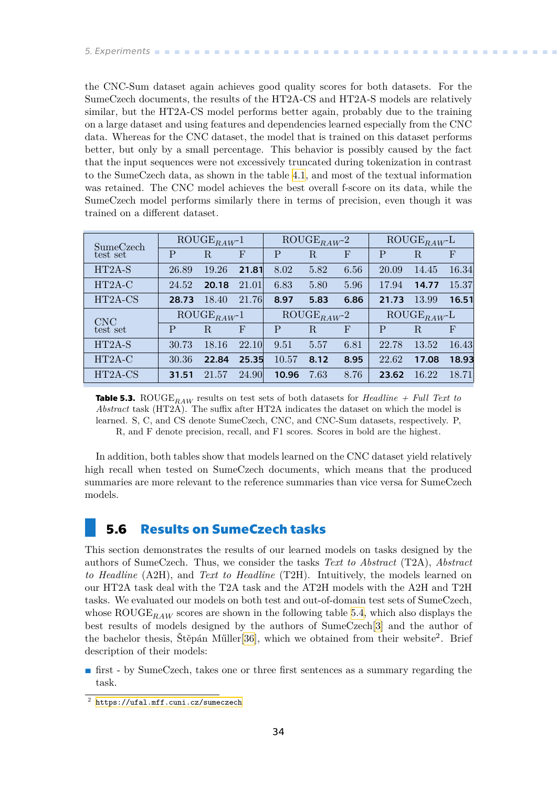<span id="page-41-1"></span>the CNC-Sum dataset again achieves good quality scores for both datasets. For the SumeCzech documents, the results of the HT2A-CS and HT2A-S models are relatively similar, but the HT2A-CS model performs better again, probably due to the training on a large dataset and using features and dependencies learned especially from the CNC data. Whereas for the CNC dataset, the model that is trained on this dataset performs better, but only by a small percentage. This behavior is possibly caused by the fact that the input sequences were not excessively truncated during tokenization in contrast to the SumeCzech data, as shown in the table [4.1,](#page-32-3) and most of the textual information was retained. The CNC model achieves the best overall f-score on its data, while the SumeCzech model performs similarly there in terms of precision, even though it was trained on a different dataset.

| SumeCzech              |              | $\overline{\mathrm{ROUGE}}_{RAW^{-1}}$ |              |              | $\text{ROUGE}_{RAW}$ -2 |                           | $\overline{\mathrm{ROUGE}}_{RAW}$ L |                                     |              |
|------------------------|--------------|----------------------------------------|--------------|--------------|-------------------------|---------------------------|-------------------------------------|-------------------------------------|--------------|
| test set               | $\mathbf{P}$ | $\rm R$                                | $\mathbf{F}$ | $\mathbf{P}$ | $_{\rm R}$              | $\mathbf{F}$              | P                                   | R.                                  | $\mathbf{F}$ |
| $HT2A-S$               | 26.89        | 19.26                                  | 21.81        | 8.02         | 5.82                    | 6.56                      | 20.09                               | 14.45                               | 16.34        |
| HT2A-C                 | 24.52        | 20.18                                  | 21.01        | 6.83         | 5.80                    | 5.96                      | 17.94                               | 14.77                               | 15.37        |
| HT2A-CS                | 28.73        | 18.40                                  | 21.76        | 8.97         | 5.83                    | 6.86                      | 21.73                               | 13.99                               | 16.51        |
|                        |              |                                        |              |              |                         |                           |                                     |                                     |              |
|                        |              | $\text{ROUGE}_{RAW}$ -1                |              |              | $\text{ROUGE}_{RAW}$ -2 |                           |                                     | $\overline{\mathrm{ROUGE}}_{RAW}$ L |              |
| <b>CNC</b><br>test set | P            | R.                                     | $\mathbf F$  | P            | R.                      | $\boldsymbol{\mathrm{F}}$ | P                                   | R.                                  | $\mathbf{F}$ |
| HT2A-S                 | 30.73        | 18.16                                  | 22.10        | 9.51         | 5.57                    | 6.81                      | 22.78                               | 13.52                               | 16.43        |
| $HT2A-C$               | 30.36        | 22.84                                  | 25.35        | 10.57        | 8.12                    | 8.95                      | 22.62                               | 17.08                               | 18.93        |

<span id="page-41-2"></span>**Table 5.3.** ROUGE<sub>RAW</sub> results on test sets of both datasets for *Headline + Full Text to Abstract* task (HT2A). The suffix after HT2A indicates the dataset on which the model is learned. S, C, and CS denote SumeCzech, CNC, and CNC-Sum datasets, respectively. P, R, and F denote precision, recall, and F1 scores. Scores in bold are the highest.

In addition, both tables show that models learned on the CNC dataset yield relatively high recall when tested on SumeCzech documents, which means that the produced summaries are more relevant to the reference summaries than vice versa for SumeCzech models.

### <span id="page-41-0"></span>**5.6 Results on SumeCzech tasks**

This section demonstrates the results of our learned models on tasks designed by the authors of SumeCzech. Thus, we consider the tasks *Text to Abstract* (T2A), *Abstract to Headline* (A2H), and *Text to Headline* (T2H). Intuitively, the models learned on our HT2A task deal with the T2A task and the AT2H models with the A2H and T2H tasks. We evaluated our models on both test and out-of-domain test sets of SumeCzech, whose ROUGE<sub>RAW</sub> scores are shown in the following table [5.4](#page-43-0), which also displays the best results of models designed by the authors of SumeCzech[\[3\]](#page-50-3) and the author of the bachelor thesis, Štěpán Műller<sup>[[36\]](#page-52-12)</sup>, which we obtained from their website<sup>2</sup>. Brief description of their models:

**.** first - by SumeCzech, takes one or three first sentences as a summary regarding the task.

<sup>2</sup> <https://ufal.mff.cuni.cz/sumeczech>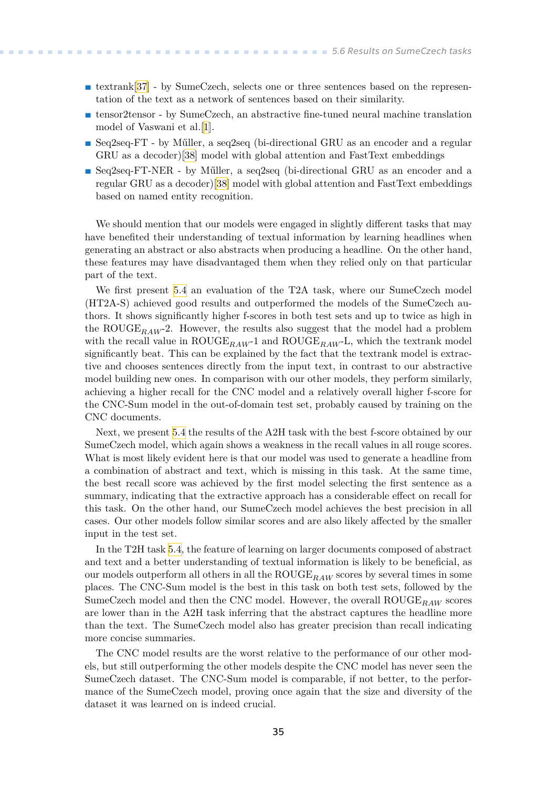- **.** textrank[\[37](#page-53-0)] by SumeCzech, selects one or three sentences based on the representation of the text as a network of sentences based on their similarity.
- **.** tensor2tensor by SumeCzech, an abstractive fine-tuned neural machine translation model of Vaswani et al.[[1](#page-50-1)].
- **.** Seq2seq-FT by Műller, a seq2seq (bi-directional GRU as an encoder and a regular GRU as a decoder)[\[38](#page-53-1)] model with global attention and FastText embeddings
- **.** Seq2seq-FT-NER by Műller, a seq2seq (bi-directional GRU as an encoder and a regular GRU as a decoder)[[38\]](#page-53-1) model with global attention and FastText embeddings based on named entity recognition.

We should mention that our models were engaged in slightly different tasks that may have benefited their understanding of textual information by learning headlines when generating an abstract or also abstracts when producing a headline. On the other hand, these features may have disadvantaged them when they relied only on that particular part of the text.

We first present [5.4](#page-43-0) an evaluation of the T2A task, where our SumeCzech model (HT2A-S) achieved good results and outperformed the models of the SumeCzech authors. It shows significantly higher f-scores in both test sets and up to twice as high in the ROUGE<sub>RAW</sub>-2. However, the results also suggest that the model had a problem with the recall value in  $ROUGE_{RAW}$ -1 and  $ROUGE_{RAW}$ -L, which the textrank model significantly beat. This can be explained by the fact that the textrank model is extractive and chooses sentences directly from the input text, in contrast to our abstractive model building new ones. In comparison with our other models, they perform similarly, achieving a higher recall for the CNC model and a relatively overall higher f-score for the CNC-Sum model in the out-of-domain test set, probably caused by training on the CNC documents.

Next, we present [5.4](#page-43-0) the results of the A2H task with the best f-score obtained by our SumeCzech model, which again shows a weakness in the recall values in all rouge scores. What is most likely evident here is that our model was used to generate a headline from a combination of abstract and text, which is missing in this task. At the same time, the best recall score was achieved by the first model selecting the first sentence as a summary, indicating that the extractive approach has a considerable effect on recall for this task. On the other hand, our SumeCzech model achieves the best precision in all cases. Our other models follow similar scores and are also likely affected by the smaller input in the test set.

In the T2H task [5.4,](#page-43-0) the feature of learning on larger documents composed of abstract and text and a better understanding of textual information is likely to be beneficial, as our models outperform all others in all the  $\text{ROUGE}_{RAW}$  scores by several times in some places. The CNC-Sum model is the best in this task on both test sets, followed by the SumeCzech model and then the CNC model. However, the overall  $ROUGE_{RAW}$  scores are lower than in the A2H task inferring that the abstract captures the headline more than the text. The SumeCzech model also has greater precision than recall indicating more concise summaries.

The CNC model results are the worst relative to the performance of our other models, but still outperforming the other models despite the CNC model has never seen the SumeCzech dataset. The CNC-Sum model is comparable, if not better, to the performance of the SumeCzech model, proving once again that the size and diversity of the dataset it was learned on is indeed crucial.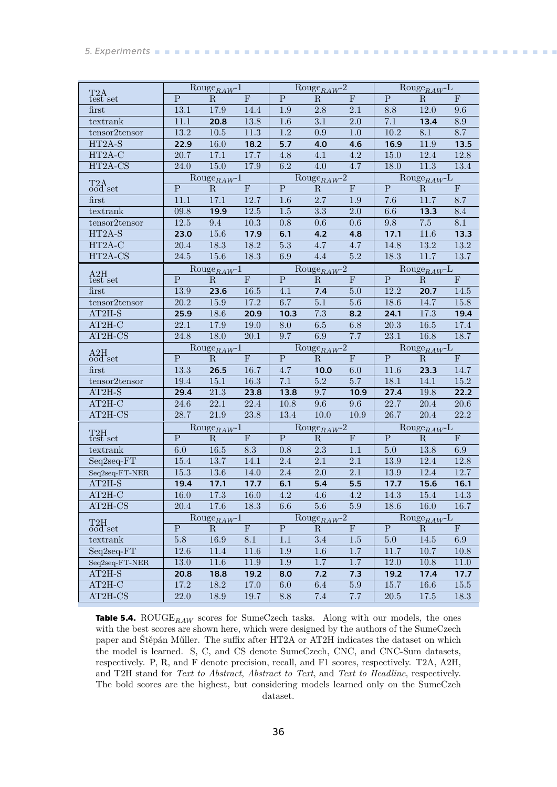#### <span id="page-43-1"></span>*5. Experiments* **..........................................**

|                                             |                   | $\text{Rouge}_{RAW}$ <sup>1</sup>      |                   |                         | $\text{Rouge}_{RAW}$ -2                |                  | $\overline{\text{Rouge}_{RAW}}$ L |                                                         |                         |
|---------------------------------------------|-------------------|----------------------------------------|-------------------|-------------------------|----------------------------------------|------------------|-----------------------------------|---------------------------------------------------------|-------------------------|
| $\text{{\bf T2A}}_{\rm test}$               | $\mathbf{P}$      | $\mathbf R$                            | F                 | $\overline{P}$          | ${\bf R}$                              | $\mathbf F$      | $\overline{P}$                    | ${\bf R}$                                               | F                       |
| first                                       | $13.1\,$          | 17.9                                   | 14.4              | $1.9\,$                 | $2.8\,$                                | $2.1\,$          | $8.8\,$                           | $12.0\,$                                                | $9.6\,$                 |
| textrank                                    | $11.1\,$          | 20.8                                   | 13.8              | $1.6\,$                 | $3.1\,$                                | $\overline{2.0}$ | 7.1                               | 13.4                                                    | $\ \ 8.9$               |
| tensor2tensor                               | $\overline{13.2}$ | $10.5\,$                               | $11.3\,$          | $1.2\,$                 | $0.9\,$                                | $1.0\,$          | $10.2\,$                          | 8.1                                                     | 8.7                     |
| $HT2A-S$                                    | $\overline{22.9}$ | 16.0                                   | 18.2              | 5.7                     | 4.0                                    | 4.6              | 16.9                              | 11.9                                                    | 13.5                    |
| $HT2A-C$                                    | 20.7              | 17.1                                   | 17.7              | 4.8                     | $4.1\,$                                | 4.2              | $15.0\,$                          | $12.4\,$                                                | 12.8                    |
| $HT2A-CS$                                   | 24.0              | $15.0\,$                               | 17.9              | $6.2\,$                 | $4.0\,$                                | $4.7\,$          | $18.0\,$                          | $11.3\,$                                                | 13.4                    |
|                                             |                   | $\text{Rouge}_{RAW}1$                  |                   |                         | $\text{Rouge}_{RAW}$ -2                |                  |                                   | $\text{Rouge}_{RAW}$ L                                  |                         |
| $T2A$ set                                   | ${\bf P}$         | $\mathbf R$                            | ${\bf F}$         | ${\bf P}$               | ${\bf R}$                              | $\mathbf F$      | ${\bf P}$                         | ${\bf R}$                                               | $\mathbf F$             |
| first                                       | 11.1              | 17.1                                   | 12.7              | $1.6\,$                 | $2.7\,$                                | $1.9\,$          | $7.6\,$                           | 11.7                                                    | 8.7                     |
| textrank                                    | 09.8              | 19.9                                   | 12.5              | $1.5\,$                 | $3.3\,$                                | $2.0\,$          | $6.6\,$                           | 13.3                                                    | 8.4                     |
| tensor2tensor                               | $12.5\,$          | $\rm 9.4$                              | $10.3\,$          | $0.8\,$                 | $0.6\,$                                | $0.6\,$          | 9.8                               | 7.5                                                     | $8.1\,$                 |
| HT2A-S                                      | 23.0              | 15.6                                   | 17.9              | 6.1                     | 4.2                                    | 4.8              | 17.1                              | 11.6                                                    | 13.3                    |
| $HT2A-C$                                    | $20.4\,$          | 18.3                                   | $18.2\,$          | $5.3\,$                 | $4.7\,$                                | 4.7              | 14.8                              | $13.2\,$                                                | 13.2                    |
| HT2A-CS                                     | $24.5\,$          | $15.6\,$                               | 18.3              | $6.9\,$                 | $4.4\,$                                | $5.2\,$          | 18.3                              | $11.7\,$                                                | 13.7                    |
|                                             |                   | $\text{Rouge}_{RAW}$ -1                |                   |                         | $\text{Rouge}_{RAW}$ -2                |                  |                                   | $\overline{\mathrm{Rouge}_{RAW}}$ L                     |                         |
| $\underset{\text{test}}{\mathrm{A2H}}$ set  | ${\bf P}$         | ${\bf R}$                              | $\mathbf F$       | $\overline{\mathbf{P}}$ | ${\bf R}$                              | $\mathbf F$      | $\mathbf P$                       | ${\bf R}$                                               | $\mathbf F$             |
| first                                       | 13.9              | 23.6                                   | 16.5              | 4.1                     | 7.4                                    | $5.0\,$          | 12.2                              | 20.7                                                    | 14.5                    |
| tensor2tensor                               | $20.2\,$          | $15.9\,$                               | $17.2\,$          | 6.7                     | $\overline{5.1}$                       | $5.6\,$          | 18.6                              | 14.7                                                    | 15.8                    |
| $AT2H-S$                                    | 25.9              | 18.6                                   | 20.9              | 10.3                    | $\overline{7.3}$                       | 8.2              | 24.1                              | 17.3                                                    | 19.4                    |
| $AT2H-C$                                    | 22.1              | 17.9                                   | $19.0\,$          | $8.0\,$                 | $\overline{6.5}$                       | $6.8\,$          | 20.3                              | $\overline{16.5}$                                       | $17.4\,$                |
| $AT2H-CS$                                   | $\overline{24.8}$ | $\overline{18.0}$                      | $\overline{20.1}$ | $\overline{9.7}$        | $\overline{6.9}$                       | 7.7              | $\overline{23.1}$                 | $\overline{16.8}$                                       | 18.7                    |
|                                             |                   |                                        |                   |                         |                                        |                  |                                   |                                                         |                         |
|                                             |                   |                                        |                   |                         |                                        |                  |                                   |                                                         |                         |
| $\underset{\mathrm{ood}}{\mathrm{A2H}}$ set | ${\bf P}$         | $\text{Rouge}_{RAW}$ -1<br>$\mathbf R$ | $\mathbf F$       | $\overline{P}$          | $\text{Rouge}_{RAW}$ -2<br>${\bf R}$   | $\overline{F}$   | $\overline{P}$                    | $\text{Rouge}_{RAW}$ -L<br>${\bf R}$                    | $\overline{\mathrm{F}}$ |
| first                                       | 13.3              | 26.5                                   | 16.7              | 4.7                     | 10.0                                   | $6.0\,$          | 11.6                              | 23.3                                                    | 14.7                    |
| tensor2tensor                               | $19.4\,$          | 15.1                                   | $16.3\,$          | 7.1                     | $5.2\,$                                | $5.7\,$          | 18.1                              | 14.1                                                    | $15.2\,$                |
| $AT2H-S$                                    | 29.4              | $21.3\,$                               | 23.8              | 13.8                    | 9.7                                    | 10.9             | 27.4                              | $19.8\,$                                                | 22.2                    |
| $\overline{\text{AT2H-C}}$                  | $24.6\,$          | 22.1                                   | $22.4\,$          | 10.8                    | 9.6                                    | $9.6\,$          | 22.7                              | $20.4\,$                                                | $20.6\,$                |
| $\overline{\text{AT2H-CS}}$                 | 28.7              | $21.9\,$                               | $23.8\,$          | 13.4                    | $10.0$                                 | $10.9\,$         | $\overline{26.7}$                 | $20.4\,$                                                | $\overline{22.2}$       |
|                                             |                   | $\text{Rouge}_{RAW}$ -1                |                   |                         |                                        |                  |                                   |                                                         |                         |
| $\underset{\text{test}}{\text{T2H}}$ set    | ${\bf P}$         | ${\bf R}$                              | F                 | $\overline{P}$          | $\mathrm{Rouge}_{RAW}$ -2<br>${\bf R}$ | $\mathbf F$      | ${\bf P}$                         | $\overline{\mathrm{Rouge}_{RAW}}\text{-L}$<br>${\bf R}$ | F                       |
| textrank                                    | $6.0\,$           | $16.5\,$                               | 8.3               | $0.8\,$                 | $2.3\,$                                | $1.1\,$          | $5.0\,$                           | $13.8\,$                                                | $6.9\,$                 |
| Seq2seq-FT                                  | $15.4\,$          | 13.7                                   | 14.1              | 2.4                     | $2.1\,$                                | $2.1\,$          | 13.9                              | 12.4                                                    | 12.8                    |
| $\rm Seq2seq\text{-}FT\text{-}NER$          | $15.3\,$          | $13.6\,$                               | 14.0              | $2.4\,$                 | $2.0\,$                                | $2.1\,$          | $13.9\,$                          | $12.4\,$                                                | 12.7                    |
| $AT2H-S$                                    | 19.4              | 17.1                                   | 17.7              | 6.1                     | 5.4                                    | 5.5              | 17.7                              | 15.6                                                    | 16.1                    |
| $AT2H-C$                                    | $16.0\,$          | $17.3\,$                               | $16.0\,$          | $4.2\,$                 | $\overline{4.6}$                       | $\overline{4.2}$ | $14.3\,$                          | $15.4\,$                                                | $14.3\,$                |
| AT2H-CS                                     | 20.4              | 17.6                                   | 18.3              | 6.6                     | 5.6                                    | $5.9\,$          | 18.6                              | 16.0                                                    | 16.7                    |
|                                             |                   | $\text{Rouge}_{RAW}$ -1                |                   |                         | $\text{Rouge}_{RAW}$ -2                |                  |                                   | $\text{Rouge}_{RAW}$ L                                  |                         |
| T <sub>2</sub> H<br>$\overline{ood}$ set    | ${\bf P}$         | $\mathbf R$                            | $\mathbf F$       | ${\bf P}$               | $\rm R$                                | $\mathbf F$      | ${\bf P}$                         | $\rm R$                                                 | $\mathbf{F}$            |
| textrank                                    | $5.8\,$           | 16.9                                   | $8.1\,$           | 1.1                     | $3.4\,$                                | $1.5\,$          | 5.0                               | 14.5                                                    | 6.9                     |
| Seq2seq-FT                                  | $12.6\,$          | 11.4                                   | 11.6              | $1.9\,$                 | 1.6                                    | 1.7              | 11.7                              | 10.7                                                    | 10.8                    |
| $Seq2seq-FT-NER$                            | $13.0\,$          | 11.6                                   | 11.9              | 1.9                     | 1.7                                    | $1.7\,$          | $12.0\,$                          | 10.8                                                    | 11.0                    |
| AT2H-S                                      | 20.8              | 18.8                                   | 19.2              | 8.0                     | 7.2                                    | 7.3              | 19.2                              | 17.4                                                    | 17.7                    |
| $AT2H-C$                                    | 17.2              | 18.2                                   | 17.0              | 6.0                     | 6.4                                    | $5.9\,$          | 15.7                              | 16.6                                                    | 15.5                    |

<span id="page-43-0"></span>**Table 5.4.** ROUGE $_{RAW}$  scores for SumeCzech tasks. Along with our models, the ones with the best scores are shown here, which were designed by the authors of the SumeCzech paper and Štěpán Műller. The suffix after HT2A or AT2H indicates the dataset on which the model is learned. S, C, and CS denote SumeCzech, CNC, and CNC-Sum datasets, respectively. P, R, and F denote precision, recall, and F1 scores, respectively. T2A, A2H, and T2H stand for *Text to Abstract*, *Abstract to Text*, and *Text to Headline*, respectively. The bold scores are the highest, but considering models learned only on the SumeCzeh dataset.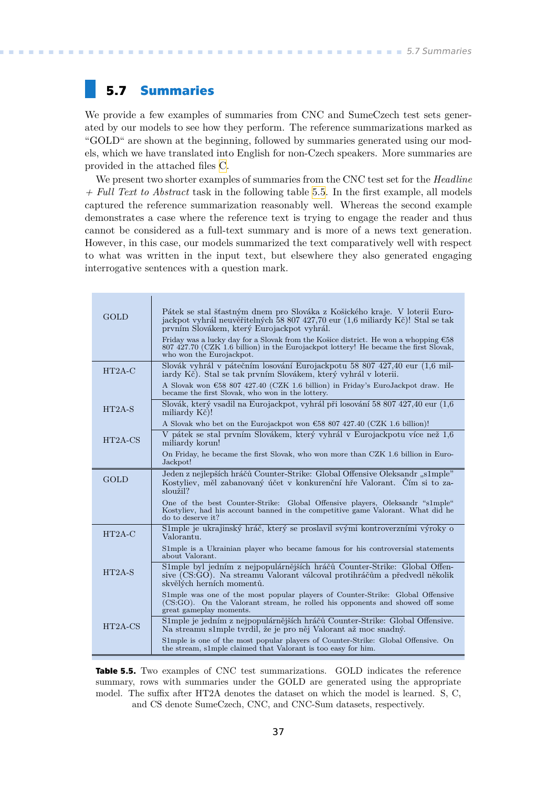## <span id="page-44-1"></span><span id="page-44-0"></span>**5.7 Summaries**

We provide a few examples of summaries from CNC and SumeCzech test sets generated by our models to see how they perform. The reference summarizations marked as "GOLD" are shown at the beginning, followed by summaries generated using our models, which we have translated into English for non-Czech speakers. More summaries are provided in the attached files [C](#page-60-0).

We present two shorter examples of summaries from the CNC test set for the *Headline + Full Text to Abstract* task in the following table [5.5.](#page-44-2) In the first example, all models captured the reference summarization reasonably well. Whereas the second example demonstrates a case where the reference text is trying to engage the reader and thus cannot be considered as a full-text summary and is more of a news text generation. However, in this case, our models summarized the text comparatively well with respect to what was written in the input text, but elsewhere they also generated engaging interrogative sentences with a question mark.

| <b>GOLD</b> | Pátek se stal šťastným dnem pro Slováka z Košického kraje. V loterii Euro-<br>jackpot vyhrál neuvěřitelných 58 807 427,70 eur (1,6 miliardy Kč)! Stal se tak<br>prvním Slovákem, který Eurojackpot vyhrál.<br>Friday was a lucky day for a Slovak from the Košice district. He won a whopping $\epsilon$ 58<br>807 427.70 (CZK 1.6 billion) in the Eurojackpot lottery! He became the first Slovak,<br>who won the Eurojackpot. |
|-------------|---------------------------------------------------------------------------------------------------------------------------------------------------------------------------------------------------------------------------------------------------------------------------------------------------------------------------------------------------------------------------------------------------------------------------------|
| $HT2A-C$    | Slovák vyhrál v pátečním losování Eurojackpotu 58 807 427,40 eur (1,6 mil-<br>jardy Kč). Stal se tak prvním Slovákem, který vyhrál v loterii.                                                                                                                                                                                                                                                                                   |
|             | A Slovak won $\epsilon$ 58 807 427.40 (CZK 1.6 billion) in Friday's EuroJackpot draw. He<br>became the first Slovak, who won in the lottery.                                                                                                                                                                                                                                                                                    |
| $HT2A-S$    | Slovák, který vsadil na Eurojackpot, vyhrál při losování 58 807 427,40 eur (1,6<br>miliardy Kč)!                                                                                                                                                                                                                                                                                                                                |
|             | A Slovak who bet on the Eurojackpot won $\text{\textsterling}58 807 427.40$ (CZK 1.6 billion)!                                                                                                                                                                                                                                                                                                                                  |
| $HT2A-CS$   | V pátek se stal prvním Slovákem, který vyhrál v Eurojackpotu více než 1,6<br>miliardy korun!                                                                                                                                                                                                                                                                                                                                    |
|             | On Friday, he became the first Slovak, who won more than CZK 1.6 billion in Euro-<br>Jackpot!                                                                                                                                                                                                                                                                                                                                   |
| <b>GOLD</b> | Jeden z nejlepších hráčů Counter-Strike: Global Offensive Oleksandr "s1mple"<br>Kostyliev, měl zabanovaný účet v konkurenční hře Valorant. Čím si to za-<br>sloužil?                                                                                                                                                                                                                                                            |
|             | One of the best Counter-Strike: Global Offensive players, Oleksandr "s1mple"<br>Kostyliev, had his account banned in the competitive game Valorant. What did he<br>do to deserve it?                                                                                                                                                                                                                                            |
| $HT2A-C$    | S1mple je ukrajinský hráč, který se proslavil svými kontroverzními výroky o<br>Valorantu.                                                                                                                                                                                                                                                                                                                                       |
|             | S1mple is a Ukrainian player who became famous for his controversial statements<br>about Valorant.                                                                                                                                                                                                                                                                                                                              |
| $HT2A-S$    | S1mple byl jedním z nejpopulárnějších hráčů Counter-Strike: Global Offen-<br>sive (CS:GO). Na streamu Valorant válcoval protihráčům a předvedl několik<br>skvělých herních momentů.                                                                                                                                                                                                                                             |
|             | S1mple was one of the most popular players of Counter-Strike: Global Offensive<br>(CS:GO). On the Valorant stream, he rolled his opponents and showed off some<br>great gameplay moments.                                                                                                                                                                                                                                       |
| $HT2A-CS$   | S1 mple je jedním z nejpopulárnějších hráčů Counter-Strike: Global Offensive.<br>Na streamu slmple tvrdil, že je pro něj Valorant až moc snadný.                                                                                                                                                                                                                                                                                |
|             | S1mple is one of the most popular players of Counter-Strike: Global Offensive. On<br>the stream, s1mple claimed that Valorant is too easy for him.                                                                                                                                                                                                                                                                              |

<span id="page-44-2"></span>**Table 5.5.** Two examples of CNC test summarizations. GOLD indicates the reference summary, rows with summaries under the GOLD are generated using the appropriate model. The suffix after HT2A denotes the dataset on which the model is learned. S, C, and CS denote SumeCzech, CNC, and CNC-Sum datasets, respectively.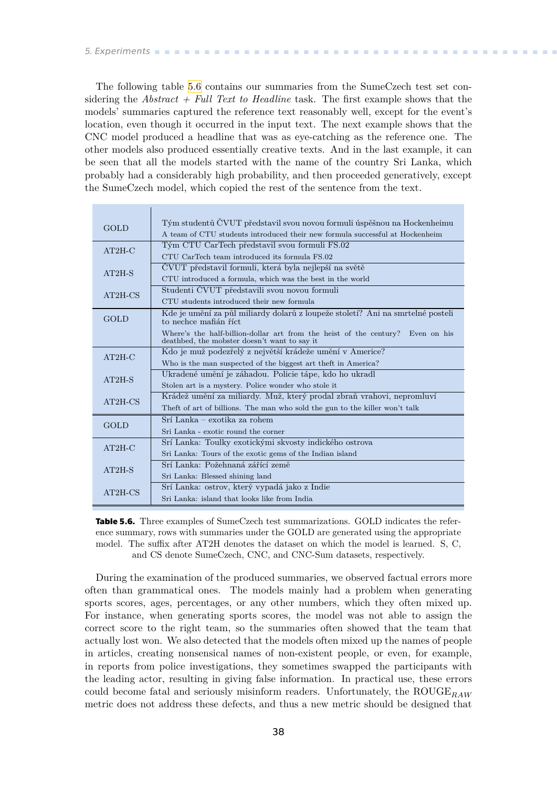<span id="page-45-1"></span>The following table [5.6](#page-45-0) contains our summaries from the SumeCzech test set considering the *Abstract + Full Text to Headline* task. The first example shows that the models' summaries captured the reference text reasonably well, except for the event's location, even though it occurred in the input text. The next example shows that the CNC model produced a headline that was as eye-catching as the reference one. The other models also produced essentially creative texts. And in the last example, it can be seen that all the models started with the name of the country Sri Lanka, which probably had a considerably high probability, and then proceeded generatively, except the SumeCzech model, which copied the rest of the sentence from the text.

| <b>GOLD</b> | Tým studentů ČVUT představil svou novou formuli úspěšnou na Hockenheimu                                                        |
|-------------|--------------------------------------------------------------------------------------------------------------------------------|
|             | A team of CTU students introduced their new formula successful at Hockenheim                                                   |
| $AT2H-C$    | Tým CTU CarTech představil svou formuli FS.02                                                                                  |
|             | CTU CarTech team introduced its formula FS.02                                                                                  |
| $AT2H-S$    | ČVUT představil formuli, která byla nejlepší na světě                                                                          |
|             | CTU introduced a formula, which was the best in the world                                                                      |
| $AT2H-CS$   | Studenti ČVUT představili svou novou formuli                                                                                   |
|             | CTU students introduced their new formula                                                                                      |
| <b>GOLD</b> | Kde je umění za půl miliardy dolarů z loupeže století? Ani na smrtelné posteli<br>to nechce mafián říct                        |
|             | Where's the half-billion-dollar art from the heist of the century? Even on his<br>deathbed, the mobster doesn't want to say it |
| $AT2H-C$    | Kdo je muž podezřelý z největší krádeže umění v Americe?                                                                       |
|             | Who is the man suspected of the biggest art theft in America?                                                                  |
| $AT2H-S$    | Ukradené umění je záhadou. Policie tápe, kdo ho ukradl                                                                         |
|             | Stolen art is a mystery. Police wonder who stole it                                                                            |
| $AT2H-CS$   | Krádež umění za miliardy. Muž, který prodal zbraň vrahovi, nepromluví                                                          |
|             | The ft of art of billions. The man who sold the gun to the killer won't talk                                                   |
| <b>GOLD</b> | Srí Lanka – exotika za rohem                                                                                                   |
|             | Sri Lanka - exotic round the corner                                                                                            |
| $AT2H-C$    | Srí Lanka: Toulky exotickými skvosty indického ostrova                                                                         |
|             | Sri Lanka: Tours of the exotic gems of the Indian island                                                                       |
|             | Srí Lanka: Požehnaná zářící země                                                                                               |
| $AT2H-S$    | Sri Lanka: Blessed shining land                                                                                                |
|             | Srí Lanka: ostrov, který vypadá jako z Indie                                                                                   |
| $AT2H-CS$   | Sri Lanka: island that looks like from India                                                                                   |

<span id="page-45-0"></span>**Table 5.6.** Three examples of SumeCzech test summarizations. GOLD indicates the reference summary, rows with summaries under the GOLD are generated using the appropriate model. The suffix after AT2H denotes the dataset on which the model is learned. S, C, and CS denote SumeCzech, CNC, and CNC-Sum datasets, respectively.

During the examination of the produced summaries, we observed factual errors more often than grammatical ones. The models mainly had a problem when generating sports scores, ages, percentages, or any other numbers, which they often mixed up. For instance, when generating sports scores, the model was not able to assign the correct score to the right team, so the summaries often showed that the team that actually lost won. We also detected that the models often mixed up the names of people in articles, creating nonsensical names of non-existent people, or even, for example, in reports from police investigations, they sometimes swapped the participants with the leading actor, resulting in giving false information. In practical use, these errors could become fatal and seriously misinform readers. Unfortunately, the ROUGE<sub>RAW</sub> metric does not address these defects, and thus a new metric should be designed that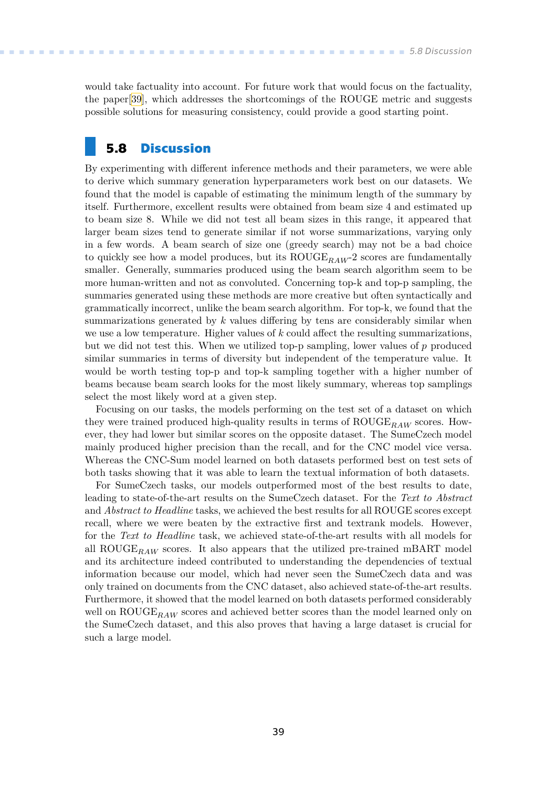<span id="page-46-1"></span>would take factuality into account. For future work that would focus on the factuality, the paper[[39\]](#page-53-2), which addresses the shortcomings of the ROUGE metric and suggests possible solutions for measuring consistency, could provide a good starting point.

### <span id="page-46-0"></span>**5.8 Discussion**

By experimenting with different inference methods and their parameters, we were able to derive which summary generation hyperparameters work best on our datasets. We found that the model is capable of estimating the minimum length of the summary by itself. Furthermore, excellent results were obtained from beam size 4 and estimated up to beam size 8. While we did not test all beam sizes in this range, it appeared that larger beam sizes tend to generate similar if not worse summarizations, varying only in a few words. A beam search of size one (greedy search) may not be a bad choice to quickly see how a model produces, but its  $ROUGE_{RAW}$ -2 scores are fundamentally smaller. Generally, summaries produced using the beam search algorithm seem to be more human-written and not as convoluted. Concerning top-k and top-p sampling, the summaries generated using these methods are more creative but often syntactically and grammatically incorrect, unlike the beam search algorithm. For top-k, we found that the summarizations generated by  $k$  values differing by tens are considerably similar when we use a low temperature. Higher values of  $k$  could affect the resulting summarizations, but we did not test this. When we utilized top-p sampling, lower values of  $p$  produced similar summaries in terms of diversity but independent of the temperature value. It would be worth testing top-p and top-k sampling together with a higher number of beams because beam search looks for the most likely summary, whereas top samplings select the most likely word at a given step.

Focusing on our tasks, the models performing on the test set of a dataset on which they were trained produced high-quality results in terms of  $\text{ROUGE}_{RAW}$  scores. However, they had lower but similar scores on the opposite dataset. The SumeCzech model mainly produced higher precision than the recall, and for the CNC model vice versa. Whereas the CNC-Sum model learned on both datasets performed best on test sets of both tasks showing that it was able to learn the textual information of both datasets.

For SumeCzech tasks, our models outperformed most of the best results to date, leading to state-of-the-art results on the SumeCzech dataset. For the *Text to Abstract* and *Abstract to Headline* tasks, we achieved the best results for all ROUGE scores except recall, where we were beaten by the extractive first and textrank models. However, for the *Text to Headline* task, we achieved state-of-the-art results with all models for all  $\text{ROUGE}_{RAW}$  scores. It also appears that the utilized pre-trained mBART model and its architecture indeed contributed to understanding the dependencies of textual information because our model, which had never seen the SumeCzech data and was only trained on documents from the CNC dataset, also achieved state-of-the-art results. Furthermore, it showed that the model learned on both datasets performed considerably well on  $\text{ROUGE}_{RAW}$  scores and achieved better scores than the model learned only on the SumeCzech dataset, and this also proves that having a large dataset is crucial for such a large model.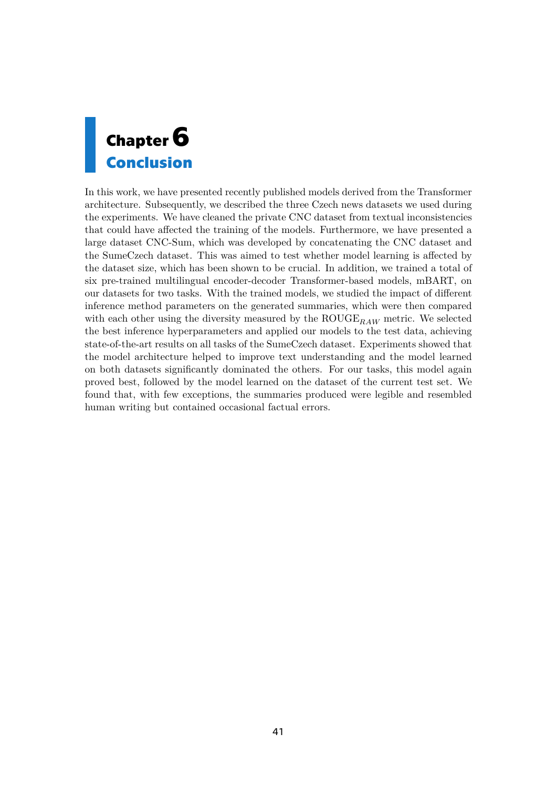<span id="page-48-1"></span><span id="page-48-0"></span>

In this work, we have presented recently published models derived from the Transformer architecture. Subsequently, we described the three Czech news datasets we used during the experiments. We have cleaned the private CNC dataset from textual inconsistencies that could have affected the training of the models. Furthermore, we have presented a large dataset CNC-Sum, which was developed by concatenating the CNC dataset and the SumeCzech dataset. This was aimed to test whether model learning is affected by the dataset size, which has been shown to be crucial. In addition, we trained a total of six pre-trained multilingual encoder-decoder Transformer-based models, mBART, on our datasets for two tasks. With the trained models, we studied the impact of different inference method parameters on the generated summaries, which were then compared with each other using the diversity measured by the  $\text{ROUGE}_{RAW}$  metric. We selected the best inference hyperparameters and applied our models to the test data, achieving state-of-the-art results on all tasks of the SumeCzech dataset. Experiments showed that the model architecture helped to improve text understanding and the model learned on both datasets significantly dominated the others. For our tasks, this model again proved best, followed by the model learned on the dataset of the current test set. We found that, with few exceptions, the summaries produced were legible and resembled human writing but contained occasional factual errors.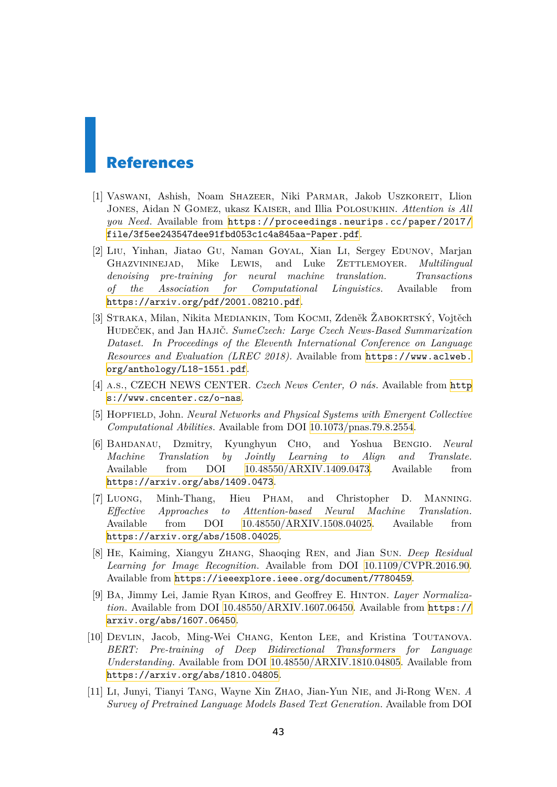## <span id="page-50-0"></span>**References**

- <span id="page-50-1"></span>[1] Vaswani, Ashish, Noam Shazeer, Niki Parmar, Jakob Uszkoreit, Llion Jones, Aidan N Gomez, ukasz Kaiser, and Illia Polosukhin. *Attention is All you Need*. Available from [https://proceedings.neurips.cc/paper/2017/](https://proceedings.neurips.cc/paper/2017/file/3f5ee243547dee91fbd053c1c4a845aa-Paper.pdf) [file/3f5ee243547dee91fbd053c1c4a845aa-Paper.pdf](https://proceedings.neurips.cc/paper/2017/file/3f5ee243547dee91fbd053c1c4a845aa-Paper.pdf).
- <span id="page-50-2"></span>[2] Liu, Yinhan, Jiatao Gu, Naman Goyal, Xian Li, Sergey Edunov, Marjan Ghazvininejad, Mike Lewis, and Luke Zettlemoyer. *Multilingual denoising pre-training for neural machine translation. Transactions of the Association for Computational Linguistics*. Available from <https://arxiv.org/pdf/2001.08210.pdf>.
- <span id="page-50-3"></span>[3] Straka, Milan, Nikita Mediankin, Tom Kocmi, Zdeněk Žabokrtský, Vojtěch Hudeček, and Jan Hajič. *SumeCzech: Large Czech News-Based Summarization Dataset. In Proceedings of the Eleventh International Conference on Language Resources and Evaluation (LREC 2018).* Available from [https://www.aclweb.](https://www.aclweb.org/anthology/L18-1551.pdf) [org/anthology/L18-1551.pdf](https://www.aclweb.org/anthology/L18-1551.pdf).
- <span id="page-50-4"></span>[4] a.s., CZECH NEWS CENTER. *Czech News Center, O nás*. Available from [http](https://www.cncenter.cz/o-nas) [s://www.cncenter.cz/o-nas](https://www.cncenter.cz/o-nas).
- <span id="page-50-5"></span>[5] Hopfield, John. *Neural Networks and Physical Systems with Emergent Collective Computational Abilities*. Available from DOI [10.1073/pnas.79.8.2554](http://dx.doi.org/10.1073/pnas.79.8.2554).
- <span id="page-50-6"></span>[6] Bahdanau, Dzmitry, Kyunghyun Cho, and Yoshua Bengio. *Neural Machine Translation by Jointly Learning to Align and Translate*. Available from DOI [10.48550/ARXIV.1409.0473](http://dx.doi.org/10.48550/ARXIV.1409.0473). Available from <https://arxiv.org/abs/1409.0473>.
- <span id="page-50-7"></span>[7] Luong, Minh-Thang, Hieu Pham, and Christopher D. Manning. *Effective Approaches to Attention-based Neural Machine Translation*. Available from DOI [10.48550/ARXIV.1508.04025](http://dx.doi.org/10.48550/ARXIV.1508.04025). Available from <https://arxiv.org/abs/1508.04025>.
- <span id="page-50-8"></span>[8] He, Kaiming, Xiangyu Zhang, Shaoqing Ren, and Jian Sun. *Deep Residual Learning for Image Recognition*. Available from DOI [10.1109/CVPR.2016.90.](http://dx.doi.org/10.1109/CVPR.2016.90) Available from <https://ieeexplore.ieee.org/document/7780459>.
- <span id="page-50-9"></span>[9] Ba, Jimmy Lei, Jamie Ryan Kiros, and Geoffrey E. Hinton. *Layer Normalization*. Available from DOI [10.48550/ARXIV.1607.06450](http://dx.doi.org/10.48550/ARXIV.1607.06450). Available from [https://](https://arxiv.org/abs/1607.06450) [arxiv.org/abs/1607.06450](https://arxiv.org/abs/1607.06450).
- <span id="page-50-10"></span>[10] Devlin, Jacob, Ming-Wei Chang, Kenton Lee, and Kristina Toutanova. *BERT: Pre-training of Deep Bidirectional Transformers for Language Understanding*. Available from DOI [10.48550/ARXIV.1810.04805](http://dx.doi.org/10.48550/ARXIV.1810.04805). Available from <https://arxiv.org/abs/1810.04805>.
- <span id="page-50-11"></span>[11] Li, Junyi, Tianyi Tang, Wayne Xin Zhao, Jian-Yun Nie, and Ji-Rong Wen. *A Survey of Pretrained Language Models Based Text Generation*. Available from DOI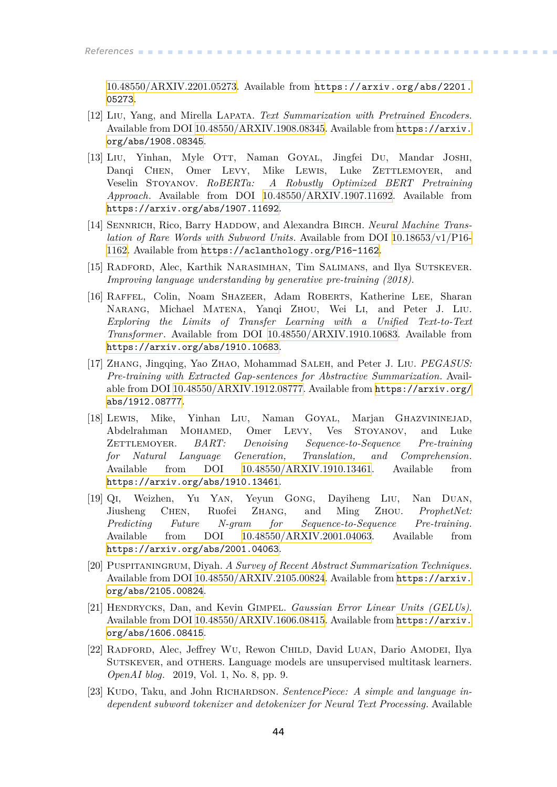[10.48550/ARXIV.2201.05273.](http://dx.doi.org/10.48550/ARXIV.2201.05273) Available from [https://arxiv.org/abs/2201.](https://arxiv.org/abs/2201.05273) [05273](https://arxiv.org/abs/2201.05273).

- <span id="page-51-0"></span>[12] Liu, Yang, and Mirella Lapata. *Text Summarization with Pretrained Encoders*. Available from DOI [10.48550/ARXIV.1908.08345](http://dx.doi.org/10.48550/ARXIV.1908.08345). Available from [https://arxiv.](https://arxiv.org/abs/1908.08345) [org/abs/1908.08345](https://arxiv.org/abs/1908.08345).
- <span id="page-51-1"></span>[13] Liu, Yinhan, Myle OTT, Naman GOYAL, Jingfei Du, Mandar JOSHI, Dangi CHEN, Omer LEVY, Mike LEWIS, Luke ZETTLEMOYER, and Veselin Stoyanov. *RoBERTa: A Robustly Optimized BERT Pretraining Approach*. Available from DOI [10.48550/ARXIV.1907.11692.](http://dx.doi.org/10.48550/ARXIV.1907.11692) Available from <https://arxiv.org/abs/1907.11692>.
- <span id="page-51-2"></span>[14] SENNRICH, Rico, Barry HADDOW, and Alexandra BIRCH. *Neural Machine Translation of Rare Words with Subword Units*. Available from DOI [10.18653/v1/P16-](http://dx.doi.org/10.18653/v1/P16-1162) [1162.](http://dx.doi.org/10.18653/v1/P16-1162) Available from <https://aclanthology.org/P16-1162>.
- <span id="page-51-3"></span>[15] Radford, Alec, Karthik Narasimhan, Tim Salimans, and Ilya Sutskever. *Improving language understanding by generative pre-training (2018)*.
- <span id="page-51-4"></span>[16] Raffel, Colin, Noam Shazeer, Adam Roberts, Katherine Lee, Sharan Narang, Michael Matena, Yanqi Zhou, Wei Li, and Peter J. Liu. *Exploring the Limits of Transfer Learning with a Unified Text-to-Text Transformer*. Available from DOI [10.48550/ARXIV.1910.10683.](http://dx.doi.org/10.48550/ARXIV.1910.10683) Available from <https://arxiv.org/abs/1910.10683>.
- <span id="page-51-5"></span>[17] Zhang, Jingqing, Yao Zhao, Mohammad Saleh, and Peter J. Liu. *PEGASUS: Pre-training with Extracted Gap-sentences for Abstractive Summarization*. Available from DOI [10.48550/ARXIV.1912.08777.](http://dx.doi.org/10.48550/ARXIV.1912.08777) Available from [https://arxiv.org/](https://arxiv.org/abs/1912.08777) [abs/1912.08777](https://arxiv.org/abs/1912.08777).
- <span id="page-51-6"></span>[18] Lewis, Mike, Yinhan Liu, Naman Goyal, Marjan Ghazvininejad, Abdelrahman Mohamed, Omer Levy, Ves Stoyanov, and Luke Zettlemoyer. *BART: Denoising Sequence-to-Sequence Pre-training for Natural Language Generation, Translation, and Comprehension*. Available from DOI [10.48550/ARXIV.1910.13461](http://dx.doi.org/10.48550/ARXIV.1910.13461). Available from <https://arxiv.org/abs/1910.13461>.
- <span id="page-51-7"></span>[19] Qi, Weizhen, Yu Yan, Yeyun Gong, Dayiheng Liu, Nan Duan, Jiusheng Chen, Ruofei Zhang, and Ming Zhou. *ProphetNet: Predicting Future N-gram for Sequence-to-Sequence Pre-training*. Available from DOI [10.48550/ARXIV.2001.04063](http://dx.doi.org/10.48550/ARXIV.2001.04063). Available from <https://arxiv.org/abs/2001.04063>.
- <span id="page-51-8"></span>[20] Puspitaningrum, Diyah. *A Survey of Recent Abstract Summarization Techniques*. Available from DOI [10.48550/ARXIV.2105.00824](http://dx.doi.org/10.48550/ARXIV.2105.00824). Available from [https://arxiv.](https://arxiv.org/abs/2105.00824) [org/abs/2105.00824](https://arxiv.org/abs/2105.00824).
- <span id="page-51-9"></span>[21] Hendrycks, Dan, and Kevin Gimpel. *Gaussian Error Linear Units (GELUs)*. Available from DOI [10.48550/ARXIV.1606.08415](http://dx.doi.org/10.48550/ARXIV.1606.08415). Available from [https://arxiv.](https://arxiv.org/abs/1606.08415) [org/abs/1606.08415](https://arxiv.org/abs/1606.08415).
- <span id="page-51-10"></span>[22] Radford, Alec, Jeffrey Wu, Rewon Child, David Luan, Dario Amodei, Ilya Sutskever, and others. Language models are unsupervised multitask learners. *OpenAI blog*. 2019, Vol. 1, No. 8, pp. 9.
- <span id="page-51-11"></span>[23] KUDO, Taku, and John RICHARDSON. *SentencePiece: A simple and language independent subword tokenizer and detokenizer for Neural Text Processing*. Available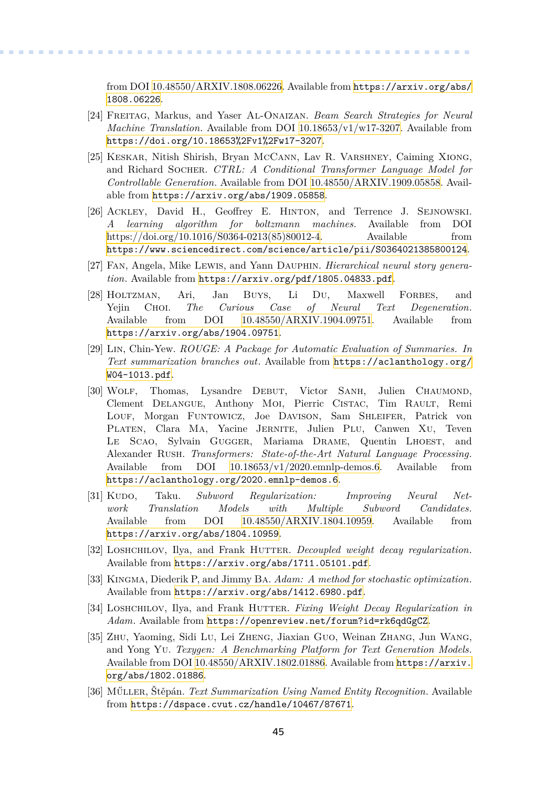from DOI [10.48550/ARXIV.1808.06226](http://dx.doi.org/10.48550/ARXIV.1808.06226). Available from [https://arxiv.org/abs/](https://arxiv.org/abs/1808.06226) [1808.06226](https://arxiv.org/abs/1808.06226).

<span id="page-52-0"></span>[24] Freitag, Markus, and Yaser Al-Onaizan. *Beam Search Strategies for Neural Machine Translation*. Available from DOI [10.18653/v1/w17-3207.](http://dx.doi.org/10.18653/v1/w17-3207) Available from <https://doi.org/10.18653%2Fv1%2Fw17-3207>.

**.................................................**

- <span id="page-52-1"></span>[25] Keskar, Nitish Shirish, Bryan McCann, Lav R. Varshney, Caiming Xiong, and Richard Socher. *CTRL: A Conditional Transformer Language Model for Controllable Generation*. Available from DOI [10.48550/ARXIV.1909.05858.](http://dx.doi.org/10.48550/ARXIV.1909.05858) Available from <https://arxiv.org/abs/1909.05858>.
- <span id="page-52-2"></span>[26] Ackley, David H., Geoffrey E. Hinton, and Terrence J. Sejnowski. *A learning algorithm for boltzmann machines*. Available from DOI [https://doi.org/10.1016/S0364-0213\(85\)80012-4](http://dx.doi.org/https://doi.org/10.1016/S0364-0213(85)80012-4). Available from <https://www.sciencedirect.com/science/article/pii/S0364021385800124>.
- <span id="page-52-3"></span>[27] Fan, Angela, Mike Lewis, and Yann Dauphin. *Hierarchical neural story generation*. Available from <https://arxiv.org/pdf/1805.04833.pdf>.
- <span id="page-52-4"></span>[28] Holtzman, Ari, Jan Buys, Li Du, Maxwell Forbes, and Yejin Choi. *The Curious Case of Neural Text Degeneration*. Available from DOI [10.48550/ARXIV.1904.09751](http://dx.doi.org/10.48550/ARXIV.1904.09751). Available from <https://arxiv.org/abs/1904.09751>.
- <span id="page-52-5"></span>[29] Lin, Chin-Yew. *ROUGE: A Package for Automatic Evaluation of Summaries. In Text summarization branches out*. Available from [https://aclanthology.org/](https://aclanthology.org/W04-1013.pdf) [W04-1013.pdf](https://aclanthology.org/W04-1013.pdf).
- <span id="page-52-6"></span>[30] Wolf, Thomas, Lysandre Debut, Victor Sanh, Julien Chaumond, Clement Delangue, Anthony Moi, Pierric Cistac, Tim Rault, Remi Louf, Morgan Funtowicz, Joe Davison, Sam Shleifer, Patrick von PLATEN, Clara MA, Yacine JERNITE, Julien PLU, Canwen XU, Teven Le Scao, Sylvain Gugger, Mariama DRAME, Quentin LHOEST, and Alexander Rush. *Transformers: State-of-the-Art Natural Language Processing*. Available from DOI [10.18653/v1/2020.emnlp-demos.6.](http://dx.doi.org/10.18653/v1/2020.emnlp-demos.6) Available from <https://aclanthology.org/2020.emnlp-demos.6>.
- <span id="page-52-7"></span>[31] Kupo, Taku. *Subword Regularization: Improving Neural Network Translation Models with Multiple Subword Candidates*. Available from DOI [10.48550/ARXIV.1804.10959](http://dx.doi.org/10.48550/ARXIV.1804.10959). Available from <https://arxiv.org/abs/1804.10959>.
- <span id="page-52-8"></span>[32] LOSHCHILOV, Ilya, and Frank HUTTER. *Decoupled weight decay regularization*. Available from <https://arxiv.org/abs/1711.05101.pdf>.
- <span id="page-52-9"></span>[33] Kingma, Diederik P, and Jimmy Ba. *Adam: A method for stochastic optimization*. Available from <https://arxiv.org/abs/1412.6980.pdf>.
- <span id="page-52-10"></span>[34] Loshchilov, Ilya, and Frank Hutter. *Fixing Weight Decay Regularization in Adam*. Available from <https://openreview.net/forum?id=rk6qdGgCZ>.
- <span id="page-52-11"></span>[35] Zhu, Yaoming, Sidi Lu, Lei Zheng, Jiaxian Guo, Weinan Zhang, Jun Wang, and Yong Yu. *Texygen: A Benchmarking Platform for Text Generation Models*. Available from DOI [10.48550/ARXIV.1802.01886](http://dx.doi.org/10.48550/ARXIV.1802.01886). Available from [https://arxiv.](https://arxiv.org/abs/1802.01886) [org/abs/1802.01886](https://arxiv.org/abs/1802.01886).
- <span id="page-52-12"></span>[36] Műller, Štěpán. *Text Summarization Using Named Entity Recognition*. Available from <https://dspace.cvut.cz/handle/10467/87671>.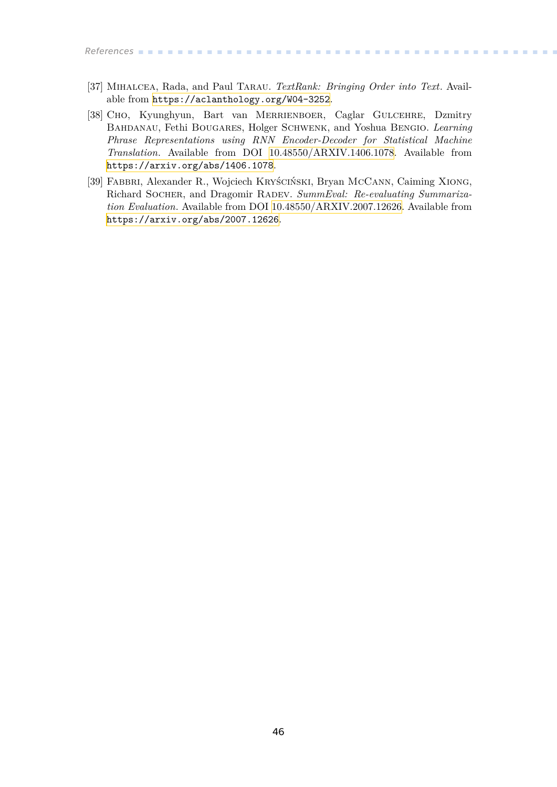*References* **............................................**

- <span id="page-53-0"></span>[37] Mihalcea, Rada, and Paul Tarau. *TextRank: Bringing Order into Text*. Available from <https://aclanthology.org/W04-3252>.
- <span id="page-53-1"></span>[38] Cho, Kyunghyun, Bart van Merrienboer, Caglar Gulcehre, Dzmitry Bahdanau, Fethi Bougares, Holger Schwenk, and Yoshua Bengio. *Learning Phrase Representations using RNN Encoder-Decoder for Statistical Machine Translation*. Available from DOI [10.48550/ARXIV.1406.1078](http://dx.doi.org/10.48550/ARXIV.1406.1078). Available from <https://arxiv.org/abs/1406.1078>.
- <span id="page-53-2"></span>[39] Fabbri, Alexander R., Wojciech Kryściński, Bryan McCann, Caiming Xiong, Richard Socher, and Dragomir Radev. *SummEval: Re-evaluating Summarization Evaluation*. Available from DOI [10.48550/ARXIV.2007.12626](http://dx.doi.org/10.48550/ARXIV.2007.12626). Available from <https://arxiv.org/abs/2007.12626>.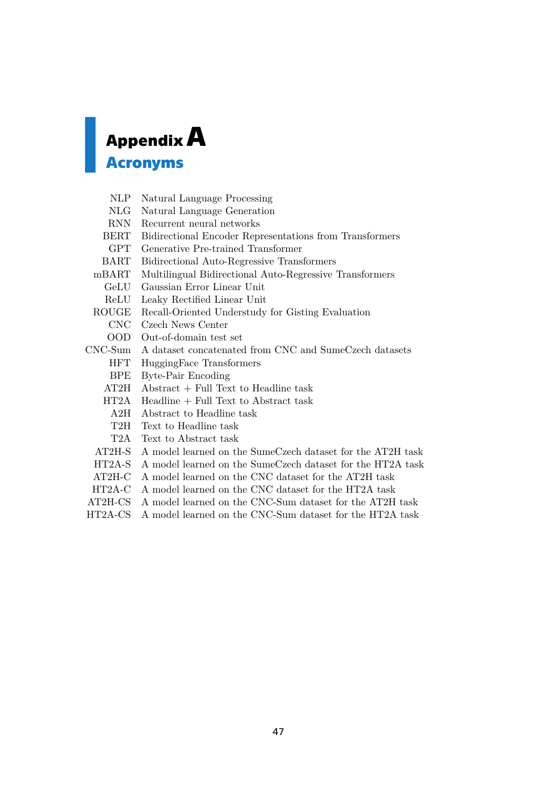# <span id="page-54-1"></span><span id="page-54-0"></span>**AppendixA**

### **Acronyms**

- NLP Natural Language Processing
- NLG Natural Language Generation
- RNN Recurrent neural networks
- BERT Bidirectional Encoder Representations from Transformers
- GPT Generative Pre-trained Transformer
- BART Bidirectional Auto-Regressive Transformers
- mBART Multilingual Bidirectional Auto-Regressive Transformers
	- GeLU Gaussian Error Linear Unit
	- ReLU Leaky Rectified Linear Unit
- ROUGE Recall-Oriented Understudy for Gisting Evaluation
	- CNC Czech News Center
	- OOD Out-of-domain test set
- CNC-Sum A dataset concatenated from CNC and SumeCzech datasets
	- HFT HuggingFace Transformers
	- BPE Byte-Pair Encoding
	- AT2H Abstract + Full Text to Headline task
	- HT2A Headline + Full Text to Abstract task
	- A2H Abstract to Headline task
	- T2H Text to Headline task
	- T2A Text to Abstract task
	- AT2H-S A model learned on the SumeCzech dataset for the AT2H task
	- HT2A-S A model learned on the SumeCzech dataset for the HT2A task
	- AT2H-C A model learned on the CNC dataset for the AT2H task
- HT2A-C A model learned on the CNC dataset for the HT2A task
- AT2H-CS A model learned on the CNC-Sum dataset for the AT2H task
- HT2A-CS A model learned on the CNC-Sum dataset for the HT2A task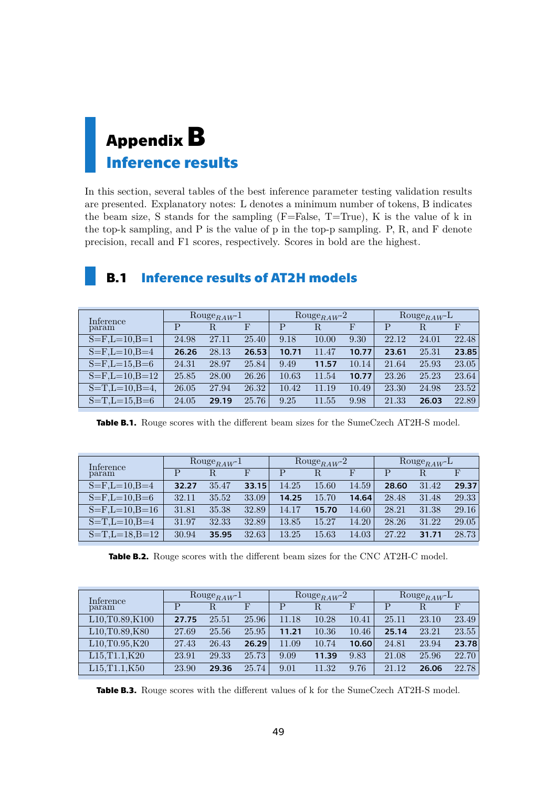## <span id="page-56-1"></span><span id="page-56-0"></span>**AppendixB Inference results**

In this section, several tables of the best inference parameter testing validation results are presented. Explanatory notes: L denotes a minimum number of tokens, B indicates the beam size, S stands for the sampling  $(F=False, T=True)$ , K is the value of k in the top-k sampling, and P is the value of p in the top-p sampling. P, R, and F denote precision, recall and F1 scores, respectively. Scores in bold are the highest.

| Inference               |       | $\text{Rouge}_{RAW}$ <sup>1</sup> |       | Rouge <sub>RAW</sub> -2 |       |       | $\text{Rouge}_{RAW}$ -L |       |       |
|-------------------------|-------|-----------------------------------|-------|-------------------------|-------|-------|-------------------------|-------|-------|
| param                   | Ρ     | R.                                | F     | P                       | R.    | F     | P                       | R     | F     |
| $S = F, L = 10, B = 1$  | 24.98 | 27.11                             | 25.40 | 9.18                    | 10.00 | 9.30  | 22.12                   | 24.01 | 22.48 |
| $S = F, L = 10, B = 4$  | 26.26 | 28.13                             | 26.53 | 10.71                   | 11.47 | 10.77 | 23.61                   | 25.31 | 23.85 |
| $S=F,L=15,B=6$          | 24.31 | 28.97                             | 25.84 | 9.49                    | 11.57 | 10.14 | 21.64                   | 25.93 | 23.05 |
| $S = F, L = 10, B = 12$ | 25.85 | 28.00                             | 26.26 | 10.63                   | 11.54 | 10.77 | 23.26                   | 25.23 | 23.64 |
| $S=T,L=10,B=4,$         | 26.05 | 27.94                             | 26.32 | 10.42                   | 11.19 | 10.49 | 23.30                   | 24.98 | 23.52 |
| $S=T,L=15,B=6$          | 24.05 | 29.19                             | 25.76 | 9.25                    | 11.55 | 9.98  | 21.33                   | 26.03 | 22.89 |

## <span id="page-56-2"></span>**B.1 Inference results of AT2H models**

<span id="page-56-3"></span>**Table B.1.** Rouge scores with the different beam sizes for the SumeCzech AT2H-S model.

| Inference              |       | $\text{Rouge}_{RAW}$ <sup>1</sup> |       |       | Rouge <sub>RAW</sub> -2 |       | Rouge <sub>RAW</sub> -L |       |       |
|------------------------|-------|-----------------------------------|-------|-------|-------------------------|-------|-------------------------|-------|-------|
| param                  | P     | R                                 |       | P     | R                       | F     | $\mathbf{P}$            | R.    |       |
| $S = F, L = 10, B = 4$ | 32.27 | 35.47                             | 33.15 | 14.25 | 15.60                   | 14.59 | 28.60                   | 31.42 | 29.37 |
| $S = F, L = 10, B = 6$ | 32.11 | 35.52                             | 33.09 | 14.25 | 15.70                   | 14.64 | 28.48                   | 31.48 | 29.33 |
| $S = F,L = 10,B = 16$  | 31.81 | 35.38                             | 32.89 | 14.17 | 15.70                   | 14.60 | 28.21                   | 31.38 | 29.16 |
| $S=T,L=10,B=4$         | 31.97 | 32.33                             | 32.89 | 13.85 | 15.27                   | 14.20 | 28.26                   | 31.22 | 29.05 |
| $S=T,L=18,B=12$        | 30.94 | 35.95                             | 32.63 | 13.25 | 15.63                   | 14.03 | 27.22                   | 31.71 | 28.73 |

<span id="page-56-4"></span>**Table B.2.** Rouge scores with the different beam sizes for the CNC AT2H-C model.

| Inference                                              |       | $\text{Rouge}_{RAW^{-1}}$ |       |       | Rouge <sub>RAW</sub> -2 |       |       | $\text{Rouge}_{RAW}$ |       |  |  |
|--------------------------------------------------------|-------|---------------------------|-------|-------|-------------------------|-------|-------|----------------------|-------|--|--|
| param                                                  | Р     | R.                        | F     | P     | R                       |       | P     | R                    |       |  |  |
| L <sub>10</sub> , T <sub>0</sub> .89, K <sub>100</sub> | 27.75 | 25.51                     | 25.96 | 11.18 | 10.28                   | 10.41 | 25.11 | 23.10                | 23.49 |  |  |
| L <sub>10</sub> , T <sub>0</sub> .89, K <sub>80</sub>  | 27.69 | 25.56                     | 25.95 | 11.21 | 10.36                   | 10.46 | 25.14 | 23.21                | 23.55 |  |  |
| L10, T0.95, K20                                        | 27.43 | 26.43                     | 26.29 | 11.09 | 10.74                   | 10.60 | 24.81 | 23.94                | 23.78 |  |  |
| L15, T1.1, K20                                         | 23.91 | 29.33                     | 25.73 | 9.09  | 11.39                   | 9.83  | 21.08 | 25.96                | 22.70 |  |  |
| L15, T1.1, K50                                         | 23.90 | 29.36                     | 25.74 | 9.01  | 11.32                   | 9.76  | 21.12 | 26.06                | 22.78 |  |  |

<span id="page-56-5"></span>**Table B.3.** Rouge scores with the different values of k for the SumeCzech AT2H-S model.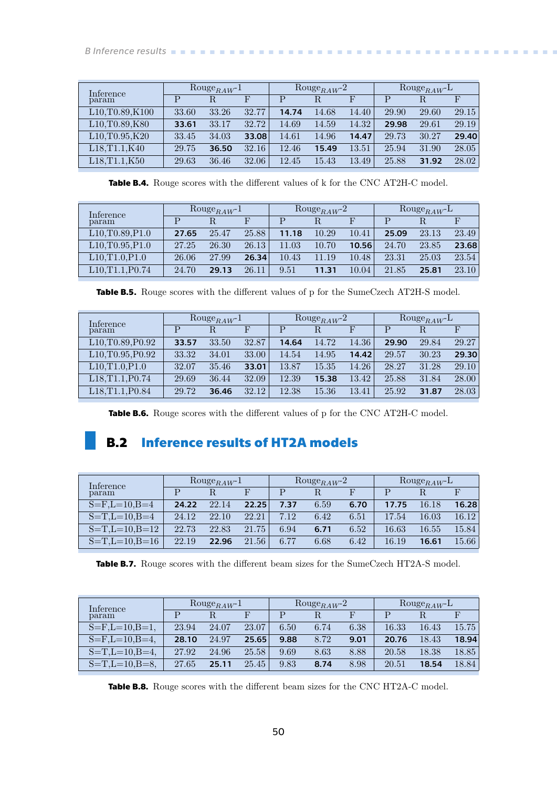<span id="page-57-1"></span>

| Inference                                              |       | $\text{Rouge}_{RAW^{-1}}$ |       |       | Rouge <sub>RAW</sub> -2 |       | $\text{Rouge}_{RAW}$ |       |       |
|--------------------------------------------------------|-------|---------------------------|-------|-------|-------------------------|-------|----------------------|-------|-------|
| param                                                  | P     |                           |       | P     | R                       | F     | Р                    | R     |       |
| L <sub>10</sub> , T <sub>0</sub> .89, K <sub>100</sub> | 33.60 | 33.26                     | 32.77 | 14.74 | 14.68                   | 14.40 | 29.90                | 29.60 | 29.15 |
| L <sub>10</sub> , T <sub>0</sub> .89, K <sub>80</sub>  | 33.61 | 33.17                     | 32.72 | 14.69 | 14.59                   | 14.32 | 29.98                | 29.61 | 29.19 |
| L10, T0.95, K20                                        | 33.45 | 34.03                     | 33.08 | 14.61 | 14.96                   | 14.47 | 29.73                | 30.27 | 29.40 |
| L18, T1.1, K40                                         | 29.75 | 36.50                     | 32.16 | 12.46 | 15.49                   | 13.51 | 25.94                | 31.90 | 28.05 |
| L18.T1.1.K50                                           | 29.63 | 36.46                     | 32.06 | 12.45 | 15.43                   | 13.49 | 25.88                | 31.92 | 28.02 |

<span id="page-57-2"></span>**Table B.4.** Rouge scores with the different values of k for the CNC AT2H-C model.

| Inference                                            |       | $\text{Rouge}_{RAW^{-1}}$ |       |           | Rouge <sub>RAW</sub> -2 |       | $\text{Rouge}_{RAW}$ |       |       |
|------------------------------------------------------|-------|---------------------------|-------|-----------|-------------------------|-------|----------------------|-------|-------|
| param                                                | D     |                           | F     |           |                         |       | р                    | R     |       |
| L10, T0.89, P1.0                                     | 27.65 | 25.47                     | 25.88 | 11.18     | 10.29                   | 10.41 | 25.09                | 23.13 | 23.49 |
| L10, T0.95, P1.0                                     | 27.25 | 26.30                     | 26.13 | .03<br>11 | 10.70                   | 10.56 | 24.70                | 23.85 | 23.68 |
| L10, T1.0, P1.0                                      | 26.06 | 27.99                     | 26.34 | 10.43     | 11.19                   | 10.48 | 23.31                | 25.03 | 23.54 |
| L <sub>10</sub> ,T <sub>1</sub> .1,P <sub>0.74</sub> | 24.70 | 29.13                     | 26.11 | 9.51      | 11.31                   | 10.04 | 21.85                | 25.81 | 23.10 |

<span id="page-57-3"></span>

| Inference                                               |       | $\text{Rouge}_{RAW}$ |       |       | Rouge <sub>RAW</sub> -2 |       | $\text{Rouge}_{RAW}$ |       |       |  |  |
|---------------------------------------------------------|-------|----------------------|-------|-------|-------------------------|-------|----------------------|-------|-------|--|--|
| param                                                   | P     | R                    | F     | P     | R                       | F     | P                    | R.    | F     |  |  |
| L <sub>10</sub> , T <sub>0.89</sub> , P <sub>0.92</sub> | 33.57 | 33.50                | 32.87 | 14.64 | 14.72                   | 14.36 | 29.90                | 29.84 | 29.27 |  |  |
| L <sub>10</sub> ,T <sub>0.95</sub> ,P <sub>0.92</sub>   | 33.32 | 34.01                | 33.00 | 14.54 | 14.95                   | 14.42 | 29.57                | 30.23 | 29.30 |  |  |
| L10, T1.0, P1.0                                         | 32.07 | 35.46                | 33.01 | 13.87 | 15.35                   | 14.26 | 28.27                | 31.28 | 29.10 |  |  |
| L18, T1.1, P0.74                                        | 29.69 | 36.44                | 32.09 | 12.39 | 15.38                   | 13.42 | 25.88                | 31.84 | 28.00 |  |  |
| L <sub>18</sub> ,T <sub>1.1</sub> ,P <sub>0.84</sub>    | 29.72 | 36.46                | 32.12 | 12.38 | 15.36                   | 13.41 | 25.92                | 31.87 | 28.03 |  |  |

<span id="page-57-4"></span>**Table B.6.** Rouge scores with the different values of p for the CNC AT2H-C model.

## <span id="page-57-0"></span>**B.2 Inference results of HT2A models**

| $\text{Rouge}_{RAW^{-}}$<br>Inference |       |       |       | Rouge <sub>RAW</sub> -2 |      | Rouge <sub>RAW</sub> -L |       |       |       |
|---------------------------------------|-------|-------|-------|-------------------------|------|-------------------------|-------|-------|-------|
| param                                 | D     |       |       |                         |      |                         | р     | R     |       |
| $S = F, L = 10, B = 4$                | 24.22 | 22.14 | 22.25 | 7.37                    | 6.59 | 6.70                    | 17.75 | 16.18 | 16.28 |
| $S=T,L=10,B=4$                        | 24.12 | 22.10 | 22.21 | 7.12                    | 6.42 | 6.51                    | 17.54 | 16.03 | 16.12 |
| $S=T.L=10.B=12$                       | 22.73 | 22.83 | 21.75 | 6.94                    | 6.71 | 6.52                    | 16.63 | 16.55 | 15.84 |
| $S=T.L=10.B=16$                       | 22.19 | 22.96 | 21.56 | 6.77                    | 6.68 | 6.42                    | 16.19 | 16.61 | 15.66 |

<span id="page-57-5"></span>**Table B.7.** Rouge scores with the different beam sizes for the SumeCzech HT2A-S model.

| Inference        | $\text{Rouge}_{RAW^{-1}}$ |       |       | $\text{Rouge}_{RAW}$ -2 |      |      | $\text{Rouge}_{RAW}$ |       |       |
|------------------|---------------------------|-------|-------|-------------------------|------|------|----------------------|-------|-------|
| param            | D                         |       |       |                         | R    |      |                      |       |       |
| $S=F,L=10,B=1$ , | 23.94                     | 24.07 | 23.07 | 6.50                    | 6.74 | 6.38 | 16.33                | 16.43 | 15.75 |
| $S=F,L=10,B=4$   | 28.10                     | 24.97 | 25.65 | 9.88                    | 8.72 | 9.01 | 20.76                | 18.43 | 18.94 |
| $S=T.L=10.B=4$   | 27.92                     | 24.96 | 25.58 | 9.69                    | 8.63 | 8.88 | 20.58                | 18.38 | 18.85 |
| $S=T.L=10.B=8.$  | 27.65                     | 25.11 | 25.45 | 9.83                    | 8.74 | 8.98 | 20.51                | 18.54 | 18.84 |

<span id="page-57-6"></span>**Table B.8.** Rouge scores with the different beam sizes for the CNC HT2A-C model.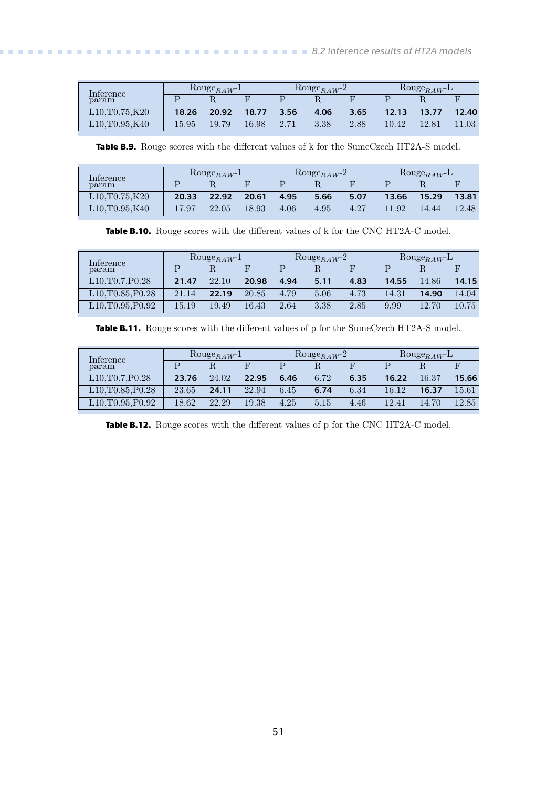<span id="page-58-1"></span>

| Inference     | Rouge <sub>RAW</sub> -1 |       |       |      | Rouge <sub>RAW</sub> -2 |      | $\text{Rouge}_{RAW}$ |       |       |
|---------------|-------------------------|-------|-------|------|-------------------------|------|----------------------|-------|-------|
| param         |                         |       |       |      |                         |      |                      |       |       |
| L10.T0.75,K20 | 18.26                   | 20.92 | 18.77 | 3.56 | 4.06                    | 3.65 | 12.13                | 13.77 | 12.40 |
| L10.T0.95.K40 | 15.95                   | 19.79 | 16.98 |      | 3.38                    | 2.88 | 10.42                | 12.81 | 1.03  |

<span id="page-58-0"></span>**Table B.9.** Rouge scores with the different values of k for the SumeCzech HT2A-S model.

| Interence                                                  | $\text{Rouge}_{RAW}$ -1 |       |       | Rouge <sub>RAW</sub> -2 |      |      | $\text{Rouge}_{RAW}$ |       |       |
|------------------------------------------------------------|-------------------------|-------|-------|-------------------------|------|------|----------------------|-------|-------|
| param                                                      |                         |       |       |                         |      |      |                      |       |       |
| L10, T0.75, K20                                            | 20.33                   | 22.92 | 20.61 | 4.95                    | 5.66 | 5.07 | 13.66                | 15.29 | 13.81 |
| $\text{\emph{L}}10.\text{\emph{T}}0.95.\text{\emph{K}}40.$ | 17.97                   | 22.05 | 18.93 | 4.06                    | 4.95 | 4.27 | .92                  | 14.44 | 12.48 |

<span id="page-58-2"></span>**Table B.10.** Rouge scores with the different values of k for the CNC HT2A-C model.

| Inference                                               | $\text{Rouge}_{RAW^{-1}}$ |       |       |      | $\text{Rouge}_{RAW}$ <sup>-2</sup> |      | Rouge <sub>RAW</sub> -L |       |       |
|---------------------------------------------------------|---------------------------|-------|-------|------|------------------------------------|------|-------------------------|-------|-------|
| param                                                   |                           |       |       |      |                                    |      |                         |       |       |
| L10, T0.7, P0.28                                        | 21.47                     | 22.10 | 20.98 | 4.94 | 5.11                               | 4.83 | 14.55                   | 14.86 | 14.15 |
| L10, T0.85, P0.28                                       | 21.14                     | 22.19 | 20.85 | 4.79 | 5.06                               | 4.73 | 14.31                   | 14.90 | 14.04 |
| L <sub>10</sub> , T <sub>0.95</sub> , P <sub>0.92</sub> | 15.19                     | 19.49 | 16.43 | 2.64 | 3.38                               | 2.85 | 9.99                    | 12.70 | 10.75 |

<span id="page-58-3"></span>**Table B.11.** Rouge scores with the different values of p for the SumeCzech HT2A-S model.

| $\text{Rouge}_{RAW^{-1}}$<br>Inference |       |       | $\text{Rouge}_{RAW}$ -2 |      | Rouge <sub>RAW</sub> -L |      |       |       |           |
|----------------------------------------|-------|-------|-------------------------|------|-------------------------|------|-------|-------|-----------|
| param                                  |       |       |                         |      |                         |      |       |       |           |
| L10.T0.7.P0.28                         | 23.76 | 24.02 | 22.95                   | 6.46 | 6.72                    | 6.35 | 16.22 | 16.37 | 15.66     |
| L10, T0.85, P0.28                      | 23.65 | 24.11 | 22.94                   | 6.45 | 6.74                    | 6.34 | 16.12 | 16.37 | $15.61\,$ |
| L10, T0.95, P0.92                      | 18.62 | 22.29 | 19.38                   | 4.25 | 5.15                    | 4.46 | 12.41 | 14.70 | 12.85     |

<span id="page-58-4"></span>**Table B.12.** Rouge scores with the different values of p for the CNC HT2A-C model.